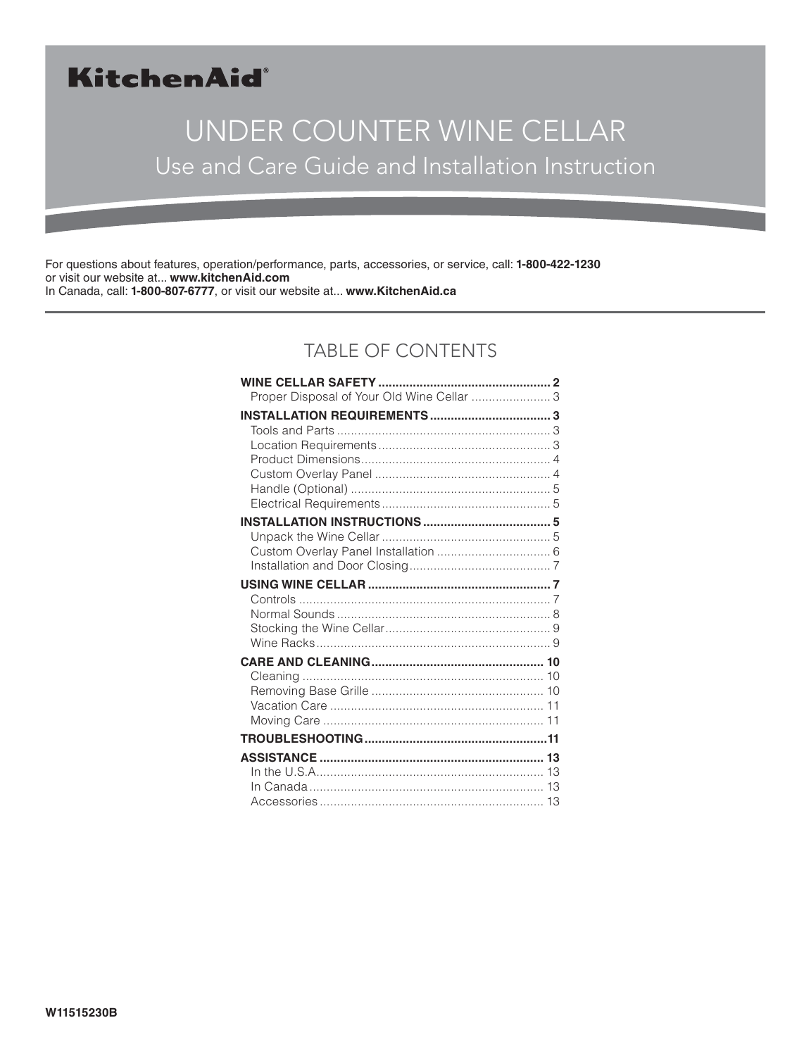# KitchenAid®

# UNDER COUNTER WINE CELLAR Use and Care Guide and Installation Instruction

For questions about features, operation/performance, parts, accessories, or service, call: **1-800-422-1230** or visit our website at... **www.kitchenAid.com** In Canada, call: **1-800-807-6777**, or visit our website at... **www.KitchenAid.ca**

### TABLE OF CONTENTS

| Proper Disposal of Your Old Wine Cellar  3 |  |
|--------------------------------------------|--|
|                                            |  |
|                                            |  |
|                                            |  |
|                                            |  |
|                                            |  |
|                                            |  |
|                                            |  |
|                                            |  |
|                                            |  |
|                                            |  |
|                                            |  |
|                                            |  |
|                                            |  |
|                                            |  |
|                                            |  |
|                                            |  |
|                                            |  |
|                                            |  |
|                                            |  |
|                                            |  |
|                                            |  |
|                                            |  |
|                                            |  |
|                                            |  |
|                                            |  |
|                                            |  |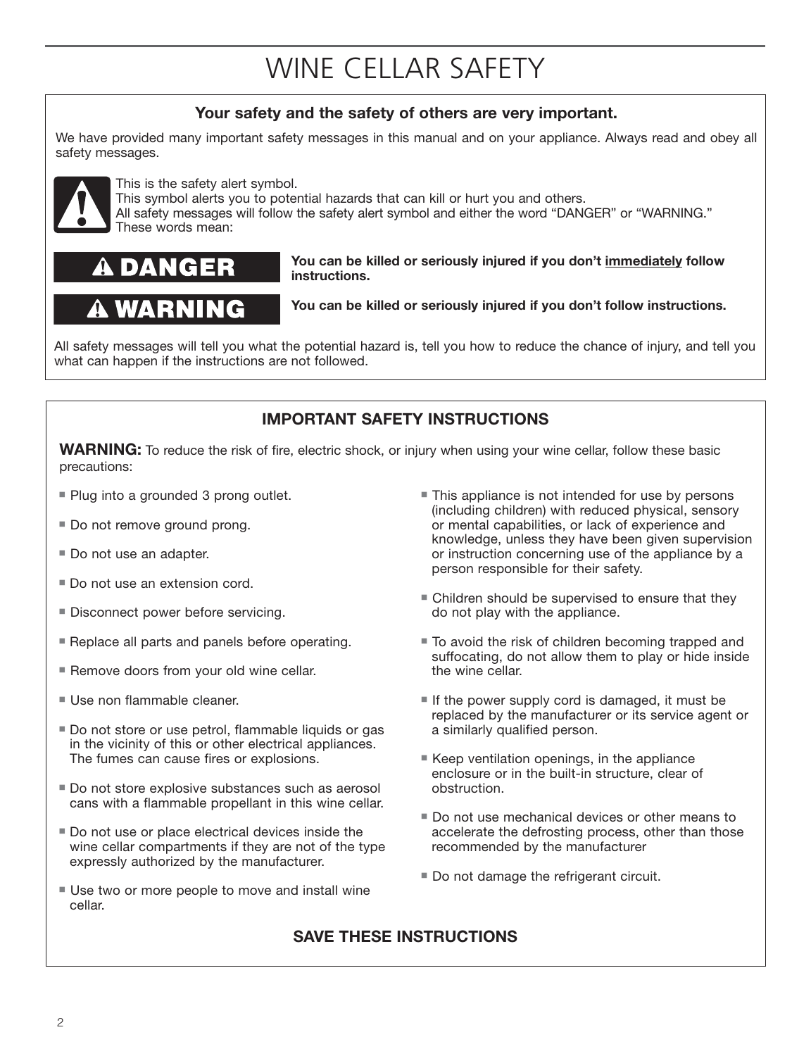# WINE CELLAR SAFETY

### **Your safety and the safety of others are very important.**

We have provided many important safety messages in this manual and on your appliance. Always read and obey all safety messages.



This is the safety alert symbol.

This symbol alerts you to potential hazards that can kill or hurt you and others.

All safety messages will follow the safety alert symbol and either the word "DANGER" or "WARNING." These words mean:

# DANGER

# A WARNING

**You can be killed or seriously injured if you don't immediately follow instructions.**

**You can be killed or seriously injured if you don't follow instructions.**

All safety messages will tell you what the potential hazard is, tell you how to reduce the chance of injury, and tell you what can happen if the instructions are not followed.

### **IMPORTANT SAFETY INSTRUCTIONS**

**WARNING:** To reduce the risk of fire, electric shock, or injury when using your wine cellar, follow these basic precautions:

- **Plug into a grounded 3 prong outlet.**
- Do not remove ground prong.
- Do not use an adapter.
- Do not use an extension cord.
- **Disconnect power before servicing.**
- **Replace all parts and panels before operating.**
- **Remove doors from your old wine cellar.**
- Use non flammable cleaner.
- Do not store or use petrol, flammable liquids or gas in the vicinity of this or other electrical appliances. The fumes can cause fires or explosions.
- Do not store explosive substances such as aerosol cans with a flammable propellant in this wine cellar.
- Do not use or place electrical devices inside the wine cellar compartments if they are not of the type expressly authorized by the manufacturer.
- Use two or more people to move and install wine cellar.
- This appliance is not intended for use by persons (including children) with reduced physical, sensory or mental capabilities, or lack of experience and knowledge, unless they have been given supervision or instruction concerning use of the appliance by a person responsible for their safety.
- Children should be supervised to ensure that they do not play with the appliance.
- To avoid the risk of children becoming trapped and suffocating, do not allow them to play or hide inside the wine cellar.
- If the power supply cord is damaged, it must be replaced by the manufacturer or its service agent or a similarly qualified person.
- Keep ventilation openings, in the appliance enclosure or in the built-in structure, clear of obstruction.
- **Do not use mechanical devices or other means to** accelerate the defrosting process, other than those recommended by the manufacturer
- **Do not damage the refrigerant circuit.**

### **SAVE THESE INSTRUCTIONS**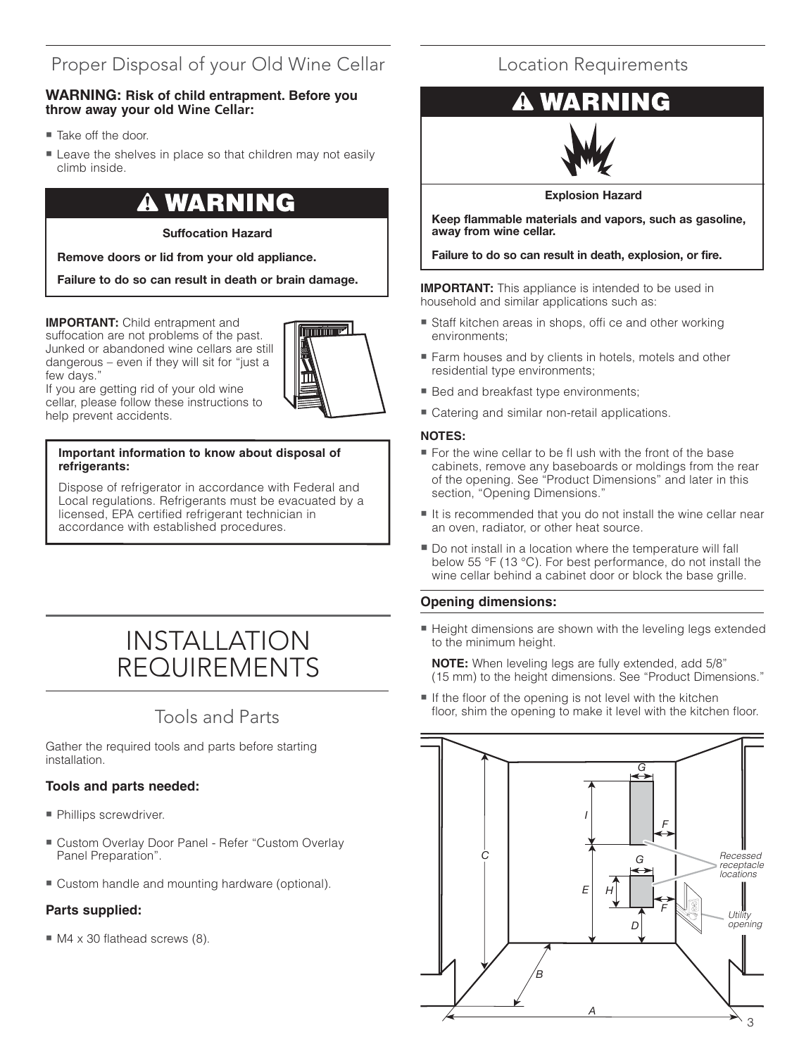### Proper Disposal of your Old Wine Cellar

#### **WARNING: Risk of child entrapment. Before you throw away your old Wine Cellar:**

- Take off the door.
- **Example 1** Leave the shelves in place so that children may not easily climb inside.

# **WARNING**

#### **Suffocation Hazard**

**Remove doors or lid from your old appliance.**

**Failure to do so can result in death or brain damage.**

**IMPORTANT:** Child entrapment and suffocation are not problems of the past. Junked or abandoned wine cellars are still dangerous – even if they will sit for "just a few days."



If you are getting rid of your old wine cellar, please follow these instructions to help prevent accidents.

#### **Important information to know about disposal of refrigerants:**

Dispose of refrigerator in accordance with Federal and Local regulations. Refrigerants must be evacuated by a licensed, EPA certified refrigerant technician in accordance with established procedures.

# INSTALLATION REQUIREMENTS

### Tools and Parts

Gather the required tools and parts before starting installation.

#### **Tools and parts needed:**

- **Phillips screwdriver.**
- Custom Overlay Door Panel Refer "Custom Overlay Panel Preparation".
- Custom handle and mounting hardware (optional).

#### **Parts supplied:**

■ M4 x 30 flathead screws (8).

### Location Requirements

# NG



**Explosion Hazard**

**Keep flammable materials and vapors, such as gasoline, away from wine cellar.**

**Failure to do so can result in death, explosion, or fire.**

**IMPORTANT:** This appliance is intended to be used in household and similar applications such as:

- Staff kitchen areas in shops, offi ce and other working environments;
- Farm houses and by clients in hotels, motels and other residential type environments;
- **Bed and breakfast type environments;**
- **E** Catering and similar non-retail applications.

#### **NOTES:**

- --------<br>■ For the wine cellar to be fl ush with the front of the base cabinets, remove any baseboards or moldings from the rear of the opening. See "Product Dimensions" and later in this section, "Opening Dimensions."
- It is recommended that you do not install the wine cellar near an oven, radiator, or other heat source.
- Do not install in a location where the temperature will fall below 55 °F (13 °C). For best performance, do not install the wine cellar behind a cabinet door or block the base grille.

#### **Opening dimensions:**

■ Height dimensions are shown with the leveling legs extended to the minimum height.

**NOTE:** When leveling legs are fully extended, add 5/8" (15 mm) to the height dimensions. See "Product Dimensions."

If the floor of the opening is not level with the kitchen floor, shim the opening to make it level with the kitchen floor.

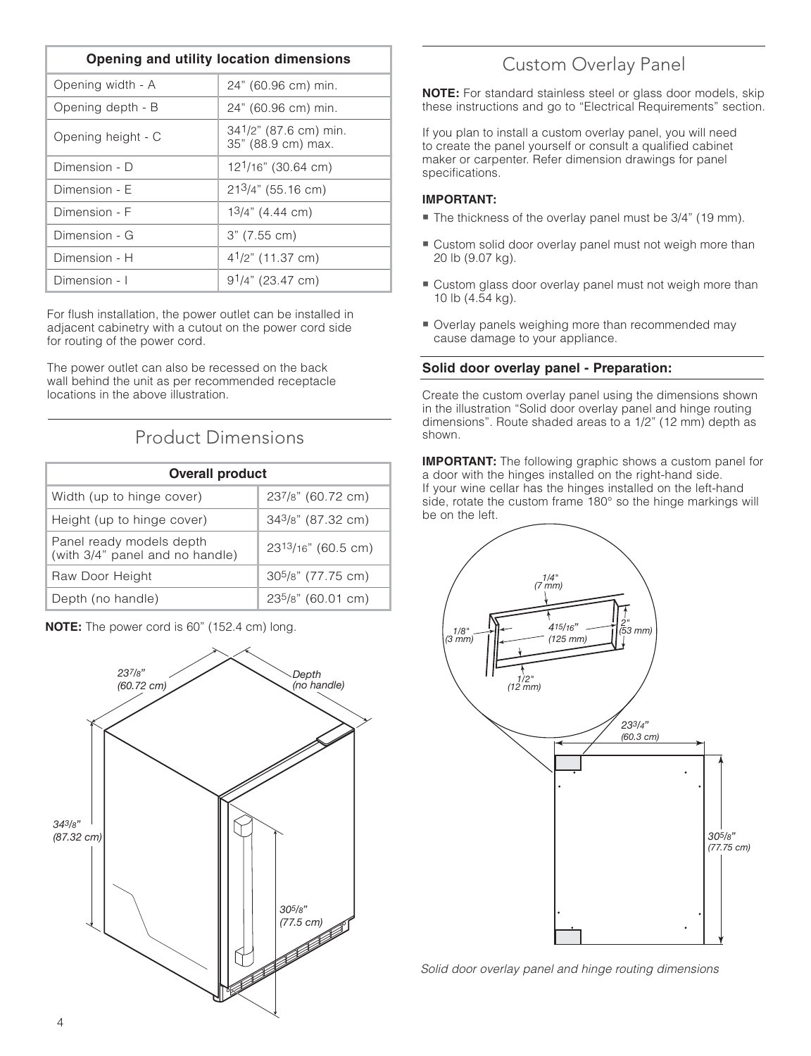| Opening and utility location dimensions |                                             |
|-----------------------------------------|---------------------------------------------|
| Opening width - A                       | 24" (60.96 cm) min.                         |
| Opening depth - B                       | 24" (60.96 cm) min.                         |
| Opening height - C                      | 341/2" (87.6 cm) min.<br>35" (88.9 cm) max. |
| Dimension - D                           | 12 <sup>1</sup> /16" (30.64 cm)             |
| Dimension - F                           | $213/4$ " (55.16 cm)                        |
| Dimension - F                           | $13/4$ " (4.44 cm)                          |
| Dimension - G                           | $3"$ (7.55 cm)                              |
| Dimension - H                           | $4^{1}/2$ " (11.37 cm)                      |
| Dimension - I                           | 9 <sup>1</sup> /4" (23.47 cm)               |

For flush installation, the power outlet can be installed in adjacent cabinetry with a cutout on the power cord side for routing of the power cord.

The power outlet can also be recessed on the back wall behind the unit as per recommended receptacle locations in the above illustration.

### Product Dimensions

| <b>Overall product</b>                                      |                         |
|-------------------------------------------------------------|-------------------------|
| Width (up to hinge cover)                                   | 237/8" (60.72 cm)       |
| Height (up to hinge cover)                                  | 343/8" (87.32 cm)       |
| Panel ready models depth<br>(with 3/4" panel and no handle) | 2313/16" (60.5 cm)      |
| Raw Door Height                                             | $305/8$ " (77.75 cm)    |
| Depth (no handle)                                           | $23^{5}/8$ " (60.01 cm) |



#### **NOTE:** The power cord is 60" (152.4 cm) long.

### Custom Overlay Panel

**NOTE:** For standard stainless steel or glass door models, skip these instructions and go to "Electrical Requirements" section.

If you plan to install a custom overlay panel, you will need to create the panel yourself or consult a qualified cabinet maker or carpenter. Refer dimension drawings for panel specifications.

#### **IMPORTANT:**

- The thickness of the overlay panel must be 3/4" (19 mm).
- Custom solid door overlay panel must not weigh more than 20 lb (9.07 kg).
- Custom glass door overlay panel must not weigh more than 10 lb (4.54 kg).
- Overlay panels weighing more than recommended may cause damage to your appliance.

#### **Solid door overlay panel - Preparation:**

Create the custom overlay panel using the dimensions shown in the illustration "Solid door overlay panel and hinge routing dimensions". Route shaded areas to a 1/2" (12 mm) depth as shown.

**IMPORTANT:** The following graphic shows a custom panel for a door with the hinges installed on the right-hand side. If your wine cellar has the hinges installed on the left-hand side, rotate the custom frame 180° so the hinge markings will be on the left.



Solid door overlay panel and hinge routing dimensions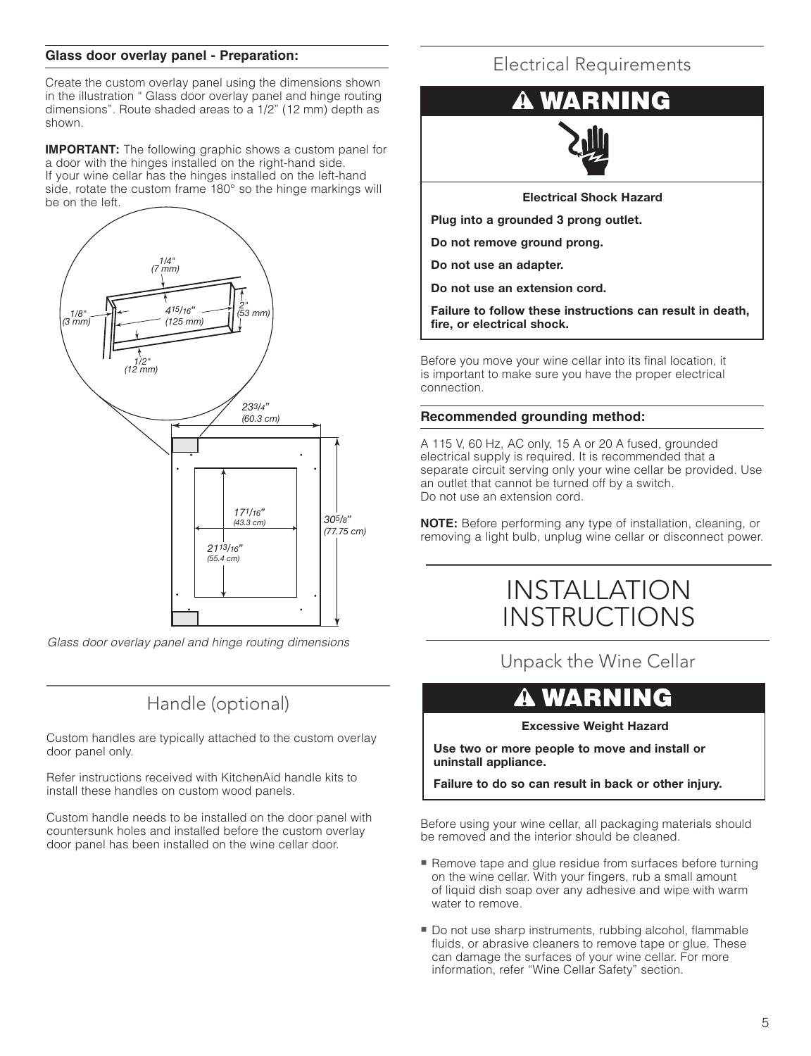#### **Glass door overlay panel - Preparation:**

Create the custom overlay panel using the dimensions shown in the illustration " Glass door overlay panel and hinge routing dimensions". Route shaded areas to a 1/2" (12 mm) depth as shown.

**IMPORTANT:** The following graphic shows a custom panel for a door with the hinges installed on the right-hand side. If your wine cellar has the hinges installed on the left-hand side, rotate the custom frame 180° so the hinge markings will be on the left.



Glass door overlay panel and hinge routing dimensions

### Handle (optional)

Custom handles are typically attached to the custom overlay door panel only.

Refer instructions received with KitchenAid handle kits to install these handles on custom wood panels.

Custom handle needs to be installed on the door panel with countersunk holes and installed before the custom overlay door panel has been installed on the wine cellar door.

### Electrical Requirements



**Electrical Shock Hazard**

**Plug into a grounded 3 prong outlet.**

**Do not remove ground prong.**

**Do not use an adapter.**

**Do not use an extension cord.**

**Failure to follow these instructions can result in death, fire, or electrical shock.**

Before you move your wine cellar into its final location, it is important to make sure you have the proper electrical connection.

#### **Recommended grounding method:**

A 115 V, 60 Hz, AC only, 15 A or 20 A fused, grounded electrical supply is required. It is recommended that a separate circuit serving only your wine cellar be provided. Use an outlet that cannot be turned off by a switch. Do not use an extension cord.

**NOTE:** Before performing any type of installation, cleaning, or removing a light bulb, unplug wine cellar or disconnect power.

# INSTALLATION **INSTRUCTIONS**

Unpack the Wine Cellar

# **A WARNING**

**Excessive Weight Hazard**

**Use two or more people to move and install or uninstall appliance.**

**Failure to do so can result in back or other injury.**

Before using your wine cellar, all packaging materials should be removed and the interior should be cleaned.

- **Remove tape and glue residue from surfaces before turning** on the wine cellar. With your fingers, rub a small amount of liquid dish soap over any adhesive and wipe with warm water to remove.
- Do not use sharp instruments, rubbing alcohol, flammable fluids, or abrasive cleaners to remove tape or glue. These can damage the surfaces of your wine cellar. For more information, refer "Wine Cellar Safety" section.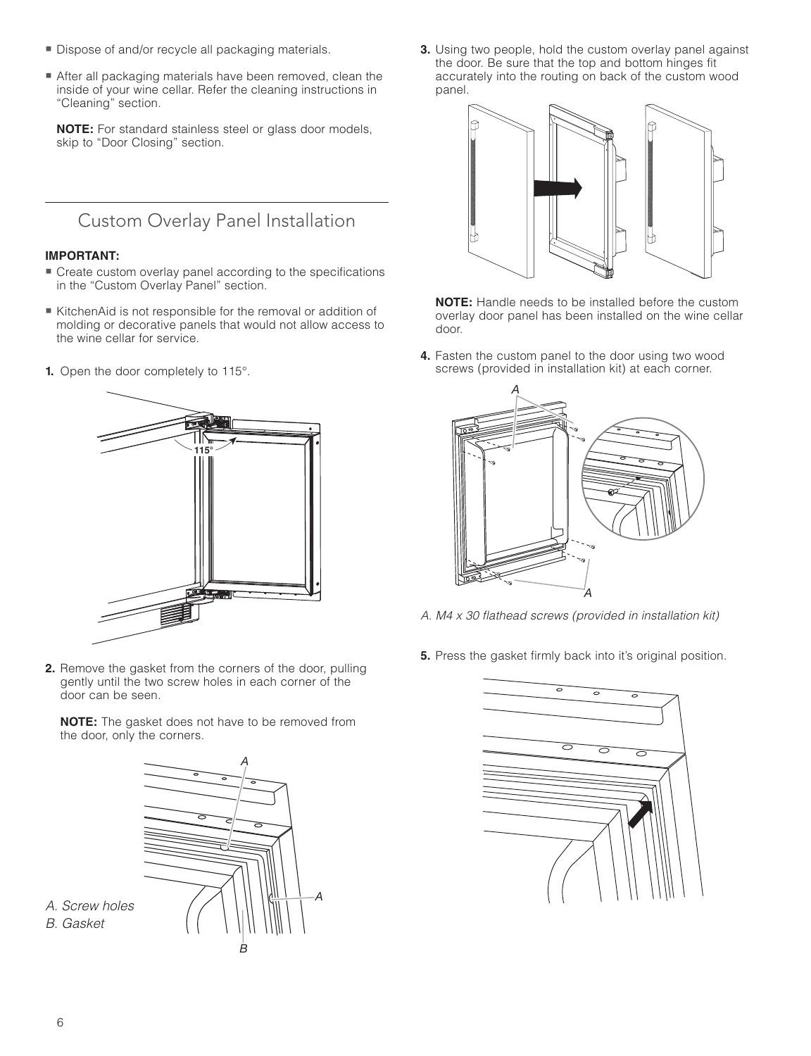- **Dispose of and/or recycle all packaging materials.**
- After all packaging materials have been removed, clean the inside of your wine cellar. Refer the cleaning instructions in "Cleaning" section.

**NOTE:** For standard stainless steel or glass door models, skip to "Door Closing" section.

Custom Overlay Panel Installation

#### **IMPORTANT:**

- "" Create custom overlay panel according to the specifications in the "Custom Overlay Panel" section.
- KitchenAid is not responsible for the removal or addition of molding or decorative panels that would not allow access to the wine cellar for service.
- **1.** Open the door completely to 115°.



**2.** Remove the gasket from the corners of the door, pulling gently until the two screw holes in each corner of the door can be seen.

**NOTE:** The gasket does not have to be removed from the door, only the corners.



**3.** Using two people, hold the custom overlay panel against the door. Be sure that the top and bottom hinges fit accurately into the routing on back of the custom wood panel.



 **NOTE:** Handle needs to be installed before the custom overlay door panel has been installed on the wine cellar door.

**4.** Fasten the custom panel to the door using two wood screws (provided in installation kit) at each corner.



- A. M4 x 30 flathead screws (provided in installation kit)
- **5.** Press the gasket firmly back into it's original position.



A. Screw holes B. Gasket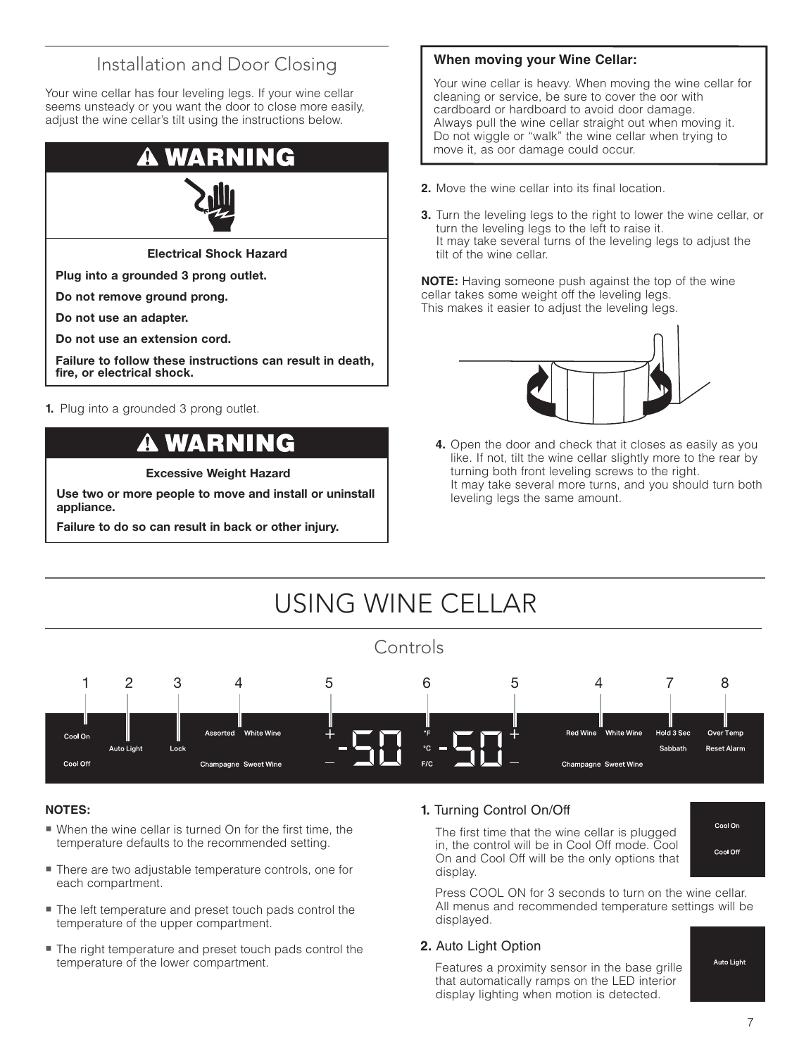### Installation and Door Closing

Your wine cellar has four leveling legs. If your wine cellar seems unsteady or you want the door to close more easily, adjust the wine cellar's tilt using the instructions below.



**Electrical Shock Hazard**

**Plug into a grounded 3 prong outlet.**

**Do not remove ground prong.**

**Do not use an adapter.**

**Do not use an extension cord.**

**Failure to follow these instructions can result in death, fire, or electrical shock.**

**1.** Plug into a grounded 3 prong outlet.

# WARNIN

**Excessive Weight Hazard**

**Use two or more people to move and install or uninstall appliance.**

**Failure to do so can result in back or other injury.**

#### **When moving your Wine Cellar:**

Your wine cellar is heavy. When moving the wine cellar for cleaning or service, be sure to cover the oor with cardboard or hardboard to avoid door damage. Always pull the wine cellar straight out when moving it. Do not wiggle or "walk" the wine cellar when trying to move it, as oor damage could occur.

- **2.** Move the wine cellar into its final location.
- **3.** Turn the leveling legs to the right to lower the wine cellar, or turn the leveling legs to the left to raise it. It may take several turns of the leveling legs to adjust the tilt of the wine cellar.

**NOTE:** Having someone push against the top of the wine cellar takes some weight off the leveling legs. This makes it easier to adjust the leveling legs.



**4.** Open the door and check that it closes as easily as you like. If not, tilt the wine cellar slightly more to the rear by turning both front leveling screws to the right. It may take several more turns, and you should turn both leveling legs the same amount.



#### **NOTES:**

- When the wine cellar is turned On for the first time, the temperature defaults to the recommended setting.
- There are two adjustable temperature controls, one for each compartment.
- The left temperature and preset touch pads control the temperature of the upper compartment.
- The right temperature and preset touch pads control the temperature of the lower compartment.

#### **1.** Turning Control On/Off

 The first time that the wine cellar is plugged in, the control will be in Cool Off mode. Cool On and Cool Off will be the only options that display.



 Press COOL ON for 3 seconds to turn on the wine cellar. All menus and recommended temperature settings will be displayed.

#### **2.** Auto Light Option

 Features a proximity sensor in the base grille that automatically ramps on the LED interior display lighting when motion is detected.

**Auto Light**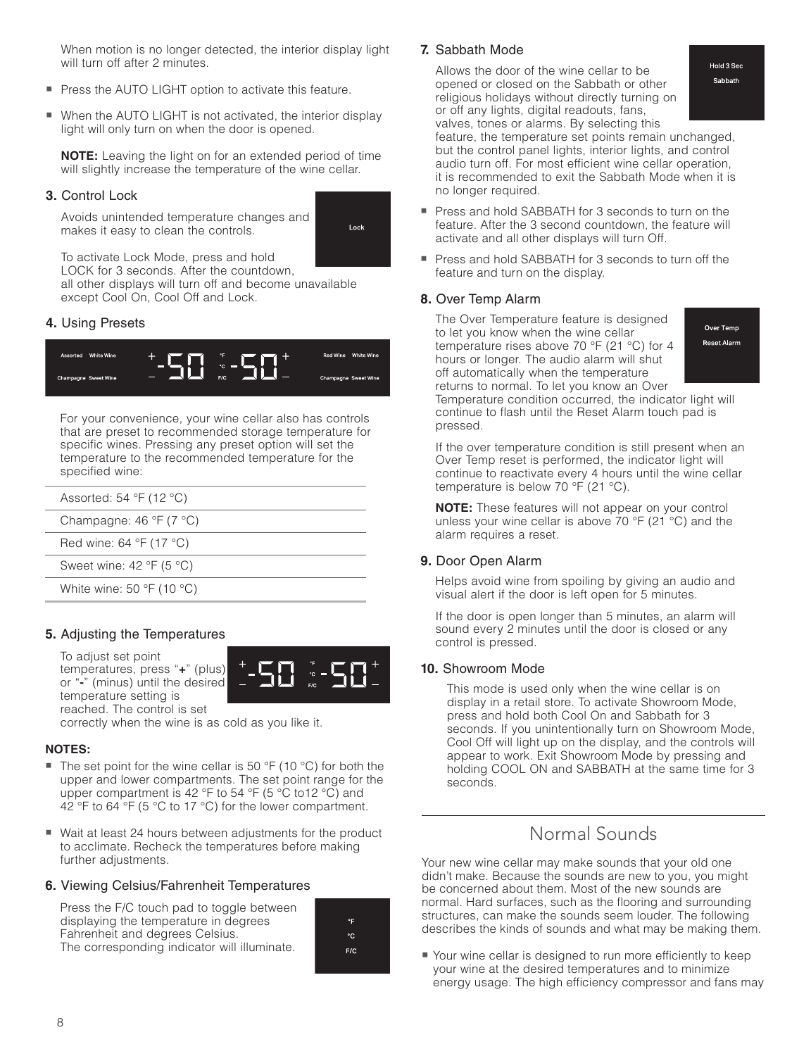When motion is no longer detected, the interior display light will turn off after 2 minutes.

- **Press the AUTO LIGHT option to activate this feature.**
- When the AUTO LIGHT is not activated, the interior display light will only turn on when the door is opened.

**NOTE:** Leaving the light on for an extended period of time will slightly increase the temperature of the wine cellar.

#### **3.** Control Lock

 Avoids unintended temperature changes and makes it easy to clean the controls.



 To activate Lock Mode, press and hold LOCK for 3 seconds. After the countdown,

all other displays will turn off and become unavailable except Cool On, Cool Off and Lock.

#### **4.** Using Presets



 For your convenience, your wine cellar also has controls that are preset to recommended storage temperature for specific wines. Pressing any preset option will set the temperature to the recommended temperature for the specified wine:

| Assorted: 54 $\degree$ F (12 $\degree$ C)           |  |
|-----------------------------------------------------|--|
| Champagne: $46 \text{ }^{\circ}F$ (7 $^{\circ}C$ )  |  |
| Red wine: $64 °F$ (17 °C)                           |  |
| Sweet wine: $42 \text{ }^{\circ}F$ (5 $^{\circ}C$ ) |  |
| White wine: 50 $\degree$ F (10 $\degree$ C)         |  |

#### **5.** Adjusting the Temperatures

 To adjust set point temperatures, press "**+**" (plus) or "**-**" (minus) until the desired temperature setting is reached. The control is set



correctly when the wine is as cold as you like it.

#### **NOTES:**

- The set point for the wine cellar is 50 °F (10 °C) for both the upper and lower compartments. The set point range for the upper compartment is 42 °F to 54 °F (5 °C to 12 °C) and 42 °F to 64 °F (5 °C to 17 °C) for the lower compartment.
- Wait at least 24 hours between adjustments for the product to acclimate. Recheck the temperatures before making further adjustments.

#### **6.** Viewing Celsius/Fahrenheit Temperatures

| Press the F/C touch pad to toggle between    |  |
|----------------------------------------------|--|
| displaying the temperature in degrees        |  |
| Fahrenheit and degrees Celsius.              |  |
| The corresponding indicator will illuminate. |  |



 $F/C$ 

#### **7.** Sabbath Mode

 Allows the door of the wine cellar to be opened or closed on the Sabbath or other religious holidays without directly turning on or off any lights, digital readouts, fans, valves, tones or alarms. By selecting this

Hold 3 Sec Sabbath

feature, the temperature set points remain unchanged, but the control panel lights, interior lights, and control audio turn off. For most efficient wine cellar operation, it is recommended to exit the Sabbath Mode when it is no longer required.

- Press and hold SABBATH for 3 seconds to turn on the feature. After the 3 second countdown, the feature will activate and all other displays will turn Off.
- **Press and hold SABBATH for 3 seconds to turn off the** feature and turn on the display.

#### **8.** Over Temp Alarm

pressed.

 The Over Temperature feature is designed to let you know when the wine cellar temperature rises above 70 °F (21 °C) for 4 hours or longer. The audio alarm will shut off automatically when the temperature returns to normal. To let you know an Over Temperature condition occurred, the indicator light will

Over Temp Reset Alarm

 If the over temperature condition is still present when an Over Temp reset is performed, the indicator light will continue to reactivate every 4 hours until the wine cellar temperature is below 70 °F (21 °C).

continue to flash until the Reset Alarm touch pad is

**NOTE:** These features will not appear on your control unless your wine cellar is above 70 °F (21 °C) and the alarm requires a reset.

#### **9.** Door Open Alarm

 Helps avoid wine from spoiling by giving an audio and visual alert if the door is left open for 5 minutes.

 If the door is open longer than 5 minutes, an alarm will sound every 2 minutes until the door is closed or any control is pressed.

#### **10.** Showroom Mode

 This mode is used only when the wine cellar is on display in a retail store. To activate Showroom Mode, press and hold both Cool On and Sabbath for 3 seconds. If you unintentionally turn on Showroom Mode, Cool Off will light up on the display, and the controls will appear to work. Exit Showroom Mode by pressing and holding COOL ON and SABBATH at the same time for 3 seconds.

### Normal Sounds

Your new wine cellar may make sounds that your old one didn't make. Because the sounds are new to you, you might be concerned about them. Most of the new sounds are normal. Hard surfaces, such as the flooring and surrounding structures, can make the sounds seem louder. The following describes the kinds of sounds and what may be making them.

■ Your wine cellar is designed to run more efficiently to keep your wine at the desired temperatures and to minimize energy usage. The high efficiency compressor and fans may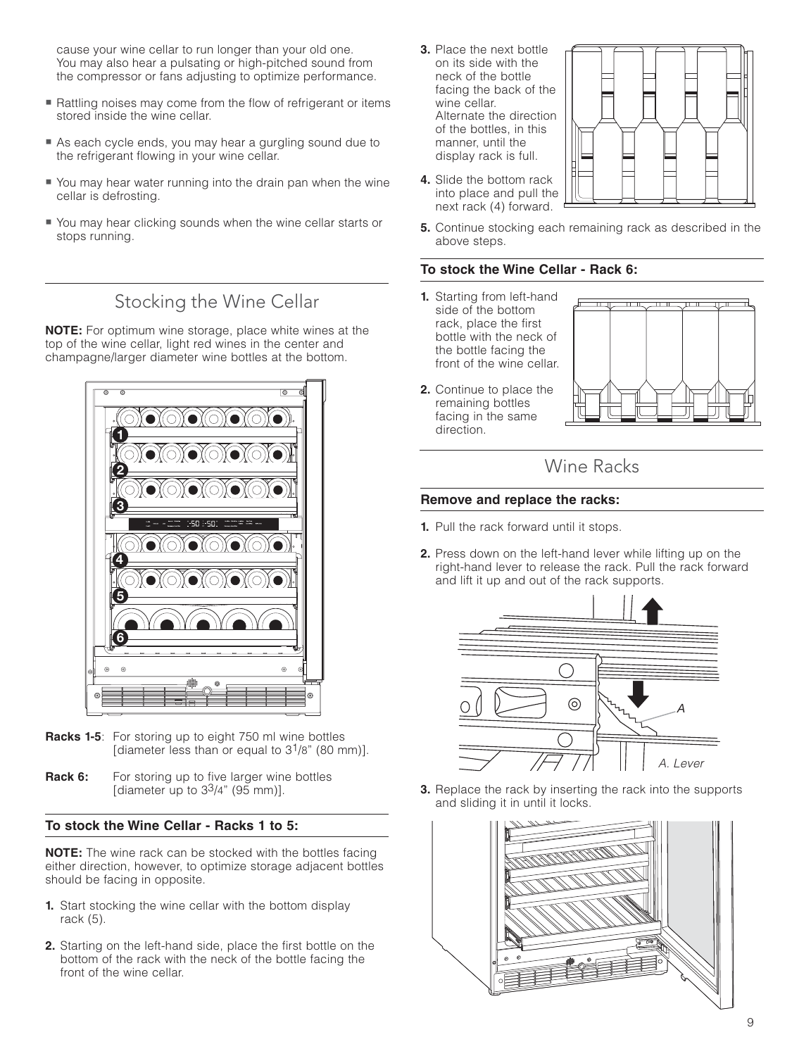cause your wine cellar to run longer than your old one. You may also hear a pulsating or high-pitched sound from the compressor or fans adjusting to optimize performance.

- Rattling noises may come from the flow of refrigerant or items stored inside the wine cellar.
- **As each cycle ends, you may hear a gurgling sound due to** the refrigerant flowing in your wine cellar.
- You may hear water running into the drain pan when the wine cellar is defrosting.
- You may hear clicking sounds when the wine cellar starts or stops running.

### Stocking the Wine Cellar

**NOTE:** For optimum wine storage, place white wines at the top of the wine cellar, light red wines in the center and champagne/larger diameter wine bottles at the bottom.



- **Racks 1-5**: For storing up to eight 750 ml wine bottles [diameter less than or equal to  $3^{1}/8$ " (80 mm)].
- **Rack 6:** For storing up to five larger wine bottles [diameter up to  $3<sup>3</sup>/4$ " (95 mm)].

#### **To stock the Wine Cellar - Racks 1 to 5:**

**NOTE:** The wine rack can be stocked with the bottles facing either direction, however, to optimize storage adjacent bottles should be facing in opposite.

- **1.** Start stocking the wine cellar with the bottom display rack (5).
- **2.** Starting on the left-hand side, place the first bottle on the bottom of the rack with the neck of the bottle facing the front of the wine cellar.
- **3.** Place the next bottle on its side with the neck of the bottle facing the back of the wine cellar. Alternate the direction of the bottles, in this manner, until the display rack is full.
- **4.** Slide the bottom rack into place and pull the next rack (4) forward.



**5.** Continue stocking each remaining rack as described in the above steps.

#### **To stock the Wine Cellar - Rack 6:**

- **1.** Starting from left-hand side of the bottom rack, place the first bottle with the neck of the bottle facing the front of the wine cellar.
- **2.** Continue to place the remaining bottles facing in the same direction.



### Wine Racks

#### **Remove and replace the racks:**

- **1.** Pull the rack forward until it stops.
- **2.** Press down on the left-hand lever while lifting up on the right-hand lever to release the rack. Pull the rack forward and lift it up and out of the rack supports.



**3.** Replace the rack by inserting the rack into the supports and sliding it in until it locks.

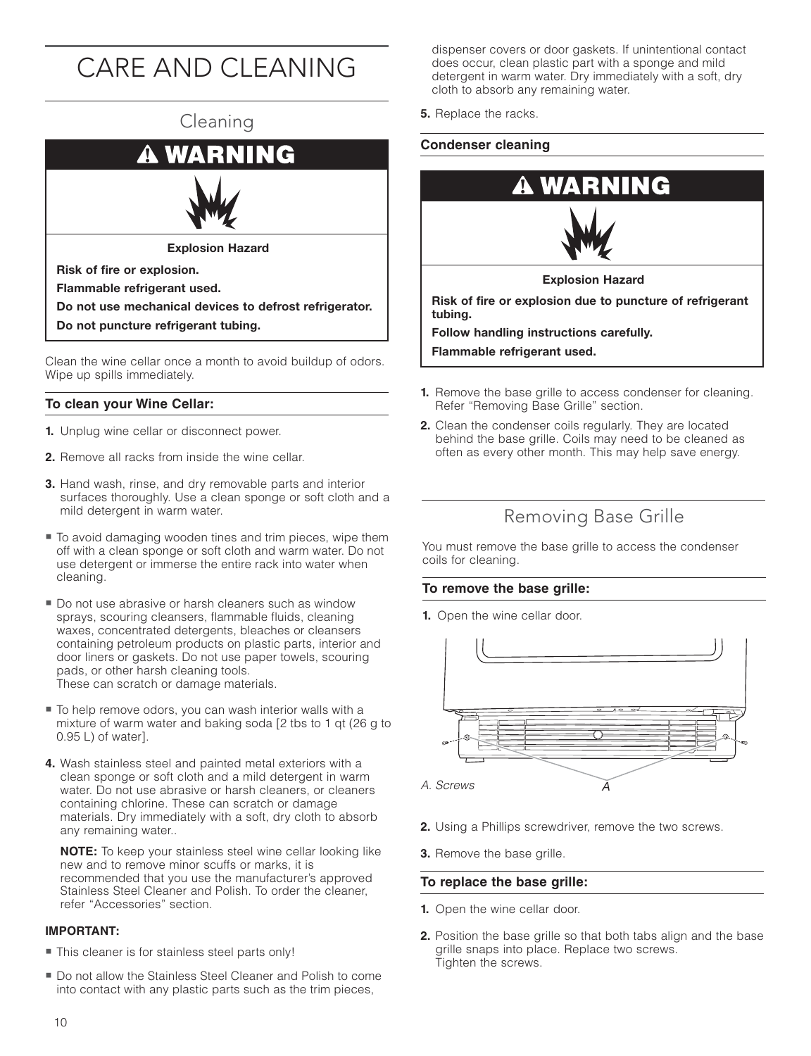# CARE AND CLEANING

# Cleaning **ING** WА **Explosion Hazard Risk of fire or explosion. Flammable refrigerant used. Do not use mechanical devices to defrost refrigerator. Do not puncture refrigerant tubing.**

Clean the wine cellar once a month to avoid buildup of odors. Wipe up spills immediately.

#### **To clean your Wine Cellar:**

- **1.** Unplug wine cellar or disconnect power.
- **2.** Remove all racks from inside the wine cellar.
- **3.** Hand wash, rinse, and dry removable parts and interior surfaces thoroughly. Use a clean sponge or soft cloth and a mild detergent in warm water.
- To avoid damaging wooden tines and trim pieces, wipe them off with a clean sponge or soft cloth and warm water. Do not use detergent or immerse the entire rack into water when cleaning.
- Do not use abrasive or harsh cleaners such as window sprays, scouring cleansers, flammable fluids, cleaning waxes, concentrated detergents, bleaches or cleansers containing petroleum products on plastic parts, interior and door liners or gaskets. Do not use paper towels, scouring pads, or other harsh cleaning tools. These can scratch or damage materials.
- To help remove odors, you can wash interior walls with a mixture of warm water and baking soda [2 tbs to 1 qt (26 g to 0.95 L) of water].
- **4.** Wash stainless steel and painted metal exteriors with a clean sponge or soft cloth and a mild detergent in warm water. Do not use abrasive or harsh cleaners, or cleaners containing chlorine. These can scratch or damage materials. Dry immediately with a soft, dry cloth to absorb any remaining water..

**NOTE:** To keep your stainless steel wine cellar looking like new and to remove minor scuffs or marks, it is recommended that you use the manufacturer's approved Stainless Steel Cleaner and Polish. To order the cleaner, refer "Accessories" section.

#### **IMPORTANT:**

- This cleaner is for stainless steel parts only!
- Do not allow the Stainless Steel Cleaner and Polish to come into contact with any plastic parts such as the trim pieces,

dispenser covers or door gaskets. If unintentional contact does occur, clean plastic part with a sponge and mild detergent in warm water. Dry immediately with a soft, dry cloth to absorb any remaining water.

**5.** Replace the racks.

#### **Condenser cleaning**



**Flammable refrigerant used.**

- **1.** Remove the base grille to access condenser for cleaning. Refer "Removing Base Grille" section.
- **2.** Clean the condenser coils regularly. They are located behind the base grille. Coils may need to be cleaned as often as every other month. This may help save energy.

### Removing Base Grille

You must remove the base grille to access the condenser coils for cleaning.

#### **To remove the base grille:**

**1.** Open the wine cellar door.



- **2.** Using a Phillips screwdriver, remove the two screws.
- **3.** Remove the base grille.

#### **To replace the base grille:**

- **1.** Open the wine cellar door.
- **2.** Position the base grille so that both tabs align and the base grille snaps into place. Replace two screws. Tighten the screws.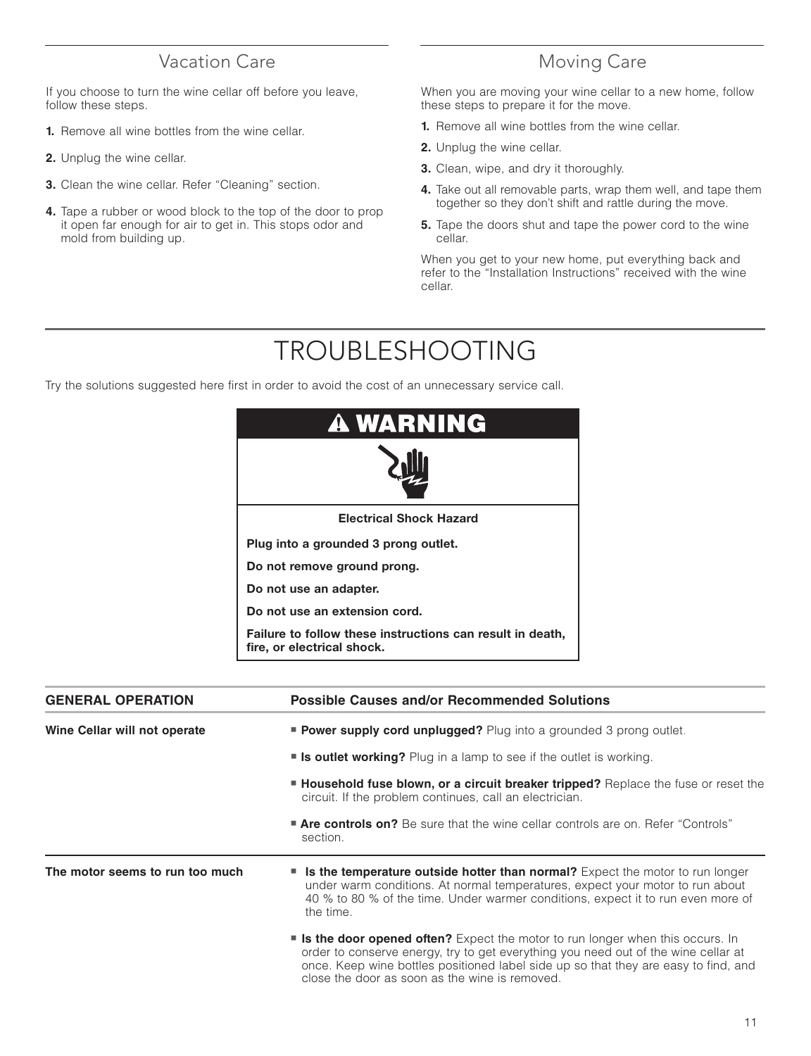### Vacation Care

If you choose to turn the wine cellar off before you leave, follow these steps.

- **1.** Remove all wine bottles from the wine cellar.
- **2.** Unplug the wine cellar.
- **3.** Clean the wine cellar. Refer "Cleaning" section.
- **4.** Tape a rubber or wood block to the top of the door to prop it open far enough for air to get in. This stops odor and mold from building up.

### Moving Care

When you are moving your wine cellar to a new home, follow these steps to prepare it for the move.

- **1.** Remove all wine bottles from the wine cellar.
- **2.** Unplug the wine cellar.
- **3.** Clean, wipe, and dry it thoroughly.
- **4.** Take out all removable parts, wrap them well, and tape them together so they don't shift and rattle during the move.
- **5.** Tape the doors shut and tape the power cord to the wine cellar.

When you get to your new home, put everything back and refer to the "Installation Instructions" received with the wine cellar.

# TROUBLESHOOTING

Try the solutions suggested here first in order to avoid the cost of an unnecessary service call.

| <b>A WARNING</b>                                                                        |
|-----------------------------------------------------------------------------------------|
|                                                                                         |
| <b>Electrical Shock Hazard</b>                                                          |
| Plug into a grounded 3 prong outlet.                                                    |
| Do not remove ground prong.                                                             |
| Do not use an adapter.                                                                  |
| Do not use an extension cord.                                                           |
| Failure to follow these instructions can result in death,<br>fire, or electrical shock. |

| <b>GENERAL OPERATION</b>        | <b>Possible Causes and/or Recommended Solutions</b>                                                                                                                                                                                                                                                                    |  |
|---------------------------------|------------------------------------------------------------------------------------------------------------------------------------------------------------------------------------------------------------------------------------------------------------------------------------------------------------------------|--|
| Wine Cellar will not operate    | <b>Power supply cord unplugged?</b> Plug into a grounded 3 prong outlet.                                                                                                                                                                                                                                               |  |
|                                 | <b>Is outlet working?</b> Plug in a lamp to see if the outlet is working.                                                                                                                                                                                                                                              |  |
|                                 | <b>Household fuse blown, or a circuit breaker tripped?</b> Replace the fuse or reset the<br>circuit. If the problem continues, call an electrician.                                                                                                                                                                    |  |
|                                 | <b>Are controls on?</b> Be sure that the wine cellar controls are on. Refer "Controls"<br>section.                                                                                                                                                                                                                     |  |
| The motor seems to run too much | <b>Is the temperature outside hotter than normal?</b> Expect the motor to run longer<br>under warm conditions. At normal temperatures, expect your motor to run about<br>40 % to 80 % of the time. Under warmer conditions, expect it to run even more of<br>the time.                                                 |  |
|                                 | <b>If is the door opened often?</b> Expect the motor to run longer when this occurs. In<br>order to conserve energy, try to get everything you need out of the wine cellar at<br>once. Keep wine bottles positioned label side up so that they are easy to find, and<br>close the door as soon as the wine is removed. |  |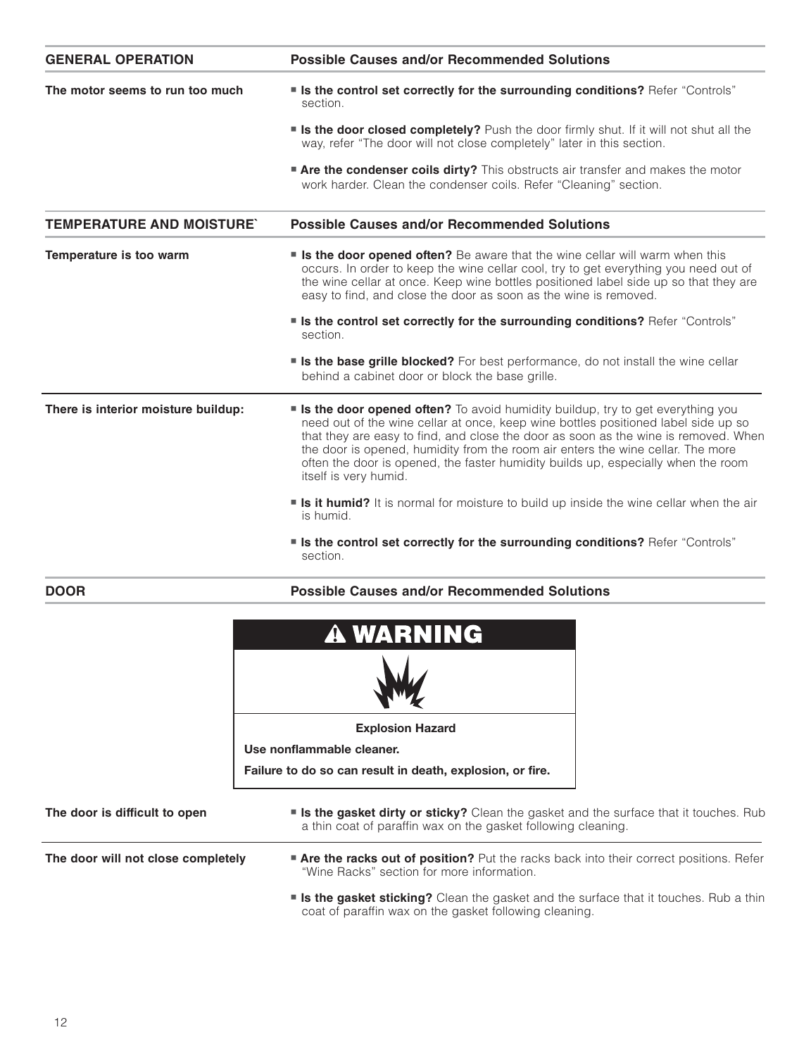| <b>GENERAL OPERATION</b>            | <b>Possible Causes and/or Recommended Solutions</b>                                                                                                                                                                                                                                                                                                                                                                                                                   |
|-------------------------------------|-----------------------------------------------------------------------------------------------------------------------------------------------------------------------------------------------------------------------------------------------------------------------------------------------------------------------------------------------------------------------------------------------------------------------------------------------------------------------|
| The motor seems to run too much     | " Is the control set correctly for the surrounding conditions? Refer "Controls"<br>section.                                                                                                                                                                                                                                                                                                                                                                           |
|                                     | <b>similary</b> Is the door closed completely? Push the door firmly shut. If it will not shut all the<br>way, refer "The door will not close completely" later in this section.                                                                                                                                                                                                                                                                                       |
|                                     | <b>Are the condenser coils dirty?</b> This obstructs air transfer and makes the motor<br>work harder. Clean the condenser coils. Refer "Cleaning" section.                                                                                                                                                                                                                                                                                                            |
| <b>TEMPERATURE AND MOISTURE'</b>    | <b>Possible Causes and/or Recommended Solutions</b>                                                                                                                                                                                                                                                                                                                                                                                                                   |
| Temperature is too warm             | <b>Is the door opened often?</b> Be aware that the wine cellar will warm when this<br>occurs. In order to keep the wine cellar cool, try to get everything you need out of<br>the wine cellar at once. Keep wine bottles positioned label side up so that they are<br>easy to find, and close the door as soon as the wine is removed.                                                                                                                                |
|                                     | " Is the control set correctly for the surrounding conditions? Refer "Controls"<br>section.                                                                                                                                                                                                                                                                                                                                                                           |
|                                     | <b>Is the base grille blocked?</b> For best performance, do not install the wine cellar<br>behind a cabinet door or block the base grille.                                                                                                                                                                                                                                                                                                                            |
| There is interior moisture buildup: | <b>s Is the door opened often?</b> To avoid humidity buildup, try to get everything you<br>need out of the wine cellar at once, keep wine bottles positioned label side up so<br>that they are easy to find, and close the door as soon as the wine is removed. When<br>the door is opened, humidity from the room air enters the wine cellar. The more<br>often the door is opened, the faster humidity builds up, especially when the room<br>itself is very humid. |
|                                     | <b>solution Is it humid?</b> It is normal for moisture to build up inside the wine cellar when the air<br>is humid.                                                                                                                                                                                                                                                                                                                                                   |
|                                     | " Is the control set correctly for the surrounding conditions? Refer "Controls"<br>section.                                                                                                                                                                                                                                                                                                                                                                           |
| <b>DOOR</b>                         | <b>Possible Causes and/or Recommended Solutions</b>                                                                                                                                                                                                                                                                                                                                                                                                                   |
|                                     | <b>A WARNING</b>                                                                                                                                                                                                                                                                                                                                                                                                                                                      |
|                                     | <b>Explosion Hazard</b>                                                                                                                                                                                                                                                                                                                                                                                                                                               |
|                                     | Use nonflammable cleaner.                                                                                                                                                                                                                                                                                                                                                                                                                                             |
|                                     | Failure to do so can result in death, explosion, or fire.                                                                                                                                                                                                                                                                                                                                                                                                             |
| The door is difficult to open       | <b>s Is the gasket dirty or sticky?</b> Clean the gasket and the surface that it touches. Rub<br>a thin coat of paraffin wax on the gasket following cleaning.                                                                                                                                                                                                                                                                                                        |
| The door will not close completely  | <b>Are the racks out of position?</b> Put the racks back into their correct positions. Refer<br>"Wine Racks" section for more information.                                                                                                                                                                                                                                                                                                                            |
|                                     | <b>s Is the gasket sticking?</b> Clean the gasket and the surface that it touches. Rub a thin                                                                                                                                                                                                                                                                                                                                                                         |

coat of paraffin wax on the gasket following cleaning.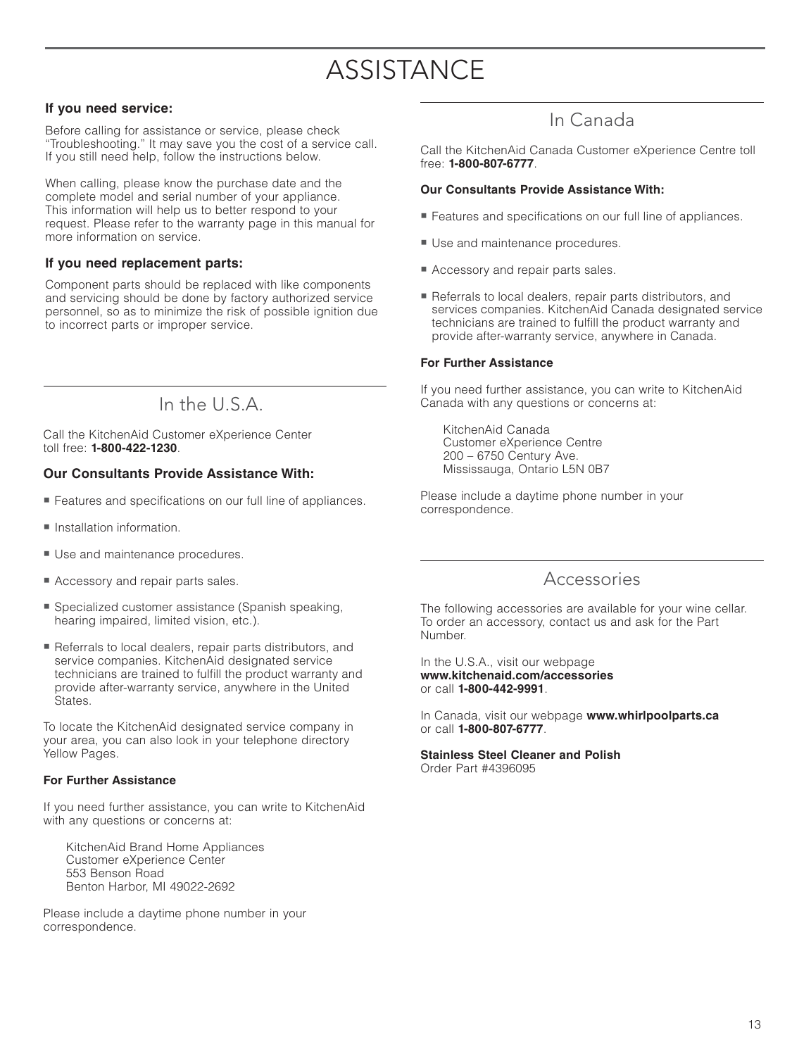# **ASSISTANCE**

#### **If you need service:**

Before calling for assistance or service, please check "Troubleshooting." It may save you the cost of a service call. If you still need help, follow the instructions below.

When calling, please know the purchase date and the complete model and serial number of your appliance. This information will help us to better respond to your request. Please refer to the warranty page in this manual for more information on service.

#### **If you need replacement parts:**

Component parts should be replaced with like components and servicing should be done by factory authorized service personnel, so as to minimize the risk of possible ignition due to incorrect parts or improper service.

In the U.S.A.

Call the KitchenAid Customer eXperience Center toll free: **1-800-422-1230**.

#### **Our Consultants Provide Assistance With:**

- Features and specifications on our full line of appliances.
- **Installation information.**
- **Use and maintenance procedures.**
- **Accessory and repair parts sales.**
- Specialized customer assistance (Spanish speaking, hearing impaired, limited vision, etc.).
- Referrals to local dealers, repair parts distributors, and service companies. KitchenAid designated service technicians are trained to fulfill the product warranty and provide after-warranty service, anywhere in the United States.

To locate the KitchenAid designated service company in your area, you can also look in your telephone directory Yellow Pages.

#### **For Further Assistance**

If you need further assistance, you can write to KitchenAid with any questions or concerns at:

 KitchenAid Brand Home Appliances Customer eXperience Center 553 Benson Road Benton Harbor, MI 49022-2692

Please include a daytime phone number in your correspondence.

### In Canada

Call the KitchenAid Canada Customer eXperience Centre toll free: **1-800-807-6777**.

#### **Our Consultants Provide Assistance With:**

- Features and specifications on our full line of appliances.
- **Use and maintenance procedures.**
- **Accessory and repair parts sales.**
- Referrals to local dealers, repair parts distributors, and services companies. KitchenAid Canada designated service technicians are trained to fulfill the product warranty and provide after-warranty service, anywhere in Canada.

#### **For Further Assistance**

If you need further assistance, you can write to KitchenAid Canada with any questions or concerns at:

 KitchenAid Canada Customer eXperience Centre 200 – 6750 Century Ave. Mississauga, Ontario L5N 0B7

Please include a daytime phone number in your correspondence.

### Accessories

The following accessories are available for your wine cellar. To order an accessory, contact us and ask for the Part Number.

In the U.S.A., visit our webpage **www.kitchenaid.com/accessories** or call **1-800-442-9991**.

In Canada, visit our webpage **www.whirlpoolparts.ca** or call **1-800-807-6777**.

**Stainless Steel Cleaner and Polish** Order Part #4396095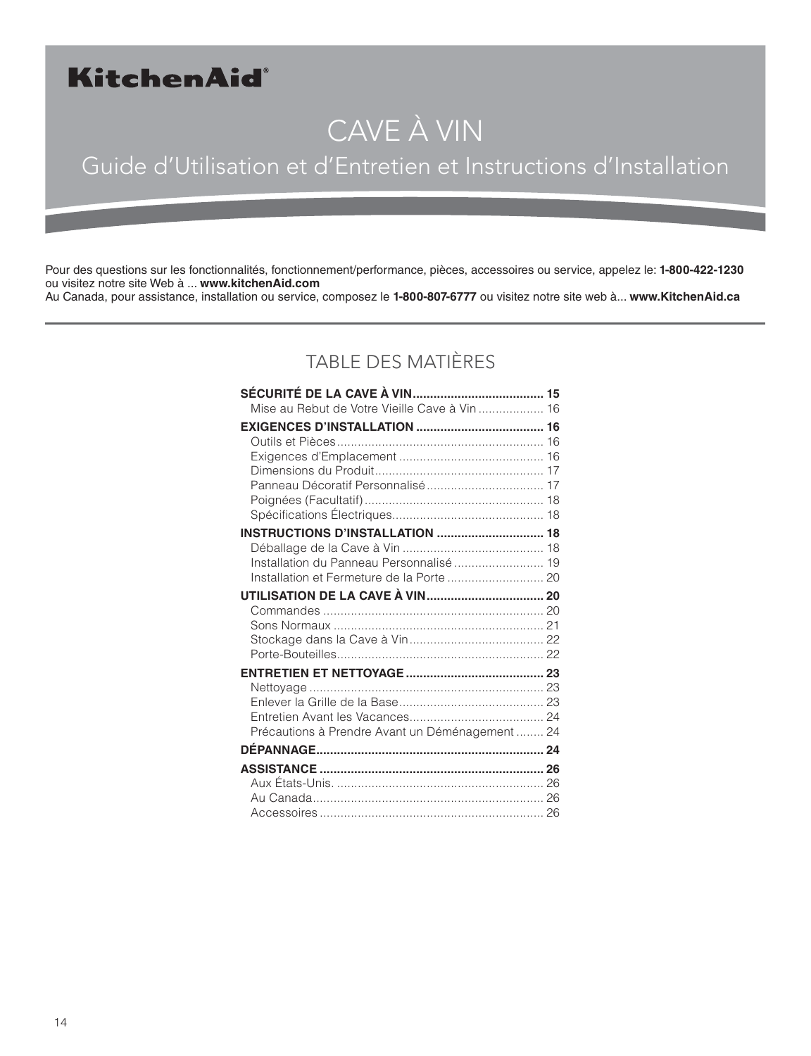# KitchenAid®

# CAVE À VIN

# Guide d'Utilisation et d'Entretien et Instructions d'Installation

Pour des questions sur les fonctionnalités, fonctionnement/performance, pièces, accessoires ou service, appelez le: **1-800-422-1230** ou visitez notre site Web à ... **www.kitchenAid.com** Au Canada, pour assistance, installation ou service, composez le **1-800-807-6777** ou visitez notre site web à... **www.KitchenAid.ca**

### TABLE DES MATIÈRES

| Mise au Rebut de Votre Vieille Cave à Vin  16   |  |
|-------------------------------------------------|--|
|                                                 |  |
|                                                 |  |
|                                                 |  |
|                                                 |  |
| Panneau Décoratif Personnalisé 17               |  |
|                                                 |  |
|                                                 |  |
| <b>INSTRUCTIONS D'INSTALLATION  18</b>          |  |
| Installation du Panneau Personnalisé  19        |  |
| Installation et Fermeture de la Porte  20       |  |
|                                                 |  |
|                                                 |  |
|                                                 |  |
|                                                 |  |
|                                                 |  |
|                                                 |  |
|                                                 |  |
|                                                 |  |
|                                                 |  |
| Précautions à Prendre Avant un Déménagement  24 |  |
|                                                 |  |
|                                                 |  |
|                                                 |  |
|                                                 |  |
|                                                 |  |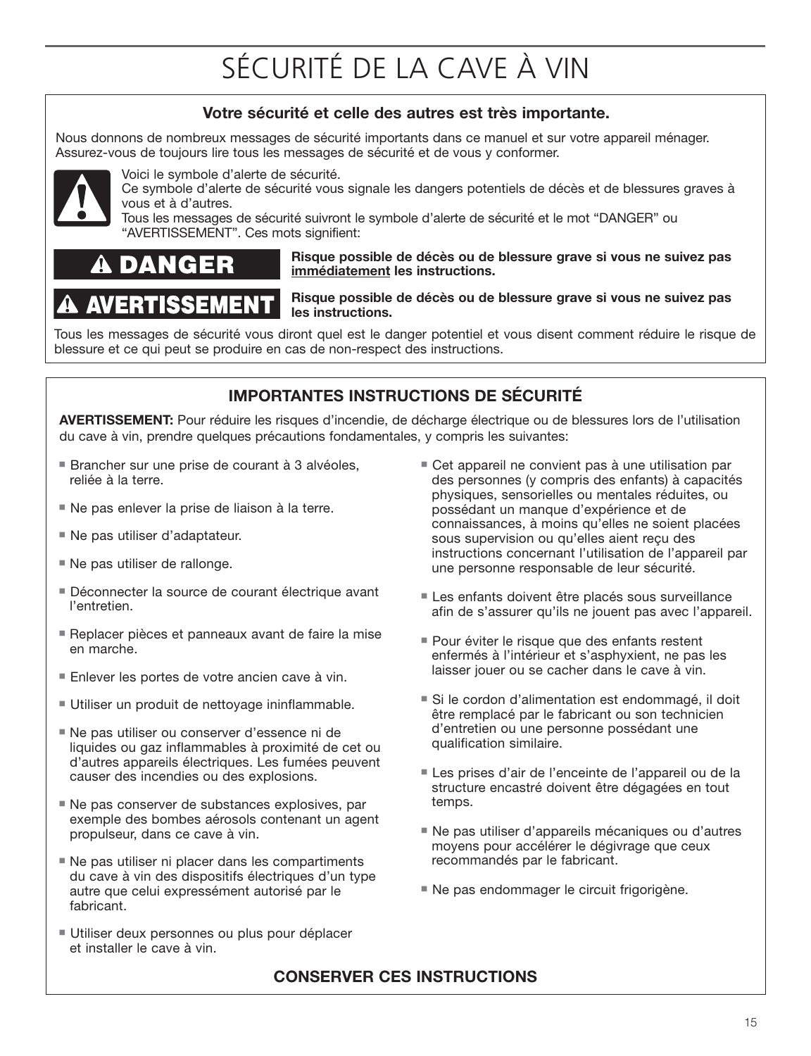# SÉCURITÉ DE LA CAVE À VIN

### **Votre sécurité et celle des autres est très importante.**

Nous donnons de nombreux messages de sécurité importants dans ce manuel et sur votre appareil ménager. Assurez-vous de toujours lire tous les messages de sécurité et de vous y conformer.



Voici le symbole d'alerte de sécurité.

Ce symbole d'alerte de sécurité vous signale les dangers potentiels de décès et de blessures graves à vous et à d'autres.

Tous les messages de sécurité suivront le symbole d'alerte de sécurité et le mot "DANGER" ou "AVERTISSEMENT". Ces mots signifient:

#### GFR DA

AVERTISSEMEN'

#### **Risque possible de décès ou de blessure grave si vous ne suivez pas immédiatement les instructions.**

#### **Risque possible de décès ou de blessure grave si vous ne suivez pas les instructions.**

Tous les messages de sécurité vous diront quel est le danger potentiel et vous disent comment réduire le risque de blessure et ce qui peut se produire en cas de non-respect des instructions.

### **IMPORTANTES INSTRUCTIONS DE SÉCURITÉ**

**AVERTISSEMENT:** Pour réduire les risques d'incendie, de décharge électrique ou de blessures lors de l'utilisation du cave à vin, prendre quelques précautions fondamentales, y compris les suivantes:

- Brancher sur une prise de courant à 3 alvéoles, reliée à la terre.
- Ne pas enlever la prise de liaison à la terre.
- Ne pas utiliser d'adaptateur.
- Ne pas utiliser de rallonge.
- Déconnecter la source de courant électrique avant l'entretien.
- Replacer pièces et panneaux avant de faire la mise en marche.
- Enlever les portes de votre ancien cave à vin.
- **Utiliser un produit de nettoyage ininflammable.**
- Ne pas utiliser ou conserver d'essence ni de liquides ou gaz inflammables à proximité de cet ou d'autres appareils électriques. Les fumées peuvent causer des incendies ou des explosions.
- Ne pas conserver de substances explosives, par exemple des bombes aérosols contenant un agent propulseur, dans ce cave à vin.
- Ne pas utiliser ni placer dans les compartiments du cave à vin des dispositifs électriques d'un type autre que celui expressément autorisé par le fabricant.
- **Utiliser deux personnes ou plus pour déplacer** et installer le cave à vin.
- Cet appareil ne convient pas à une utilisation par des personnes (y compris des enfants) à capacités physiques, sensorielles ou mentales réduites, ou possédant un manque d'expérience et de connaissances, à moins qu'elles ne soient placées sous supervision ou qu'elles aient reçu des instructions concernant l'utilisation de l'appareil par une personne responsable de leur sécurité.
- Les enfants doivent être placés sous surveillance afin de s'assurer qu'ils ne jouent pas avec l'appareil.
- Pour éviter le risque que des enfants restent enfermés à l'intérieur et s'asphyxient, ne pas les laisser jouer ou se cacher dans le cave à vin.
- Si le cordon d'alimentation est endommagé, il doit être remplacé par le fabricant ou son technicien d'entretien ou une personne possédant une qualification similaire.
- Les prises d'air de l'enceinte de l'appareil ou de la structure encastré doivent être dégagées en tout temps.
- Ne pas utiliser d'appareils mécaniques ou d'autres moyens pour accélérer le dégivrage que ceux recommandés par le fabricant.
- Ne pas endommager le circuit frigorigène.

### **CONSERVER CES INSTRUCTIONS**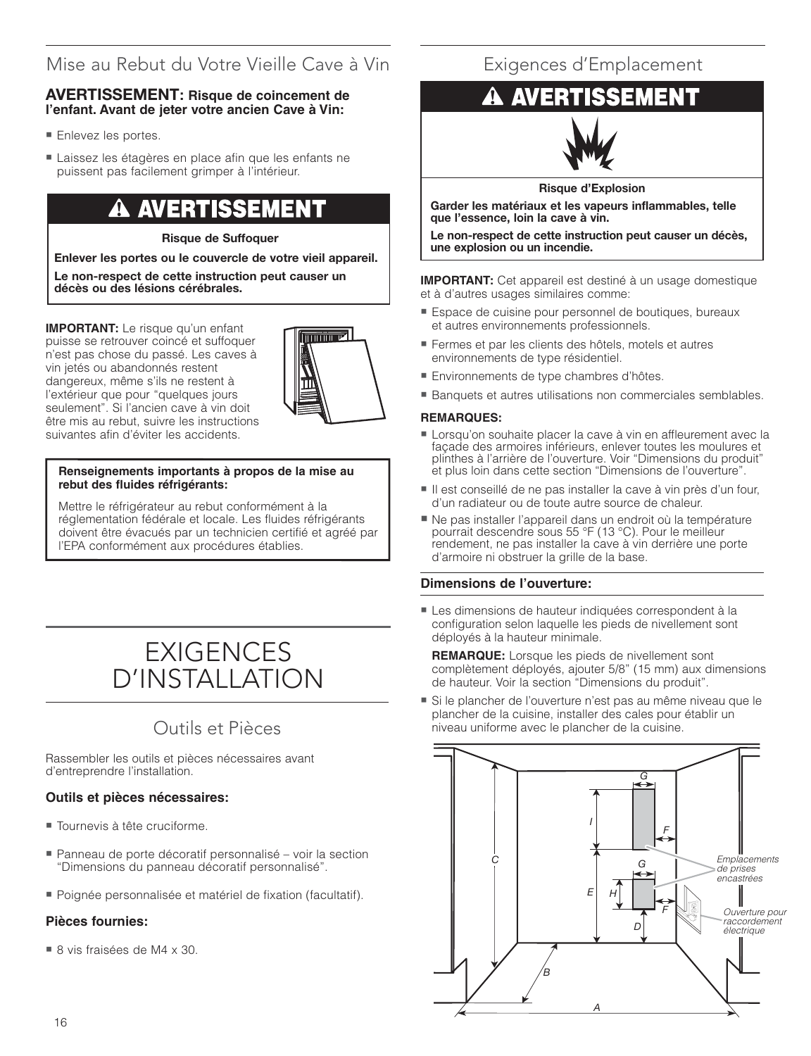### Mise au Rebut du Votre Vieille Cave à Vin

#### **AVERTISSEMENT: Risque de coincement de l'enfant. Avant de jeter votre ancien Cave à Vin:**

- Enlevez les portes.
- Laissez les étagères en place afin que les enfants ne puissent pas facilement grimper à l'intérieur.

# **AVERTISSEMENT**

#### **Risque de Suffoquer**

**Enlever les portes ou le couvercle de votre vieil appareil.**

**Le non-respect de cette instruction peut causer un décès ou des lésions cérébrales.**

**IMPORTANT:** Le risque qu'un enfant puisse se retrouver coincé et suffoquer n'est pas chose du passé. Les caves à vin jetés ou abandonnés restent dangereux, même s'ils ne restent à l'extérieur que pour "quelques jours seulement". Si l'ancien cave à vin doit être mis au rebut, suivre les instructions suivantes afin d'éviter les accidents.



#### **Renseignements importants à propos de la mise au** rebut des fluides réfrigérants:

Mettre le réfrigérateur au rebut conformément à la réglementation fédérale et locale. Les fluides réfrigérants doivent être évacués par un technicien certifié et agréé par l'EPA conformément aux procédures établies.

# EXIGENCES D'INSTALLATION

### Outils et Pièces

Rassembler les outils et pièces nécessaires avant d'entreprendre l'installation.

#### **Outils et pièces nécessaires:**

- Tournevis à tête cruciforme.
- Panneau de porte décoratif personnalisé voir la section "Dimensions du panneau décoratif personnalisé".
- Poignée personnalisée et matériel de fi xation (facultatif).

#### **Pièces fournies:**

■ 8 vis fraisées de M4 x 30.

### Exigences d'Emplacement

# **AVERTISSEMENT**



**Risque d'Explosion**

**Garder les matériaux et les vapeurs inflammables, telle que l'essence, loin la cave à vin.**

**Le non-respect de cette instruction peut causer un décès, une explosion ou un incendie.**

**IMPORTANT:** Cet appareil est destiné à un usage domestique et à d'autres usages similaires comme:

- Espace de cuisine pour personnel de boutiques, bureaux et autres environnements professionnels.
- Fermes et par les clients des hôtels, motels et autres environnements de type résidentiel.
- Environnements de type chambres d'hôtes.
- Banquets et autres utilisations non commerciales semblables.

#### **REMARQUES:**

- Lorsqu'on souhaite placer la cave à vin en affleurement avec la façade des armoires inférieurs, enlever toutes les moulures et plinthes à l'arrière de l'ouverture. Voir "Dimensions du produit" et plus loin dans cette section "Dimensions de l'ouverture".
- Il est conseillé de ne pas installer la cave à vin près d'un four, d'un radiateur ou de toute autre source de chaleur.
- Ne pas installer l'appareil dans un endroit où la température pourrait descendre sous 55 °F (13 °C). Pour le meilleur rendement, ne pas installer la cave à vin derrière une porte d'armoire ni obstruer la grille de la base.

#### **Dimensions de l'ouverture:**

- Les dimensions de hauteur indiquées correspondent à la configuration selon laquelle les pieds de nivellement sont déployés à la hauteur minimale.

**REMARQUE:** Lorsque les pieds de nivellement sont complètement déployés, ajouter 5/8" (15 mm) aux dimensions de hauteur. Voir la section "Dimensions du produit".

- Si le plancher de l'ouverture n'est pas au même niveau que le plancher de la cuisine, installer des cales pour établir un niveau uniforme avec le plancher de la cuisine.

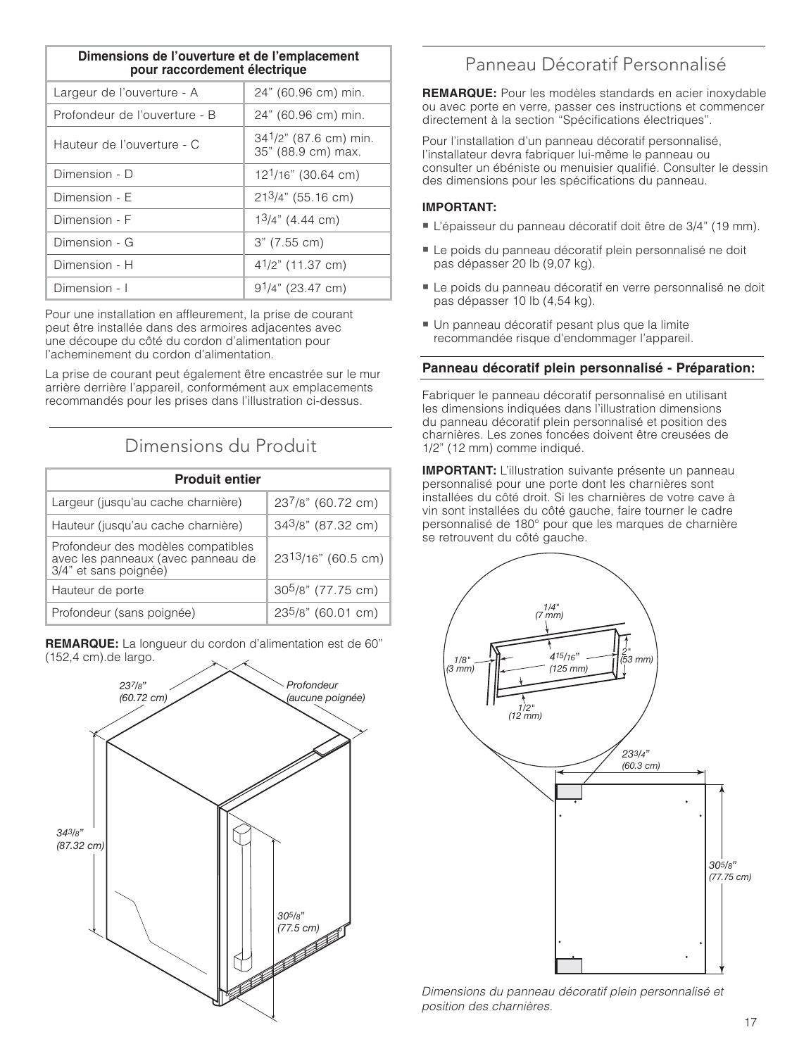| Dimensions de l'ouverture et de l'emplacement<br>pour raccordement électrique |                                                   |
|-------------------------------------------------------------------------------|---------------------------------------------------|
| Largeur de l'ouverture - A                                                    | 24" (60.96 cm) min.                               |
| Profondeur de l'ouverture - B                                                 | 24" (60.96 cm) min.                               |
| Hauteur de l'ouverture - C                                                    | $34^{1}/2$ " (87.6 cm) min.<br>35" (88.9 cm) max. |
| Dimension - D                                                                 | 12 <sup>1</sup> /16" (30.64 cm)                   |
| Dimension - E                                                                 | $213/4$ " (55.16 cm)                              |
| Dimension - F                                                                 | $13/4$ " (4.44 cm)                                |
| Dimension - G                                                                 | 3" (7.55 cm)                                      |
| Dimension - H                                                                 | $4^{1}/2$ " (11.37 cm)                            |
| Dimension - I                                                                 | $91/4$ " (23.47 cm)                               |

Pour une installation en affleurement, la prise de courant peut être installée dans des armoires adjacentes avec une découpe du côté du cordon d'alimentation pour l'acheminement du cordon d'alimentation.

La prise de courant peut également être encastrée sur le mur arrière derrière l'appareil, conformément aux emplacements recommandés pour les prises dans l'illustration ci-dessus.

### Dimensions du Produit

| <b>Produit entier</b>                                                                             |                                 |
|---------------------------------------------------------------------------------------------------|---------------------------------|
| Largeur (jusqu'au cache charnière)                                                                | 237/8" (60.72 cm)               |
| Hauteur (jusqu'au cache charnière)                                                                | $343/8$ " (87.32 cm)            |
| Profondeur des modèles compatibles<br>avec les panneaux (avec panneau de<br>3/4" et sans poignée) | 23 <sup>13</sup> /16" (60.5 cm) |
| Hauteur de porte                                                                                  | 30 <sup>5</sup> /8" (77.75 cm)  |
| Profondeur (sans poignée)                                                                         | 23 <sup>5</sup> /8" (60.01 cm)  |

**REMARQUE:** La longueur du cordon d'alimentation est de 60" (152,4 cm).de largo.



### Panneau Décoratif Personnalisé

**REMARQUE:** Pour les modèles standards en acier inoxydable ou avec porte en verre, passer ces instructions et commencer directement à la section "Spécifications électriques".

Pour l'installation d'un panneau décoratif personnalisé, l'installateur devra fabriquer lui-même le panneau ou consulter un ébéniste ou menuisier qualifié. Consulter le dessin des dimensions pour les spécifications du panneau.

#### **IMPORTANT:**

- L'épaisseur du panneau décoratif doit être de 3/4" (19 mm).
- Le poids du panneau décoratif plein personnalisé ne doit pas dépasser 20 lb (9,07 kg).
- Le poids du panneau décoratif en verre personnalisé ne doit pas dépasser 10 lb (4,54 kg).
- Un panneau décoratif pesant plus que la limite recommandée risque d'endommager l'appareil.

#### **Panneau décoratif plein personnalisé - Préparation:**

Fabriquer le panneau décoratif personnalisé en utilisant les dimensions indiquées dans l'illustration dimensions du panneau décoratif plein personnalisé et position des charnières. Les zones foncées doivent être creusées de 1/2" (12 mm) comme indiqué.

**IMPORTANT:** L'illustration suivante présente un panneau personnalisé pour une porte dont les charnières sont installées du côté droit. Si les charnières de votre cave à vin sont installées du côté gauche, faire tourner le cadre personnalisé de 180° pour que les marques de charnière se retrouvent du côté gauche.



Dimensions du panneau décoratif plein personnalisé et position des charnières.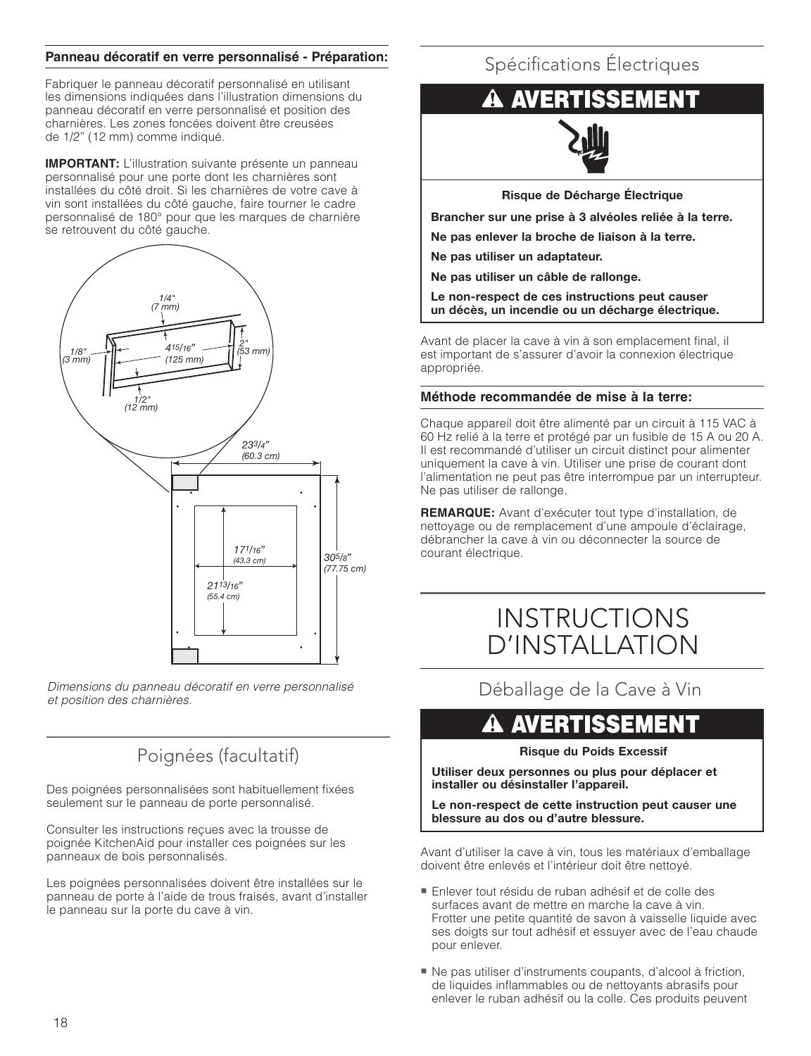#### **Panneau décoratif en verre personnalisé - Préparation:**

Fabriquer le panneau décoratif personnalisé en utilisant les dimensions indiquées dans l'illustration dimensions du panneau décoratif en verre personnalisé et position des charnières. Les zones foncées doivent être creusées de 1/2" (12 mm) comme indiqué.

**IMPORTANT:** L'illustration suivante présente un panneau personnalisé pour une porte dont les charnières sont installées du côté droit. Si les charnières de votre cave à vin sont installées du côté gauche, faire tourner le cadre personnalisé de 180° pour que les marques de charnière se retrouvent du côté gauche.



Dimensions du panneau décoratif en verre personnalisé et position des charnières.

### Poignées (facultatif)

Des poignées personnalisées sont habituellement fixées seulement sur le panneau de porte personnalisé.

Consulter les instructions reçues avec la trousse de poignée KitchenAid pour installer ces poignées sur les panneaux de bois personnalisés.

Les poignées personnalisées doivent être installées sur le panneau de porte à l'aide de trous fraisés, avant d'installer le panneau sur la porte du cave à vin.

### Spécifications Électriques

# **A AVERTISSEMENT**



**Risque de Décharge Électrique**

**Brancher sur une prise à 3 alvéoles reliée à la terre.**

**Ne pas enlever la broche de liaison à la terre.**

**Ne pas utiliser un adaptateur.**

**Ne pas utiliser un câble de rallonge.**

**Le non-respect de ces instructions peut causer un décès, un incendie ou un décharge électrique.**

Avant de placer la cave à vin à son emplacement final, il est important de s'assurer d'avoir la connexion électrique appropriée.

#### **Méthode recommandée de mise à la terre:**

Chaque appareil doit être alimenté par un circuit à 115 VAC à 60 Hz relié à la terre et protégé par un fusible de 15 A ou 20 A. Il est recommandé d'utiliser un circuit distinct pour alimenter uniquement la cave à vin. Utiliser une prise de courant dont l'alimentation ne peut pas être interrompue par un interrupteur. Ne pas utiliser de rallonge.

**REMARQUE:** Avant d'exécuter tout type d'installation, de nettoyage ou de remplacement d'une ampoule d'éclairage, débrancher la cave à vin ou déconnecter la source de courant électrique.

# INSTRUCTIONS D'INSTALLATION

Déballage de la Cave à Vin

### **A AVERTISSEMENT**

#### **Risque du Poids Excessif**

**Utiliser deux personnes ou plus pour déplacer et installer ou désinstaller l'appareil.**

**Le non-respect de cette instruction peut causer une blessure au dos ou d'autre blessure.**

Avant d'utiliser la cave à vin, tous les matériaux d'emballage doivent être enlevés et l'intérieur doit être nettoyé.

- Enlever tout résidu de ruban adhésif et de colle des surfaces avant de mettre en marche la cave à vin. Frotter une petite quantité de savon à vaisselle liquide avec ses doigts sur tout adhésif et essuyer avec de l'eau chaude pour enlever.
- Ne pas utiliser d'instruments coupants, d'alcool à friction, de liquides inflammables ou de nettoyants abrasifs pour enlever le ruban adhésif ou la colle. Ces produits peuvent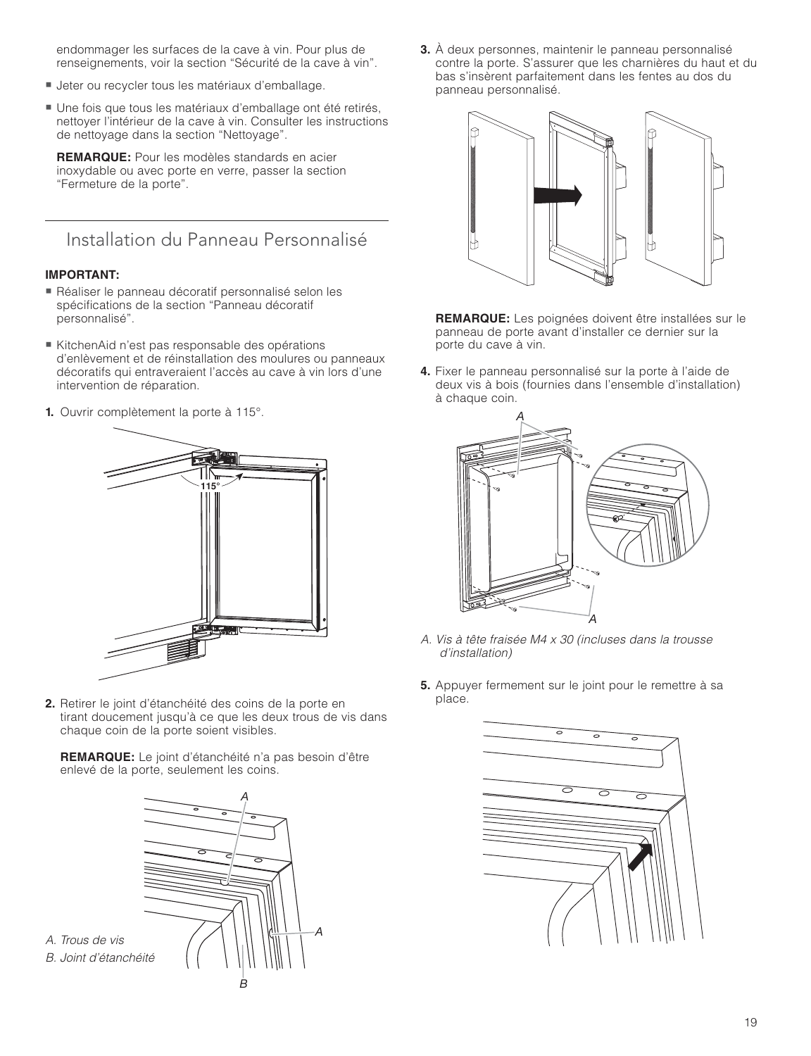endommager les surfaces de la cave à vin. Pour plus de renseignements, voir la section "Sécurité de la cave à vin".

- Jeter ou recycler tous les matériaux d'emballage.
- Une fois que tous les matériaux d'emballage ont été retirés, nettoyer l'intérieur de la cave à vin. Consulter les instructions de nettoyage dans la section "Nettoyage".

**REMARQUE:** Pour les modèles standards en acier inoxydable ou avec porte en verre, passer la section "Fermeture de la porte".

Installation du Panneau Personnalisé

#### **IMPORTANT:**

- Réaliser le panneau décoratif personnalisé selon les spécifications de la section "Panneau décoratif personnalisé".
- KitchenAid n'est pas responsable des opérations d'enlèvement et de réinstallation des moulures ou panneaux décoratifs qui entraveraient l'accès au cave à vin lors d'une intervention de réparation.
- **1.** Ouvrir complètement la porte à 115°.



**2.** Retirer le joint d'étanchéité des coins de la porte en tirant doucement jusqu'à ce que les deux trous de vis dans chaque coin de la porte soient visibles.

**REMARQUE:** Le joint d'étanchéité n'a pas besoin d'être enlevé de la porte, seulement les coins.



**3.** À deux personnes, maintenir le panneau personnalisé contre la porte. S'assurer que les charnières du haut et du bas s'insèrent parfaitement dans les fentes au dos du panneau personnalisé.



 **REMARQUE:** Les poignées doivent être installées sur le panneau de porte avant d'installer ce dernier sur la porte du cave à vin.

**4.** Fixer le panneau personnalisé sur la porte à l'aide de deux vis à bois (fournies dans l'ensemble d'installation) à chaque coin.



- A. Vis à tête fraisée M4 x 30 (incluses dans la trousse d'installation)
- **5.** Appuyer fermement sur le joint pour le remettre à sa place.

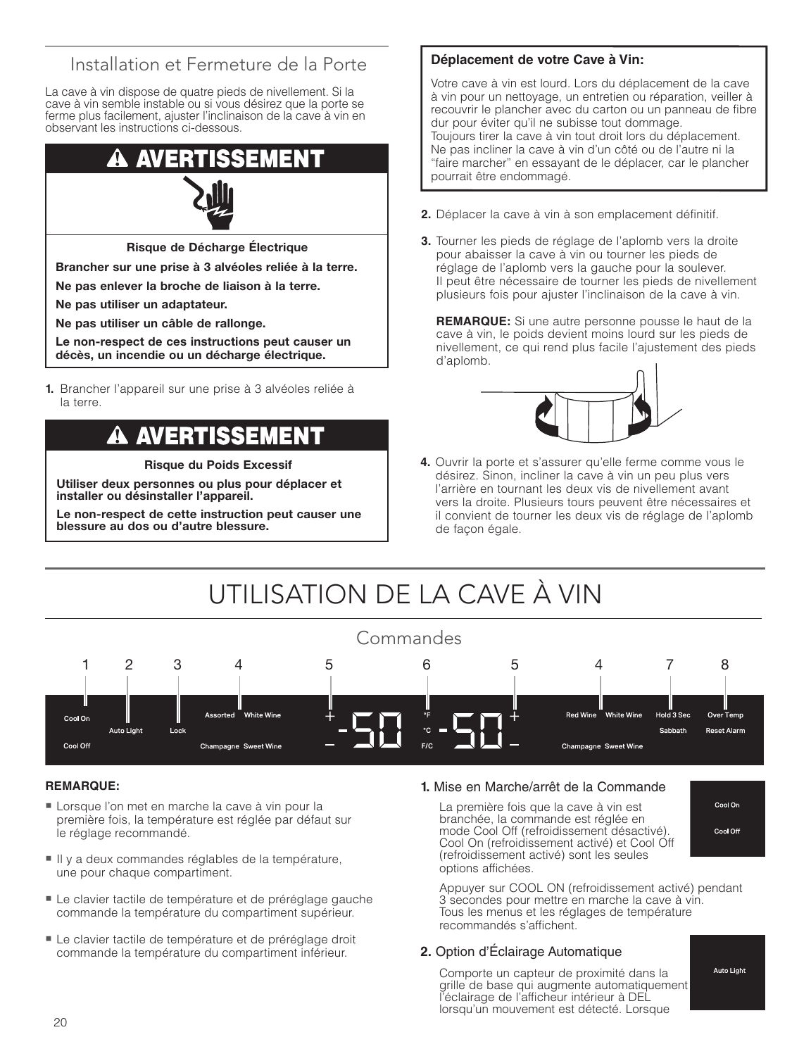### Installation et Fermeture de la Porte

La cave à vin dispose de quatre pieds de nivellement. Si la cave à vin semble instable ou si vous désirez que la porte se ferme plus facilement, ajuster l'inclinaison de la cave à vin en observant les instructions ci-dessous.

# AVER



**Risque de Décharge Électrique**

**Brancher sur une prise à 3 alvéoles reliée à la terre.**

**Ne pas enlever la broche de liaison à la terre.**

**Ne pas utiliser un adaptateur.**

**Ne pas utiliser un câble de rallonge.**

**Le non-respect de ces instructions peut causer un décès, un incendie ou un décharge électrique.**

**1.** Brancher l'appareil sur une prise à 3 alvéoles reliée à la terre.

# **AVERTISSEMENT**

**Risque du Poids Excessif**

**Utiliser deux personnes ou plus pour déplacer et installer ou désinstaller l'appareil.**

**Le non-respect de cette instruction peut causer une blessure au dos ou d'autre blessure.**

#### **Déplacement de votre Cave à Vin:**

Votre cave à vin est lourd. Lors du déplacement de la cave à vin pour un nettoyage, un entretien ou réparation, veiller à recouvrir le plancher avec du carton ou un panneau de fibre dur pour éviter qu'il ne subisse tout dommage. Toujours tirer la cave à vin tout droit lors du déplacement. Ne pas incliner la cave à vin d'un côté ou de l'autre ni la "faire marcher" en essayant de le déplacer, car le plancher pourrait être endommagé.

- **2.** Déplacer la cave à vin à son emplacement définitif.
- **3.** Tourner les pieds de réglage de l'aplomb vers la droite pour abaisser la cave à vin ou tourner les pieds de réglage de l'aplomb vers la gauche pour la soulever. Il peut être nécessaire de tourner les pieds de nivellement plusieurs fois pour ajuster l'inclinaison de la cave à vin.

 **REMARQUE:** Si une autre personne pousse le haut de la cave à vin, le poids devient moins lourd sur les pieds de nivellement, ce qui rend plus facile l'ajustement des pieds d'aplomb.



**4.** Ouvrir la porte et s'assurer qu'elle ferme comme vous le désirez. Sinon, incliner la cave à vin un peu plus vers l'arrière en tournant les deux vis de nivellement avant vers la droite. Plusieurs tours peuvent être nécessaires et il convient de tourner les deux vis de réglage de l'aplomb de façon égale.

# UTILISATION DE LA CAVE À VIN



#### **REMARQUE:**

- Lorsque l'on met en marche la cave à vin pour la première fois, la température est réglée par défaut sur le réglage recommandé.
- Il y a deux commandes réglables de la température, une pour chaque compartiment.
- Le clavier tactile de température et de préréglage gauche commande la température du compartiment supérieur.
- Le clavier tactile de température et de préréglage droit commande la température du compartiment inférieur.

#### **1.** Mise en Marche/arrêt de la Commande

 La première fois que la cave à vin est branchée, la commande est réglée en mode Cool Off (refroidissement désactivé). Cool On (refroidissement activé) et Cool Off (refroidissement activé) sont les seules options affichées.



 Appuyer sur COOL ON (refroidissement activé) pendant 3 secondes pour mettre en marche la cave à vin. Tous les menus et les réglages de température recommandés s'affichent.

#### **2.** Option d'Éclairage Automatique

 Comporte un capteur de proximité dans la grille de base qui augmente automatiquement l'éclairage de l'afficheur intérieur à DEL lorsqu'un mouvement est détecté. Lorsque

**Auto Light**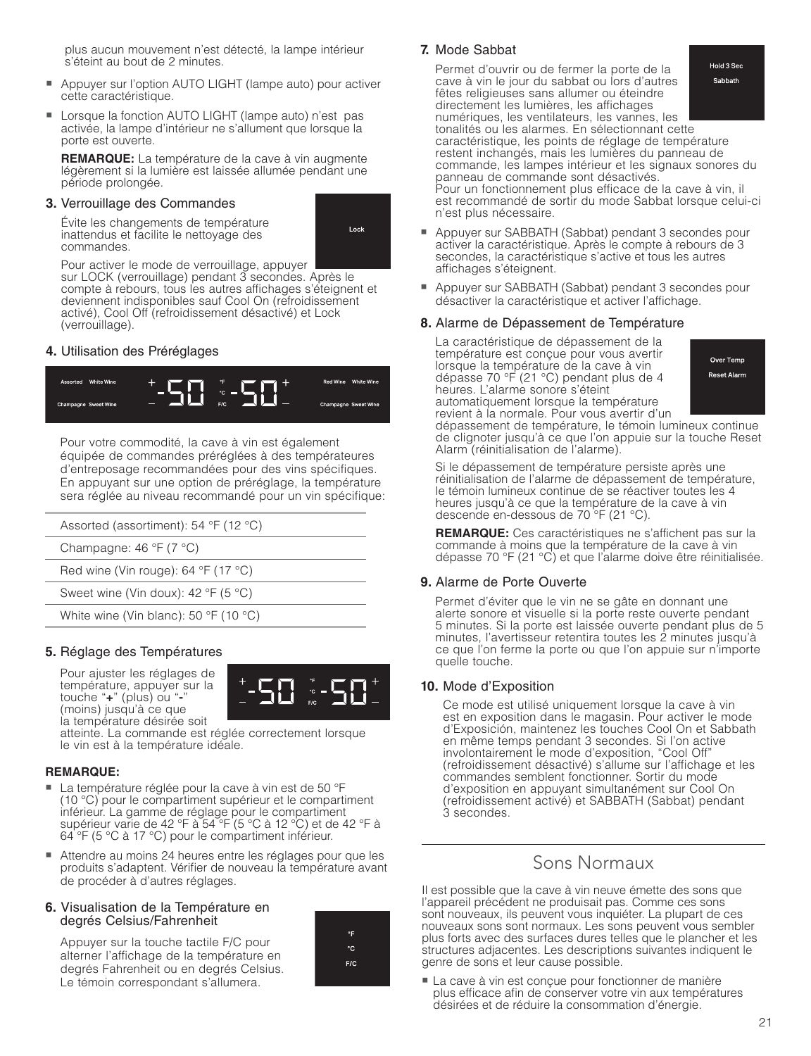plus aucun mouvement n'est détecté, la lampe intérieur s'éteint au bout de 2 minutes.

- - Appuyer sur l'option AUTO LIGHT (lampe auto) pour activer cette caractéristique.
- Lorsque la fonction AUTO LIGHT (lampe auto) n'est pas activée, la lampe d'intérieur ne s'allument que lorsque la porte est ouverte.

**REMARQUE:** La température de la cave à vin augmente légèrement si la lumière est laissée allumée pendant une période prolongée.

#### **3.** Verrouillage des Commandes

 Évite les changements de température inattendus et facilite le nettovage des commandes.

Lock

Pour activer le mode de verrouillage, appuyer

sur LOCK (verrouillage) pendant 3 secondes. Après le compte à rebours, tous les autres affichages s'éteignent et deviennent indisponibles sauf Cool On (refroidissement activé), Cool Off (refroidissement désactivé) et Lock (verrouillage).

#### **4.** Utilisation des Préréglages



 Pour votre commodité, la cave à vin est également équipée de commandes préréglées à des températeures d'entreposage recommandées pour des vins spécifiques. En appuyant sur une option de préréglage, la température sera réglée au niveau recommandé pour un vin spécifique:

| Assorted (assortiment): $54 °F$ (12 °C)               |
|-------------------------------------------------------|
| Champagne: $46 \text{ }^{\circ}F$ (7 $^{\circ}C$ )    |
| Red wine (Vin rouge): 64 $\degree$ F (17 $\degree$ C) |
| Sweet wine (Vin doux): 42 $\degree$ F (5 $\degree$ C) |

White wine (Vin blanc): 50 °F (10 °C)

#### **5.** Réglage des Températures

 Pour ajuster les réglages de température, appuyer sur la touche "**+**" (plus) ou "**-**" (moins) jusqu'à ce que la température désirée soit



 atteinte. La commande est réglée correctement lorsque le vin est à la température idéale.

### **REMARQUE:** -

- La température réglée pour la cave à vin est de 50 °F (10 °C) pour le compartiment supérieur et le compartiment inférieur. La gamme de réglage pour le compartiment supérieur varie de 42 °F à 54 °F (5 °C à 12 °C) et de 42 °F à 64 °F (5 °C à 17 °C) pour le compartiment inférieur.
- - Attendre au moins 24 heures entre les réglages pour que les produits s'adaptent. Vérifier de nouveau la température avant de procéder à d'autres réglages.

#### **6.** Visualisation de la Température en degrés Celsius/Fahrenheit

 Appuyer sur la touche tactile F/C pour alterner l'affichage de la température en degrés Fahrenheit ou en degrés Celsius. Le témoin correspondant s'allumera.



#### **7.** Mode Sabbat

Hold 3 Sec Permet d'ouvrir ou de fermer la porte de la cave à vin le jour du sabbat ou lors d'autres Sabbath fêtes religieuses sans allumer ou éteindre directement les lumières, les affichages numériques, les ventilateurs, les vannes, les tonalités ou les alarmes. En sélectionnant cette caractéristique, les points de réglage de température restent inchangés, mais les lumières du panneau de commande, les lampes intérieur et les signaux sonores du panneau de commande sont désactivés. Pour un fonctionnement plus efficace de la cave à vin, il est recommandé de sortir du mode Sabbat lorsque celui-ci n'est plus nécessaire.

- - Appuyer sur SABBATH (Sabbat) pendant 3 secondes pour activer la caractéristique. Après le compte à rebours de 3 secondes, la caractéristique s'active et tous les autres affichages s'éteignent.
- Appuyer sur SABBATH (Sabbat) pendant 3 secondes pour désactiver la caractéristique et activer l'affichage.

#### **8.** Alarme de Dépassement de Température

 La caractéristique de dépassement de la température est conçue pour vous avertir lorsque la température de la cave à vin dépasse 70 °F (21 °C) pendant plus de 4 heures. L'alarme sonore s'éteint automatiquement lorsque la température

Over Temp **Reset Alarm** 

revient à la normale. Pour vous avertir d'un dépassement de température, le témoin lumineux continue de clignoter jusqu'à ce que l'on appuie sur la touche Reset Alarm (réinitialisation de l'alarme).

 Si le dépassement de température persiste après une réinitialisation de l'alarme de dépassement de température, le témoin lumineux continue de se réactiver toutes les 4 heures jusqu'à ce que la température de la cave à vin descende en-dessous de 70 °F (21 °C).

**REMARQUE:** Ces caractéristiques ne s'affichent pas sur la commande à moins que la température de la cave à vin dépasse 70 °F (21 °C) et que l'alarme doive être réinitialisée.

#### **9.** Alarme de Porte Ouverte

 Permet d'éviter que le vin ne se gâte en donnant une alerte sonore et visuelle si la porte reste ouverte pendant 5 minutes. Si la porte est laissée ouverte pendant plus de 5 minutes, l'avertisseur retentira toutes les 2 minutes jusqu'à ce que l'on ferme la porte ou que l'on appuie sur n'importe quelle touche.

#### **10.** Mode d'Exposition

 Ce mode est utilisé uniquement lorsque la cave à vin est en exposition dans le magasin. Pour activer le mode d'Exposición, maintenez les touches Cool On et Sabbath en même temps pendant 3 secondes. Si l'on active involontairement le mode d'exposition, "Cool Off" (refroidissement désactivé) s'allume sur l'affichage et les commandes semblent fonctionner. Sortir du mode d'exposition en appuyant simultanément sur Cool On (refroidissement activé) et SABBATH (Sabbat) pendant 3 secondes.

### Sons Normaux

Il est possible que la cave à vin neuve émette des sons que l'appareil précédent ne produisait pas. Comme ces sons sont nouveaux, ils peuvent vous inquiéter. La plupart de ces nouveaux sons sont normaux. Les sons peuvent vous sembler plus forts avec des surfaces dures telles que le plancher et les structures adjacentes. Les descriptions suivantes indiquent le genre de sons et leur cause possible.

- La cave à vin est conçue pour fonctionner de manière plus efficace afin de conserver votre vin aux températures désirées et de réduire la consommation d'énergie.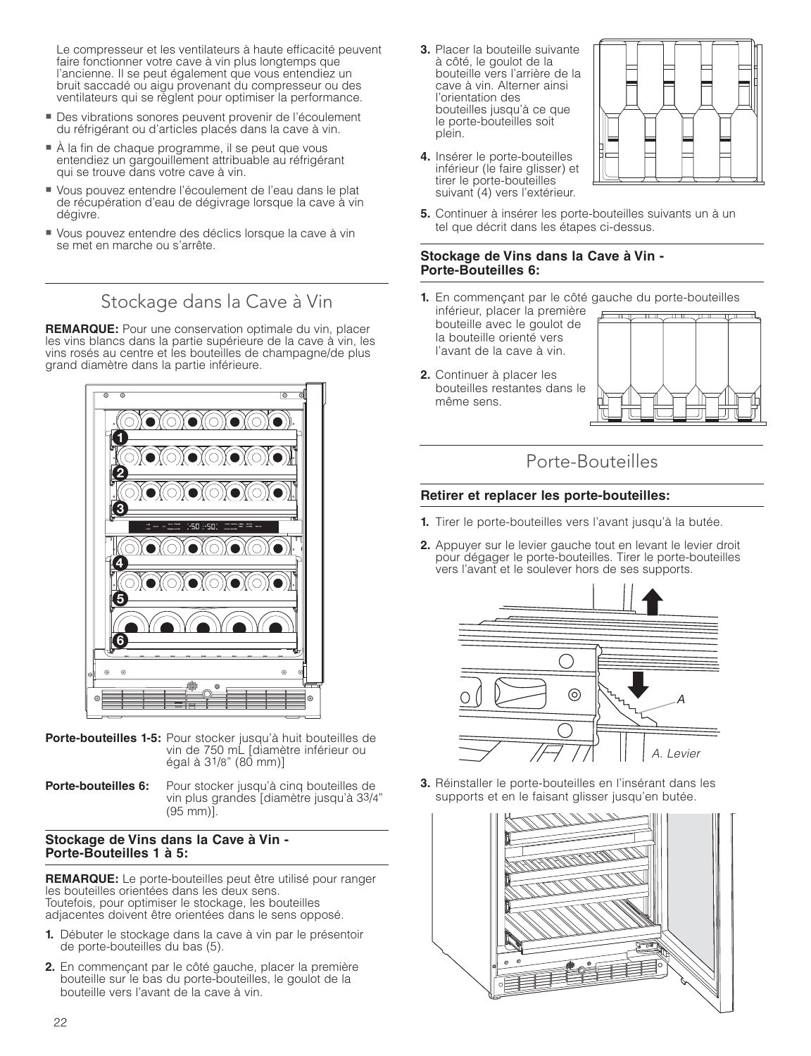Le compresseur et les ventilateurs à haute efficacité peuvent faire fonctionner votre cave à vin plus longtemps que l'ancienne. Il se peut également que vous entendiez un bruit saccadé ou aigu provenant du compresseur ou des ventilateurs qui se règlent pour optimiser la performance.

- Des vibrations sonores peuvent provenir de l'écoulement du réfrigérant ou d'articles placés dans la cave à vin.
- À la fin de chaque programme, il se peut que vous entendiez un gargouillement attribuable au réfrigérant qui se trouve dans votre cave à vin.
- Vous pouvez entendre l'écoulement de l'eau dans le plat de récupération d'eau de dégivrage lorsque la cave à vin dégivre.
- Vous pouvez entendre des déclics lorsque la cave à vin se met en marche ou s'arrête.

Stockage dans la Cave à Vin

**REMARQUE:** Pour une conservation optimale du vin, placer les vins blancs dans la partie supérieure de la cave à vin, les vins rosés au centre et les bouteilles de champagne/de plus grand diamètre dans la partie inférieure.



- **Porte-bouteilles 1-5:** Pour stocker jusqu'à huit bouteilles de vin de 750 mL [diamètre inférieur ou égal à  $3^{1}/8$ " (80 mm)]
- **Porte-bouteilles 6:** Pour stocker jusqu'à cinq bouteilles de vin plus grandes [diamètre jusqu'à 33/4" (95 mm)].

#### **Stockage de Vins dans la Cave à Vin - Porte-Bouteilles 1 à 5:**

**REMARQUE:** Le porte-bouteilles peut être utilisé pour ranger les bouteilles orientées dans les deux sens. Toutefois, pour optimiser le stockage, les bouteilles adjacentes doivent être orientées dans le sens opposé.

- **1.** Débuter le stockage dans la cave à vin par le présentoir de porte-bouteilles du bas (5).
- **2.** En commençant par le côté gauche, placer la première bouteille sur le bas du porte-bouteilles, le goulot de la bouteille vers l'avant de la cave à vin.

**3.** Placer la bouteille suivante à côté, le goulot de la bouteille vers l'arrière de la cave à vin. Alterner ainsi l'orientation des bouteilles jusqu'à ce que le porte-bouteilles soit plein.

**4.** Insérer le porte-bouteilles



- inférieur (le faire glisser) et tirer le porte-bouteilles suivant (4) vers l'extérieur.
- **5.** Continuer à insérer les porte-bouteilles suivants un à un tel que décrit dans les étapes ci-dessus.

#### **Stockage de Vins dans la Cave à Vin - Porte-Bouteilles 6:**

- **1.** En commençant par le côté gauche du porte-bouteilles
- inférieur, placer la première bouteille avec le goulot de la bouteille orienté vers l'avant de la cave à vin.
- **2.** Continuer à placer les bouteilles restantes dans le même sens.



### Porte-Bouteilles

#### **Retirer et replacer les porte-bouteilles:**

- **1.** Tirer le porte-bouteilles vers l'avant jusqu'à la butée.
- **2.** Appuyer sur le levier gauche tout en levant le levier droit pour dégager le porte-bouteilles. Tirer le porte-bouteilles vers l'avant et le soulever hors de ses supports.



**3.** Réinstaller le porte-bouteilles en l'insérant dans les supports et en le faisant glisser jusqu'en butée.

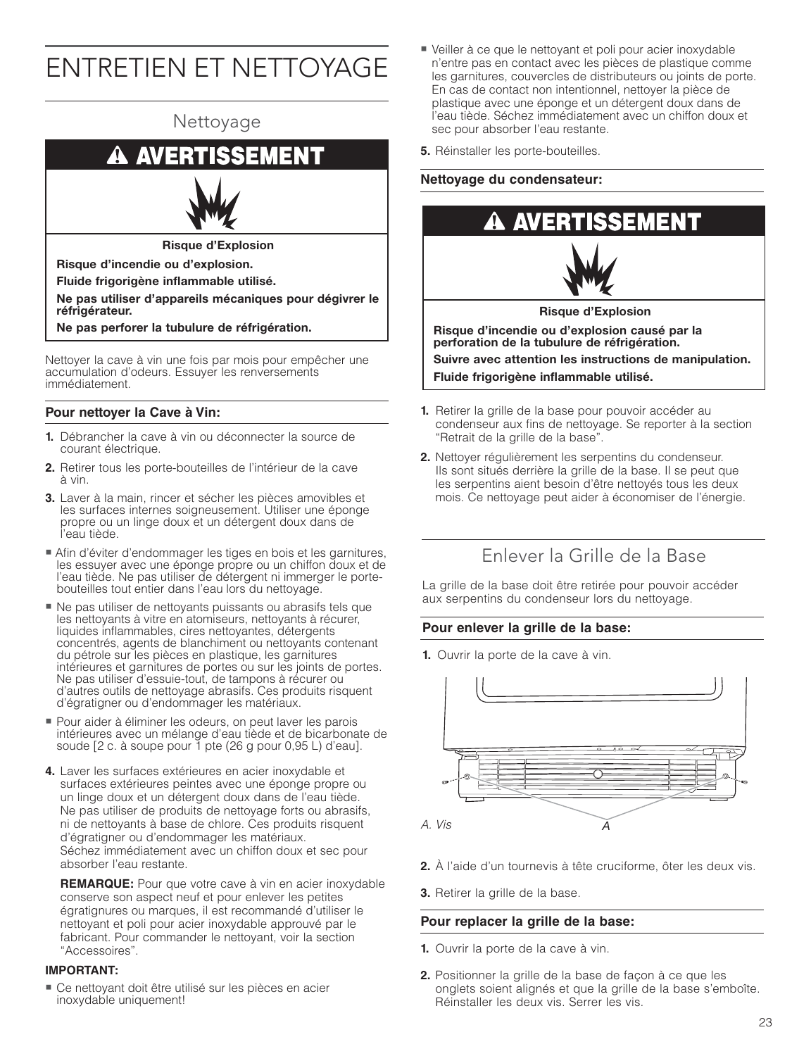# ENTRETIEN ET NETTOYAGE



accumulation d'odeurs. Essuyer les renversements immédiatement.

#### **Pour nettoyer la Cave à Vin:**

- **1.** Débrancher la cave à vin ou déconnecter la source de courant électrique.
- **2.** Retirer tous les porte-bouteilles de l'intérieur de la cave à vin.
- **3.** Laver à la main, rincer et sécher les pièces amovibles et les surfaces internes soigneusement. Utiliser une éponge propre ou un linge doux et un détergent doux dans de l'eau tiède.
- Afin d'éviter d'endommager les tiges en bois et les garnitures, les essuyer avec une éponge propre ou un chiffon doux et de l'eau tiède. Ne pas utiliser de détergent ni immerger le portebouteilles tout entier dans l'eau lors du nettoyage.
- Ne pas utiliser de nettoyants puissants ou abrasifs tels que les nettoyants à vitre en atomiseurs, nettoyants à récurer, liquides inflammables, cires nettoyantes, détergents concentrés, agents de blanchiment ou nettoyants contenant du pétrole sur les pièces en plastique, les garnitures intérieures et garnitures de portes ou sur les joints de portes. Ne pas utiliser d'essuie-tout, de tampons à récurer ou d'autres outils de nettoyage abrasifs. Ces produits risquent d'égratigner ou d'endommager les matériaux.
- Pour aider à éliminer les odeurs, on peut laver les parois intérieures avec un mélange d'eau tiède et de bicarbonate de soude [2 c. à soupe pour 1 pte (26 g pour 0,95 L) d'eau].
- **4.** Laver les surfaces extérieures en acier inoxydable et surfaces extérieures peintes avec une éponge propre ou un linge doux et un détergent doux dans de l'eau tiède. Ne pas utiliser de produits de nettoyage forts ou abrasifs, ni de nettoyants à base de chlore. Ces produits risquent d'égratigner ou d'endommager les matériaux. Séchez immédiatement avec un chiffon doux et sec pour absorber l'eau restante.

**REMARQUE:** Pour que votre cave à vin en acier inoxydable conserve son aspect neuf et pour enlever les petites égratignures ou marques, il est recommandé d'utiliser le nettoyant et poli pour acier inoxydable approuvé par le fabricant. Pour commander le nettoyant, voir la section "Accessoires".

#### **IMPORTANT:**

- Ce nettoyant doit être utilisé sur les pièces en acier inoxydable uniquement!

- Veiller à ce que le nettoyant et poli pour acier inoxydable n'entre pas en contact avec les pièces de plastique comme les garnitures, couvercles de distributeurs ou joints de porte. En cas de contact non intentionnel, nettoyer la pièce de plastique avec une éponge et un détergent doux dans de l'eau tiède. Séchez immédiatement avec un chiffon doux et sec pour absorber l'eau restante.
- **5.** Réinstaller les porte-bouteilles.

#### **Nettoyage du condensateur:**



- **1.** Retirer la grille de la base pour pouvoir accéder au condenseur aux fins de nettoyage. Se reporter à la section "Retrait de la grille de la base".
- **2.** Nettoyer régulièrement les serpentins du condenseur. Ils sont situés derrière la grille de la base. Il se peut que les serpentins aient besoin d'être nettoyés tous les deux mois. Ce nettoyage peut aider à économiser de l'énergie.

### Enlever la Grille de la Base

La grille de la base doit être retirée pour pouvoir accéder aux serpentins du condenseur lors du nettoyage.

#### **Pour enlever la grille de la base:**

**1.** Ouvrir la porte de la cave à vin.



- **2.** À l'aide d'un tournevis à tête cruciforme, ôter les deux vis.
- **3.** Retirer la grille de la base.

#### **Pour replacer la grille de la base:**

- **1.** Ouvrir la porte de la cave à vin.
- **2.** Positionner la grille de la base de façon à ce que les onglets soient alignés et que la grille de la base s'emboîte. Réinstaller les deux vis. Serrer les vis.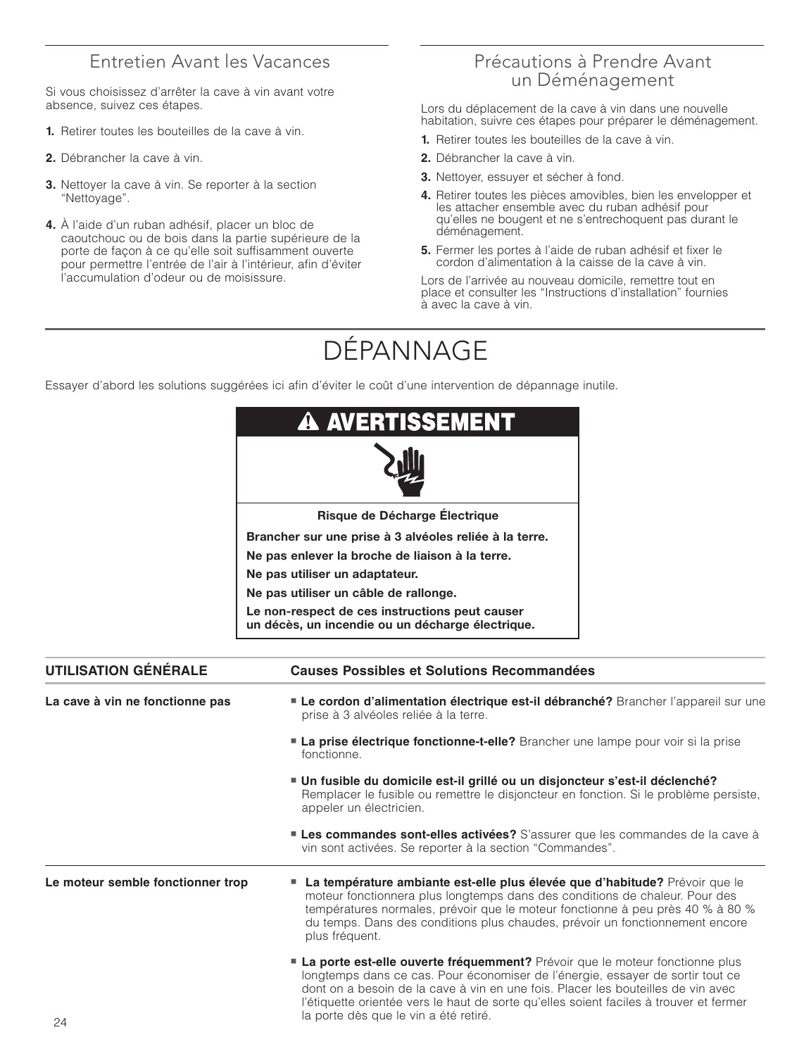### Entretien Avant les Vacances

Si vous choisissez d'arrêter la cave à vin avant votre absence, suivez ces étapes.

- **1.** Retirer toutes les bouteilles de la cave à vin.
- **2.** Débrancher la cave à vin.
- **3.** Nettoyer la cave à vin. Se reporter à la section "Nettoyage".
- **4.** À l'aide d'un ruban adhésif, placer un bloc de caoutchouc ou de bois dans la partie supérieure de la porte de façon à ce qu'elle soit suffisamment ouverte pour permettre l'entrée de l'air à l'intérieur, afin d'éviter l'accumulation d'odeur ou de moisissure.

### Précautions à Prendre Avant un Déménagement

Lors du déplacement de la cave à vin dans une nouvelle habitation, suivre ces étapes pour préparer le déménagement.

- **1.** Retirer toutes les bouteilles de la cave à vin.
- **2.** Débrancher la cave à vin.
- **3.** Nettoyer, essuyer et sécher à fond.
- **4.** Retirer toutes les pièces amovibles, bien les envelopper et les attacher ensemble avec du ruban adhésif pour qu'elles ne bougent et ne s'entrechoquent pas durant le déménagement.
- **5.** Fermer les portes à l'aide de ruban adhésif et fixer le cordon d'alimentation à la caisse de la cave à vin.

Lors de l'arrivée au nouveau domicile, remettre tout en place et consulter les "Instructions d'installation" fournies à avec la cave à vin.

# DÉPANNAGE

Essayer d'abord les solutions suggérées ici afin d'éviter le coût d'une intervention de dépannage inutile.

|                                   | <b>A AVERTISSEMENT</b>                                                                                                                                                                                                                                                                                                                              |  |
|-----------------------------------|-----------------------------------------------------------------------------------------------------------------------------------------------------------------------------------------------------------------------------------------------------------------------------------------------------------------------------------------------------|--|
|                                   |                                                                                                                                                                                                                                                                                                                                                     |  |
|                                   | Risque de Décharge Électrique                                                                                                                                                                                                                                                                                                                       |  |
|                                   | Brancher sur une prise à 3 alvéoles reliée à la terre.                                                                                                                                                                                                                                                                                              |  |
|                                   | Ne pas enlever la broche de liaison à la terre.                                                                                                                                                                                                                                                                                                     |  |
|                                   | Ne pas utiliser un adaptateur.                                                                                                                                                                                                                                                                                                                      |  |
|                                   | Ne pas utiliser un câble de rallonge.                                                                                                                                                                                                                                                                                                               |  |
|                                   | Le non-respect de ces instructions peut causer<br>un décès, un incendie ou un décharge électrique.                                                                                                                                                                                                                                                  |  |
| <b>UTILISATION GÉNÉRALE</b>       | <b>Causes Possibles et Solutions Recommandées</b>                                                                                                                                                                                                                                                                                                   |  |
| La cave à vin ne fonctionne pas   | " Le cordon d'alimentation électrique est-il débranché? Brancher l'appareil sur une<br>prise à 3 alvéoles reliée à la terre.                                                                                                                                                                                                                        |  |
|                                   | La prise électrique fonctionne-t-elle? Brancher une lampe pour voir si la prise<br>fonctionne.                                                                                                                                                                                                                                                      |  |
|                                   | " Un fusible du domicile est-il grillé ou un disjoncteur s'est-il déclenché?<br>Remplacer le fusible ou remettre le disjoncteur en fonction. Si le problème persiste,<br>appeler un électricien.                                                                                                                                                    |  |
|                                   | Les commandes sont-elles activées? S'assurer que les commandes de la cave à<br>vin sont activées. Se reporter à la section "Commandes".                                                                                                                                                                                                             |  |
| Le moteur semble fonctionner trop | La température ambiante est-elle plus élevée que d'habitude? Prévoir que le<br>ш<br>moteur fonctionnera plus longtemps dans des conditions de chaleur. Pour des<br>températures normales, prévoir que le moteur fonctionne à peu près 40 % à 80 %<br>du temps. Dans des conditions plus chaudes, prévoir un fonctionnement encore<br>plus fréquent. |  |
|                                   | La porte est-elle ouverte fréquemment? Prévoir que le moteur fonctionne plus<br>longtemps dans ce cas. Pour économiser de l'énergie, essayer de sortir tout ce<br>dont on a besoin de la cave à vin en une fois. Placer les bouteilles de vin avec<br>l'étiquette orientée vers le haut de sorte qu'elles soient faciles à trouver et fermer        |  |

la porte dès que le vin a été retiré.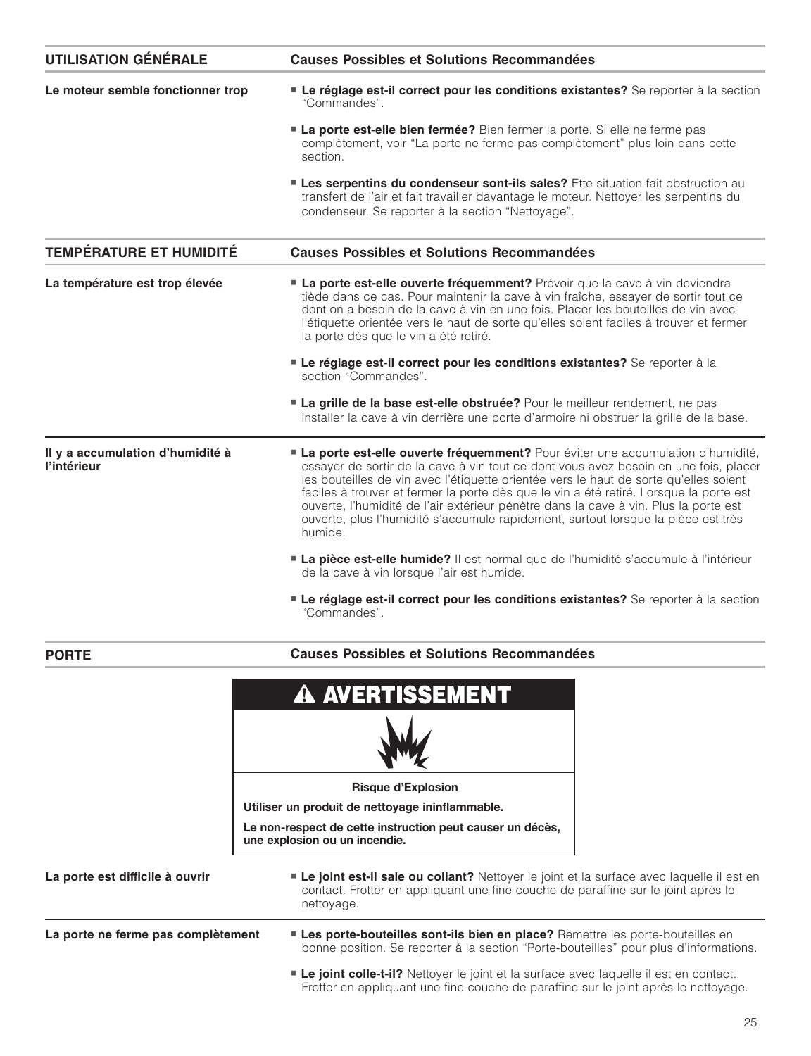| <b>UTILISATION GÉNÉRALE</b>                     | <b>Causes Possibles et Solutions Recommandées</b>                                                                                                                                                                                                                                                                                                                                                                                                                                                                                                  |
|-------------------------------------------------|----------------------------------------------------------------------------------------------------------------------------------------------------------------------------------------------------------------------------------------------------------------------------------------------------------------------------------------------------------------------------------------------------------------------------------------------------------------------------------------------------------------------------------------------------|
| Le moteur semble fonctionner trop               | Le réglage est-il correct pour les conditions existantes? Se reporter à la section<br>"Commandes"                                                                                                                                                                                                                                                                                                                                                                                                                                                  |
|                                                 | La porte est-elle bien fermée? Bien fermer la porte. Si elle ne ferme pas<br>complètement, voir "La porte ne ferme pas complètement" plus loin dans cette<br>section.                                                                                                                                                                                                                                                                                                                                                                              |
|                                                 | <b>Les serpentins du condenseur sont-ils sales?</b> Ette situation fait obstruction au<br>transfert de l'air et fait travailler davantage le moteur. Nettoyer les serpentins du<br>condenseur. Se reporter à la section "Nettoyage".                                                                                                                                                                                                                                                                                                               |
| <b>TEMPÉRATURE ET HUMIDITÉ</b>                  | <b>Causes Possibles et Solutions Recommandées</b>                                                                                                                                                                                                                                                                                                                                                                                                                                                                                                  |
| La température est trop élevée                  | La porte est-elle ouverte fréquemment? Prévoir que la cave à vin deviendra<br>tiède dans ce cas. Pour maintenir la cave à vin fraîche, essayer de sortir tout ce<br>dont on a besoin de la cave à vin en une fois. Placer les bouteilles de vin avec<br>l'étiquette orientée vers le haut de sorte qu'elles soient faciles à trouver et fermer<br>la porte dès que le vin a été retiré.                                                                                                                                                            |
|                                                 | Le réglage est-il correct pour les conditions existantes? Se reporter à la<br>section "Commandes".                                                                                                                                                                                                                                                                                                                                                                                                                                                 |
|                                                 | La grille de la base est-elle obstruée? Pour le meilleur rendement, ne pas<br>installer la cave à vin derrière une porte d'armoire ni obstruer la grille de la base.                                                                                                                                                                                                                                                                                                                                                                               |
| Il y a accumulation d'humidité à<br>l'intérieur | La porte est-elle ouverte fréquemment? Pour éviter une accumulation d'humidité,<br>essayer de sortir de la cave à vin tout ce dont vous avez besoin en une fois, placer<br>les bouteilles de vin avec l'étiquette orientée vers le haut de sorte qu'elles soient<br>faciles à trouver et fermer la porte dès que le vin a été retiré. Lorsque la porte est<br>ouverte, l'humidité de l'air extérieur pénètre dans la cave à vin. Plus la porte est<br>ouverte, plus l'humidité s'accumule rapidement, surtout lorsque la pièce est très<br>humide. |
|                                                 | La pièce est-elle humide? Il est normal que de l'humidité s'accumule à l'intérieur<br>de la cave à vin lorsque l'air est humide.                                                                                                                                                                                                                                                                                                                                                                                                                   |
|                                                 | Le réglage est-il correct pour les conditions existantes? Se reporter à la section<br>"Commandes"                                                                                                                                                                                                                                                                                                                                                                                                                                                  |
| <b>PORTE</b>                                    | <b>Causes Possibles et Solutions Recommandées</b>                                                                                                                                                                                                                                                                                                                                                                                                                                                                                                  |
|                                                 | <b>A AVERTISSEMENT</b>                                                                                                                                                                                                                                                                                                                                                                                                                                                                                                                             |
|                                                 |                                                                                                                                                                                                                                                                                                                                                                                                                                                                                                                                                    |

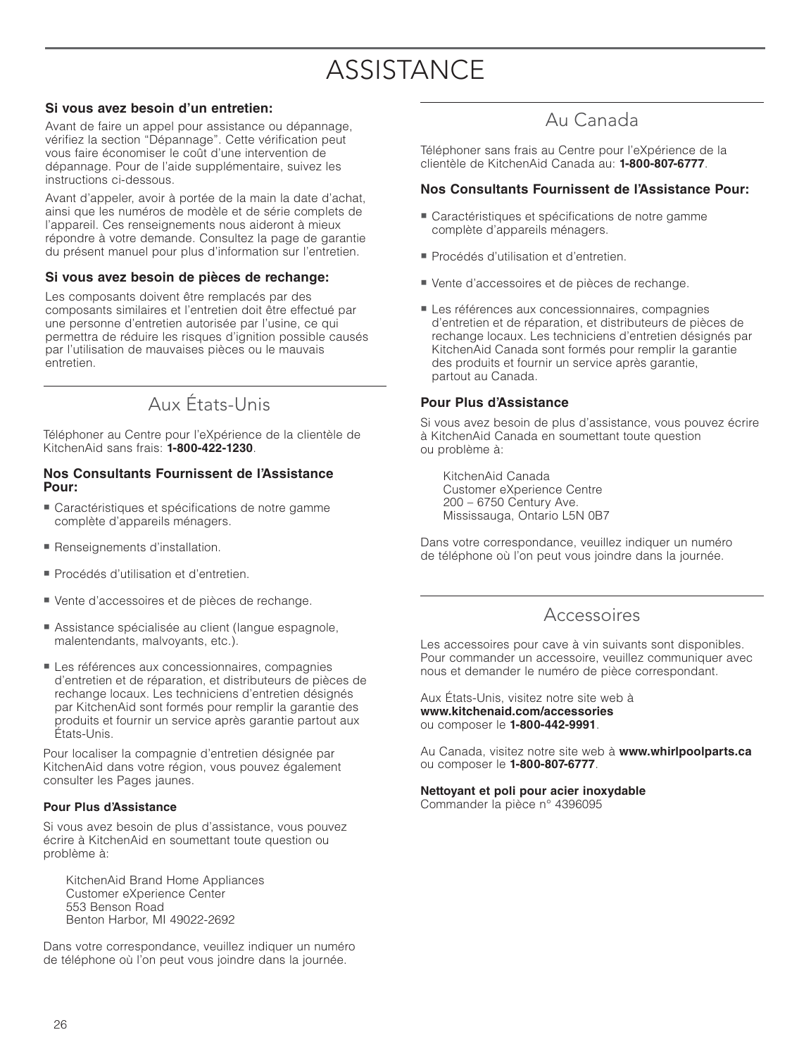# **ASSISTANCE**

#### **Si vous avez besoin d'un entretien:**

Avant de faire un appel pour assistance ou dépannage, vérifiez la section "Dépannage". Cette vérification peut vous faire économiser le coût d'une intervention de dépannage. Pour de l'aide supplémentaire, suivez les instructions ci-dessous.

Avant d'appeler, avoir à portée de la main la date d'achat, ainsi que les numéros de modèle et de série complets de l'appareil. Ces renseignements nous aideront à mieux répondre à votre demande. Consultez la page de garantie du présent manuel pour plus d'information sur l'entretien.

#### **Si vous avez besoin de pièces de rechange:**

Les composants doivent être remplacés par des composants similaires et l'entretien doit être effectué par une personne d'entretien autorisée par l'usine, ce qui permettra de réduire les risques d'ignition possible causés par l'utilisation de mauvaises pièces ou le mauvais entretien.

# Aux États-Unis

Téléphoner au Centre pour l'eXpérience de la clientèle de KitchenAid sans frais: **1-800-422-1230**.

#### **Nos Consultants Fournissent de l'Assistance Pour:**

- Caractéristiques et spécifications de notre gamme complète d'appareils ménagers.
- Renseignements d'installation.
- Procédés d'utilisation et d'entretien.
- Vente d'accessoires et de pièces de rechange.
- Assistance spécialisée au client (langue espagnole, malentendants, malvoyants, etc.).
- Les références aux concessionnaires, compagnies d'entretien et de réparation, et distributeurs de pièces de rechange locaux. Les techniciens d'entretien désignés par KitchenAid sont formés pour remplir la garantie des produits et fournir un service après garantie partout aux États-Unis.

Pour localiser la compagnie d'entretien désignée par KitchenAid dans votre région, vous pouvez également consulter les Pages jaunes.

#### **Pour Plus d'Assistance**

Si vous avez besoin de plus d'assistance, vous pouvez écrire à KitchenAid en soumettant toute question ou problème à:

 KitchenAid Brand Home Appliances Customer eXperience Center 553 Benson Road Benton Harbor, MI 49022-2692

Dans votre correspondance, veuillez indiquer un numéro de téléphone où l'on peut vous joindre dans la journée.

### Au Canada

Téléphoner sans frais au Centre pour l'eXpérience de la clientèle de KitchenAid Canada au: **1-800-807-6777**.

#### **Nos Consultants Fournissent de l'Assistance Pour:**

- Caractéristiques et spécifications de notre gamme complète d'appareils ménagers.
- Procédés d'utilisation et d'entretien.
- Vente d'accessoires et de pièces de rechange.
- Les références aux concessionnaires, compagnies d'entretien et de réparation, et distributeurs de pièces de rechange locaux. Les techniciens d'entretien désignés par KitchenAid Canada sont formés pour remplir la garantie des produits et fournir un service après garantie, partout au Canada.

#### **Pour Plus d'Assistance**

Si vous avez besoin de plus d'assistance, vous pouvez écrire à KitchenAid Canada en soumettant toute question ou problème à:

 KitchenAid Canada Customer eXperience Centre 200 – 6750 Century Ave. Mississauga, Ontario L5N 0B7

Dans votre correspondance, veuillez indiquer un numéro de téléphone où l'on peut vous joindre dans la journée.

### Accessoires

Les accessoires pour cave à vin suivants sont disponibles. Pour commander un accessoire, veuillez communiquer avec nous et demander le numéro de pièce correspondant.

Aux États-Unis, visitez notre site web à **www.kitchenaid.com/accessories** ou composer le **1-800-442-9991**.

Au Canada, visitez notre site web à **www.whirlpoolparts.ca** ou composer le **1-800-807-6777**.

### **Nettoyant et poli pour acier inoxydable**

Commander la pièce n° 4396095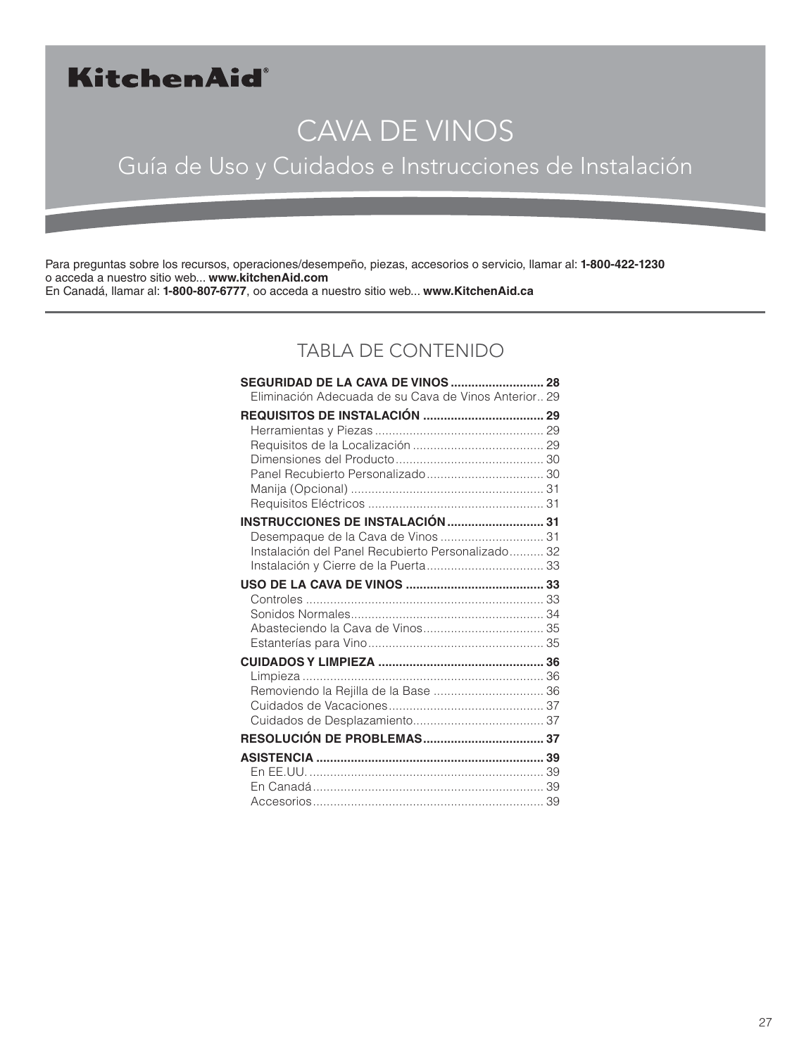# KitchenAid®

# CAVA DE VINOS

# Guía de Uso y Cuidados e Instrucciones de Instalación

Para preguntas sobre los recursos, operaciones/desempeño, piezas, accesorios o servicio, llamar al: **1-800-422-1230** o acceda a nuestro sitio web... **www.kitchenAid.com** En Canadá, llamar al: **1-800-807-6777**, oo acceda a nuestro sitio web... **www.KitchenAid.ca**

### TABLA DE CONTENIDO

| <b>SEGURIDAD DE LA CAVA DE VINOS  28</b>             |  |
|------------------------------------------------------|--|
| Eliminación Adecuada de su Cava de Vinos Anterior 29 |  |
|                                                      |  |
|                                                      |  |
|                                                      |  |
|                                                      |  |
|                                                      |  |
|                                                      |  |
| <b>INSTRUCCIONES DE INSTALACIÓN  31</b>              |  |
| Desempaque de la Cava de Vinos  31                   |  |
| Instalación del Panel Recubierto Personalizado 32    |  |
|                                                      |  |
|                                                      |  |
|                                                      |  |
|                                                      |  |
|                                                      |  |
|                                                      |  |
|                                                      |  |
|                                                      |  |
| Removiendo la Rejilla de la Base  36                 |  |
|                                                      |  |
|                                                      |  |
|                                                      |  |
|                                                      |  |
|                                                      |  |
|                                                      |  |
|                                                      |  |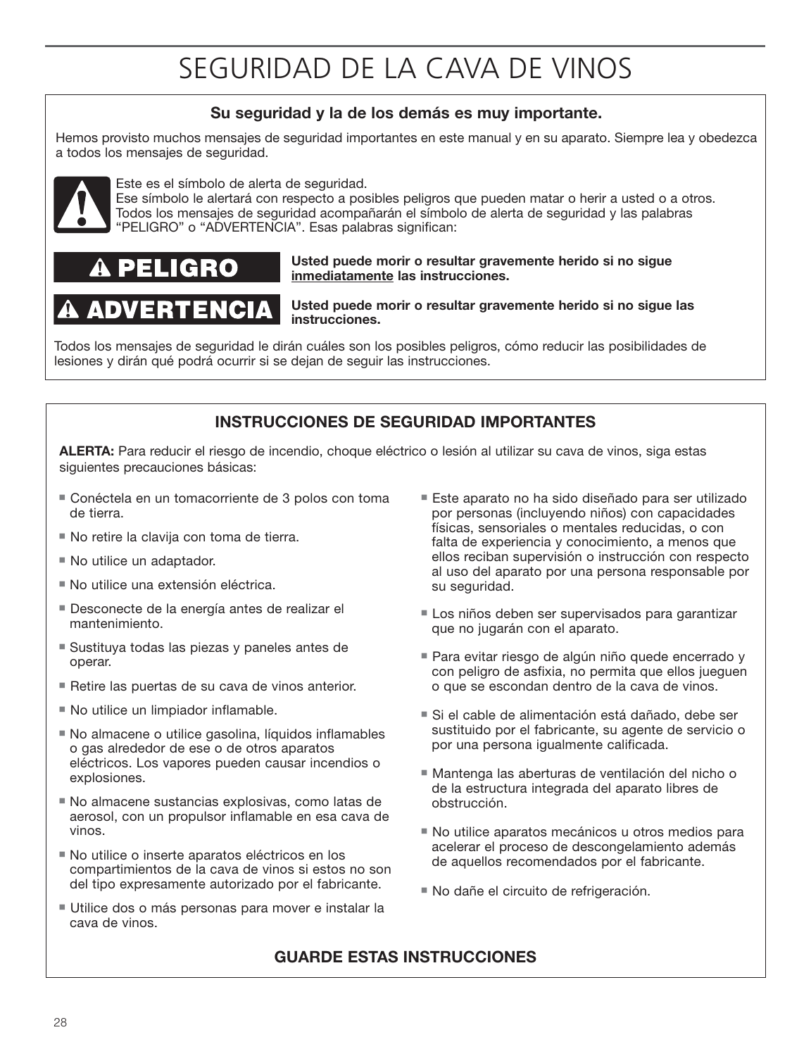# SEGURIDAD DE LA CAVA DE VINOS

### **Su seguridad y la de los demás es muy importante.**

Hemos provisto muchos mensajes de seguridad importantes en este manual y en su aparato. Siempre lea y obedezca a todos los mensajes de seguridad.



Este es el símbolo de alerta de seguridad.

Ese símbolo le alertará con respecto a posibles peligros que pueden matar o herir a usted o a otros. Todos los mensajes de seguridad acompañarán el símbolo de alerta de seguridad y las palabras "PELIGRO" o "ADVERTENCIA". Esas palabras significan:

# **C**

#### **Usted puede morir o resultar gravemente herido si no sigue inmediatamente las instrucciones.**

# ADVERTENCIA

**Usted puede morir o resultar gravemente herido si no sigue las instrucciones.**

Todos los mensajes de seguridad le dirán cuáles son los posibles peligros, cómo reducir las posibilidades de lesiones y dirán qué podrá ocurrir si se dejan de seguir las instrucciones.

### **INSTRUCCIONES DE SEGURIDAD IMPORTANTES**

**ALERTA:** Para reducir el riesgo de incendio, choque eléctrico o lesión al utilizar su cava de vinos, siga estas siguientes precauciones básicas:

- Conéctela en un tomacorriente de 3 polos con toma de tierra.
- No retire la clavija con toma de tierra.
- No utilice un adaptador.
- No utilice una extensión eléctrica.
- Desconecte de la energía antes de realizar el mantenimiento.
- Sustituya todas las piezas y paneles antes de operar.
- Retire las puertas de su cava de vinos anterior.
- No utilice un limpiador inflamable.
- No almacene o utilice gasolina, líquidos inflamables o gas alrededor de ese o de otros aparatos eléctricos. Los vapores pueden causar incendios o explosiones.
- No almacene sustancias explosivas, como latas de aerosol, con un propulsor inflamable en esa cava de vinos.
- No utilice o inserte aparatos eléctricos en los compartimientos de la cava de vinos si estos no son del tipo expresamente autorizado por el fabricante.
- Utilice dos o más personas para mover e instalar la cava de vinos.
- Este aparato no ha sido diseñado para ser utilizado por personas (incluyendo niños) con capacidades físicas, sensoriales o mentales reducidas, o con falta de experiencia y conocimiento, a menos que ellos reciban supervisión o instrucción con respecto al uso del aparato por una persona responsable por su seguridad.
- Los niños deben ser supervisados para garantizar que no jugarán con el aparato.
- Para evitar riesgo de algún niño quede encerrado y con peligro de asfixia, no permita que ellos jueguen o que se escondan dentro de la cava de vinos.
- Si el cable de alimentación está dañado, debe ser sustituido por el fabricante, su agente de servicio o por una persona igualmente calificada.
- Mantenga las aberturas de ventilación del nicho o de la estructura integrada del aparato libres de obstrucción.
- No utilice aparatos mecánicos u otros medios para acelerar el proceso de descongelamiento además de aquellos recomendados por el fabricante.
- No dañe el circuito de refrigeración.

#### **GUARDE ESTAS INSTRUCCIONES**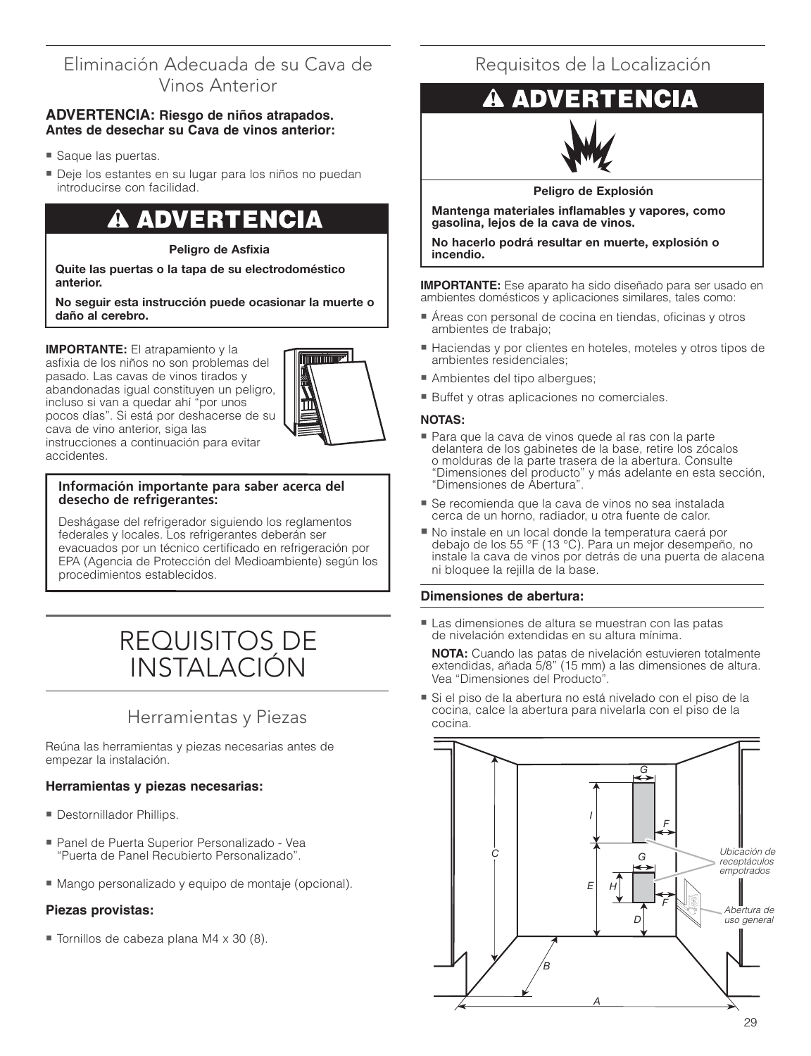### Eliminación Adecuada de su Cava de Vinos Anterior

#### **ADVERTENCIA: Riesgo de niños atrapados. Antes de desechar su Cava de vinos anterior:**

- Saque las puertas.
- Deje los estantes en su lugar para los niños no puedan introducirse con facilidad.

### A ADVERTENCIA

#### **Peligro de Asfixia**

**Quite las puertas o la tapa de su electrodoméstico anterior.**

#### **No seguir esta instrucción puede ocasionar la muerte o daño al cerebro.**

**IMPORTANTE:** El atrapamiento y la asfixia de los niños no son problemas del pasado. Las cavas de vinos tirados y abandonadas igual constituyen un peligro, incluso si van a quedar ahí "por unos pocos días". Si está por deshacerse de su cava de vino anterior, siga las instrucciones a continuación para evitar accidentes.

# $\overline{\phantom{a}}$

#### **Información importante para saber acerca del desecho de refrigerantes:**

Deshágase del refrigerador siguiendo los reglamentos federales y locales. Los refrigerantes deberán ser evacuados por un técnico certificado en refrigeración por EPA (Agencia de Protección del Medioambiente) según los procedimientos establecidos.

# REQUISITOS DE INSTALACIÓN

### Herramientas y Piezas

Reúna las herramientas y piezas necesarias antes de empezar la instalación.

#### **Herramientas y piezas necesarias:**

- **Destornillador Phillips.**
- Panel de Puerta Superior Personalizado Vea "Puerta de Panel Recubierto Personalizado".
- Mango personalizado y equipo de montaje (opcional).

#### **Piezas provistas:**

■ Tornillos de cabeza plana M4 x 30 (8).

### Requisitos de la Localización



**Peligro de Explosión**

**Mantenga materiales inflamables y vapores, como gasolina, lejos de la cava de vinos.**

**No hacerlo podrá resultar en muerte, explosión o incendio.**

**IMPORTANTE:** Ese aparato ha sido diseñado para ser usado en ambientes domésticos y aplicaciones similares, tales como:

- Áreas con personal de cocina en tiendas, oficinas y otros ambientes de trabajo;
- Haciendas y por clientes en hoteles, moteles y otros tipos de ambientes residenciales;
- Ambientes del tipo albergues;
- Buffet y otras aplicaciones no comerciales.

#### **NOTAS:**

- Para que la cava de vinos quede al ras con la parte delantera de los gabinetes de la base, retire los zócalos o molduras de la parte trasera de la abertura. Consulte "Dimensiones del producto" y más adelante en esta sección, "Dimensiones de Abertura".
- Se recomienda que la cava de vinos no sea instalada cerca de un horno, radiador, u otra fuente de calor.
- No instale en un local donde la temperatura caerá por debajo de los 55 °F (13 °C). Para un mejor desempeño, no instale la cava de vinos por detrás de una puerta de alacena ni bloquee la rejilla de la base.

#### **Dimensiones de abertura:**

- Las dimensiones de altura se muestran con las patas de nivelación extendidas en su altura mínima.

**NOTA:** Cuando las patas de nivelación estuvieren totalmente extendidas, añada 5/8" (15 mm) a las dimensiones de altura. Vea "Dimensiones del Producto".

■ Si el piso de la abertura no está nivelado con el piso de la cocina, calce la abertura para nivelarla con el piso de la cocina.

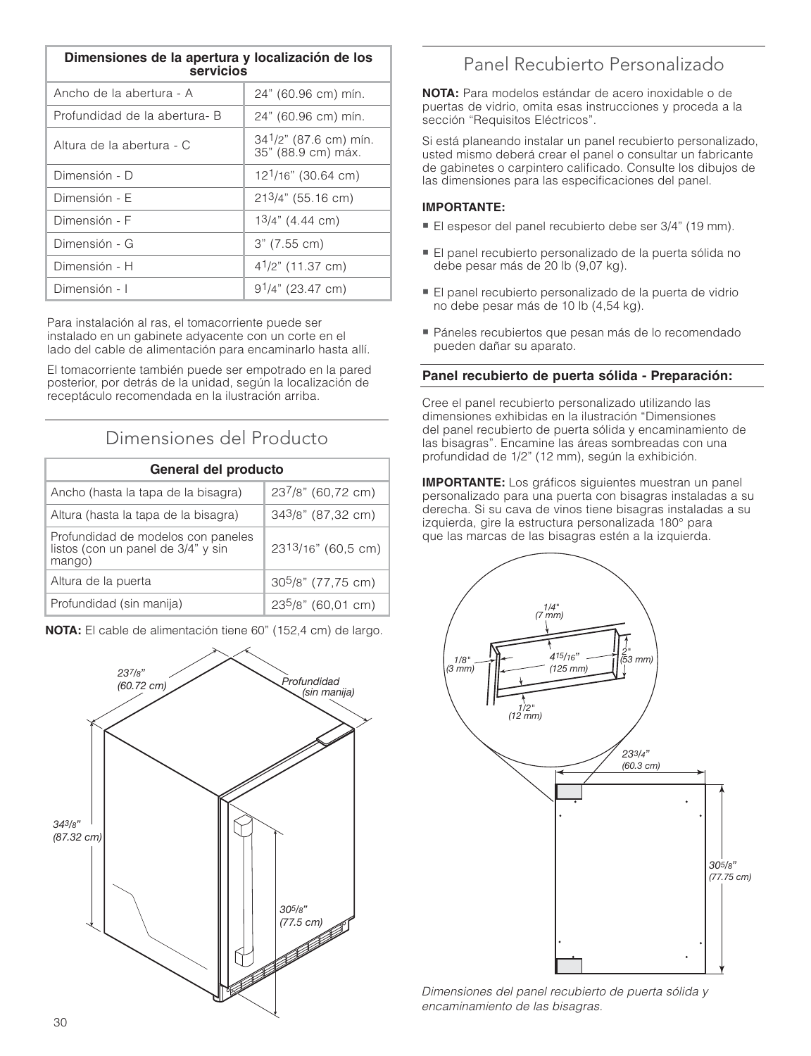| Dimensiones de la apertura y localización de los<br>servicios |                                                          |
|---------------------------------------------------------------|----------------------------------------------------------|
| Ancho de la abertura - A                                      | 24" (60.96 cm) mín.                                      |
| Profundidad de la abertura- B                                 | 24" (60.96 cm) mín.                                      |
| Altura de la abertura - C                                     | 34 <sup>1</sup> /2" (87.6 cm) mín.<br>35" (88.9 cm) máx. |
| Dimensión - D                                                 | 12 <sup>1</sup> /16" (30.64 cm)                          |
| Dimensión - E                                                 | $213/4$ " (55.16 cm)                                     |
| Dimensión - F                                                 | $13/4$ " (4.44 cm)                                       |
| Dimensión - G                                                 | $3"$ (7.55 cm)                                           |
| Dimensión - H                                                 | $4^{1}/2$ " (11.37 cm)                                   |
| Dimensión - I                                                 | $91/4$ " (23.47 cm)                                      |

Para instalación al ras, el tomacorriente puede ser instalado en un gabinete adyacente con un corte en el lado del cable de alimentación para encaminarlo hasta allí.

El tomacorriente también puede ser empotrado en la pared posterior, por detrás de la unidad, según la localización de receptáculo recomendada en la ilustración arriba.

### Dimensiones del Producto

| General del producto                                                               |                      |
|------------------------------------------------------------------------------------|----------------------|
| Ancho (hasta la tapa de la bisagra)                                                | 237/8" (60,72 cm)    |
| Altura (hasta la tapa de la bisagra)                                               | 343/8" (87,32 cm)    |
| Profundidad de modelos con paneles<br>listos (con un panel de 3/4" y sin<br>mango) | 2313/16" (60,5 cm)   |
| Altura de la puerta                                                                | $305/8$ " (77,75 cm) |
| Profundidad (sin manija)                                                           | 235/8" (60,01 cm)    |

**NOTA:** El cable de alimentación tiene 60" (152,4 cm) de largo.



### Panel Recubierto Personalizado

**NOTA:** Para modelos estándar de acero inoxidable o de puertas de vidrio, omita esas instrucciones y proceda a la sección "Requisitos Eléctricos".

Si está planeando instalar un panel recubierto personalizado, usted mismo deberá crear el panel o consultar un fabricante de gabinetes o carpintero calificado. Consulte los dibujos de las dimensiones para las especificaciones del panel.

#### **IMPORTANTE:**

- El espesor del panel recubierto debe ser 3/4" (19 mm).
- El panel recubierto personalizado de la puerta sólida no debe pesar más de 20 lb (9,07 kg).
- El panel recubierto personalizado de la puerta de vidrio no debe pesar más de 10 lb (4,54 kg).
- Páneles recubiertos que pesan más de lo recomendado pueden dañar su aparato.

#### **Panel recubierto de puerta sólida - Preparación:**

Cree el panel recubierto personalizado utilizando las dimensiones exhibidas en la ilustración "Dimensiones del panel recubierto de puerta sólida y encaminamiento de las bisagras". Encamine las áreas sombreadas con una profundidad de 1/2" (12 mm), según la exhibición.

**IMPORTANTE:** Los gráficos siguientes muestran un panel personalizado para una puerta con bisagras instaladas a su derecha. Si su cava de vinos tiene bisagras instaladas a su izquierda, gire la estructura personalizada 180° para que las marcas de las bisagras estén a la izquierda.



Dimensiones del panel recubierto de puerta sólida y encaminamiento de las bisagras.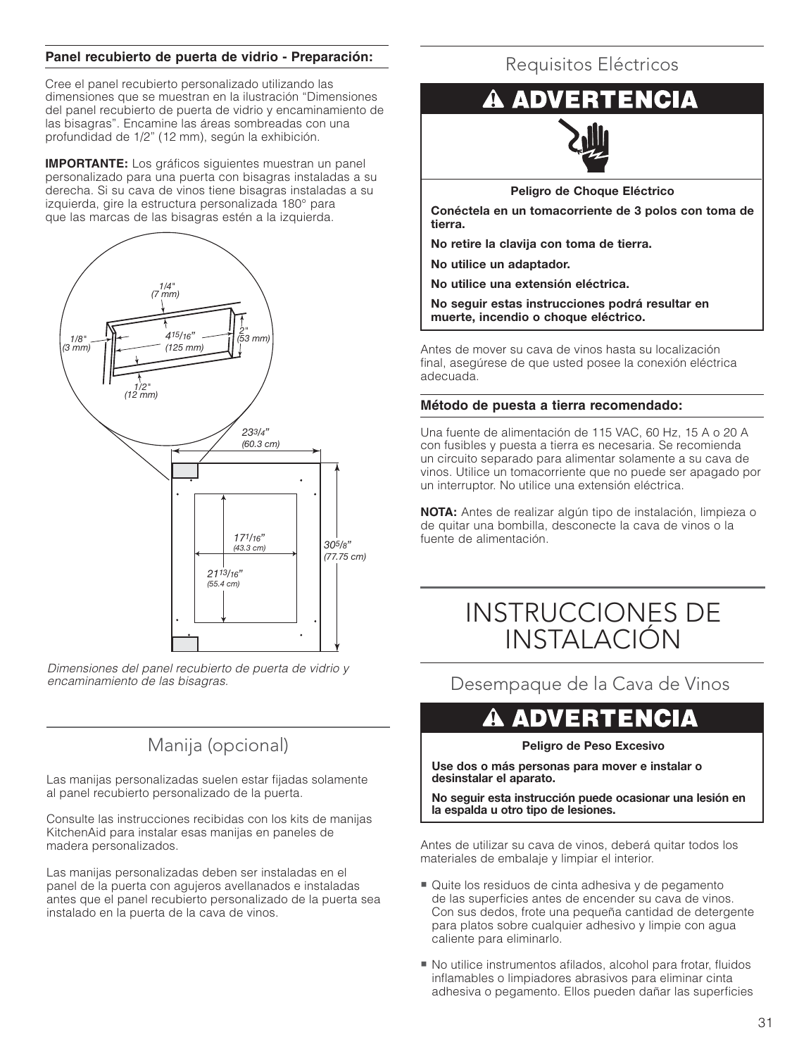#### **Panel recubierto de puerta de vidrio - Preparación:**

Cree el panel recubierto personalizado utilizando las dimensiones que se muestran en la ilustración "Dimensiones del panel recubierto de puerta de vidrio y encaminamiento de las bisagras". Encamine las áreas sombreadas con una profundidad de 1/2" (12 mm), según la exhibición.

**IMPORTANTE:** Los gráficos siguientes muestran un panel personalizado para una puerta con bisagras instaladas a su derecha. Si su cava de vinos tiene bisagras instaladas a su izquierda, gire la estructura personalizada 180° para que las marcas de las bisagras estén a la izquierda.



Dimensiones del panel recubierto de puerta de vidrio y encaminamiento de las bisagras.

### Manija (opcional)

Las manijas personalizadas suelen estar fijadas solamente al panel recubierto personalizado de la puerta.

Consulte las instrucciones recibidas con los kits de manijas KitchenAid para instalar esas manijas en paneles de madera personalizados.

Las manijas personalizadas deben ser instaladas en el panel de la puerta con agujeros avellanados e instaladas antes que el panel recubierto personalizado de la puerta sea instalado en la puerta de la cava de vinos.

### Requisitos Eléctricos

# **ADVERTENCIA**



**Peligro de Choque Eléctrico**

**Conéctela en un tomacorriente de 3 polos con toma de tierra.** 

**No retire la clavija con toma de tierra.**

**No utilice un adaptador.**

**No utilice una extensión eléctrica.**

**No seguir estas instrucciones podrá resultar en muerte, incendio o choque eléctrico.**

Antes de mover su cava de vinos hasta su localización final, asegúrese de que usted posee la conexión eléctrica adecuada.

#### **Método de puesta a tierra recomendado:**

Una fuente de alimentación de 115 VAC, 60 Hz, 15 A o 20 A con fusibles y puesta a tierra es necesaria. Se recomienda un circuito separado para alimentar solamente a su cava de vinos. Utilice un tomacorriente que no puede ser apagado por un interruptor. No utilice una extensión eléctrica.

**NOTA:** Antes de realizar algún tipo de instalación, limpieza o de quitar una bombilla, desconecte la cava de vinos o la fuente de alimentación.

# INSTRUCCIONES DE INSTALACIÓN

Desempaque de la Cava de Vinos

# ENCIA

#### **Peligro de Peso Excesivo**

**Use dos o más personas para mover e instalar o desinstalar el aparato.**

**No seguir esta instrucción puede ocasionar una lesión en la espalda u otro tipo de lesiones.**

Antes de utilizar su cava de vinos, deberá quitar todos los materiales de embalaje y limpiar el interior.

- Quite los residuos de cinta adhesiva y de pegamento de las superficies antes de encender su cava de vinos. Con sus dedos, frote una pequeña cantidad de detergente para platos sobre cualquier adhesivo y limpie con agua caliente para eliminarlo.
- No utilice instrumentos afilados, alcohol para frotar, fluidos inflamables o limpiadores abrasivos para eliminar cinta adhesiva o pegamento. Ellos pueden dañar las superficies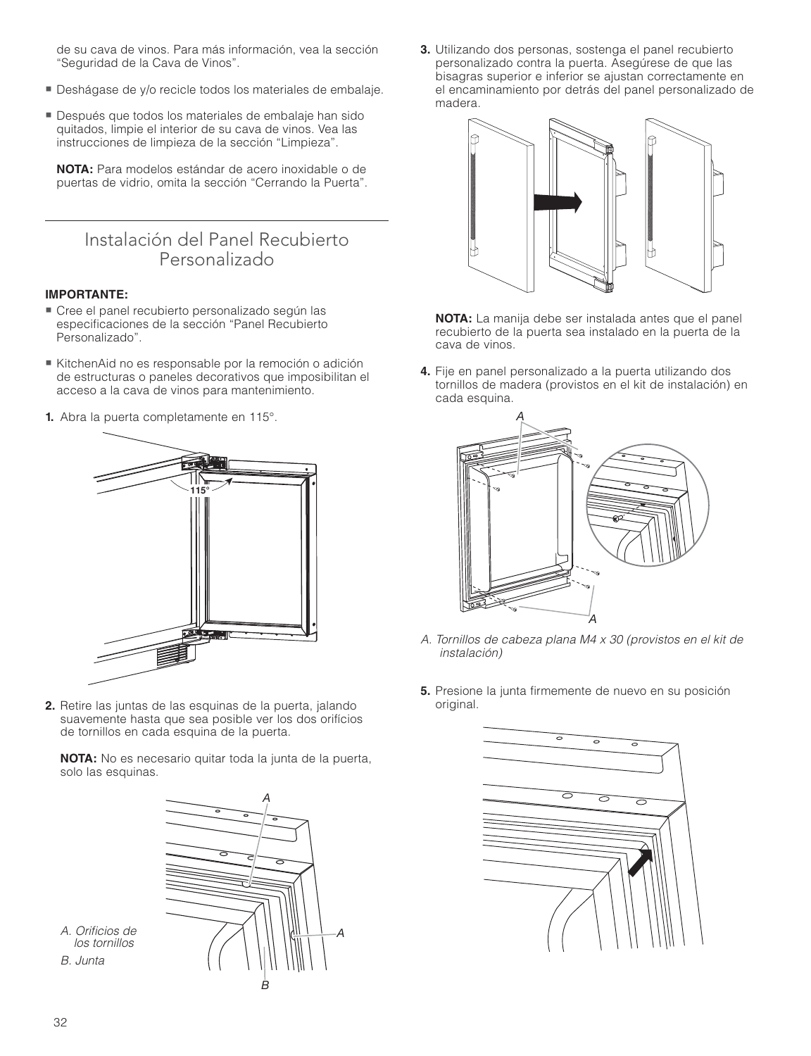de su cava de vinos. Para más información, vea la sección "Seguridad de la Cava de Vinos".

- Deshágase de y/o recicle todos los materiales de embalaje.
- Después que todos los materiales de embalaje han sido quitados, limpie el interior de su cava de vinos. Vea las instrucciones de limpieza de la sección "Limpieza".

**NOTA:** Para modelos estándar de acero inoxidable o de puertas de vidrio, omita la sección "Cerrando la Puerta".

### Instalación del Panel Recubierto Personalizado

#### **IMPORTANTE:**

- Cree el panel recubierto personalizado según las especificaciones de la sección "Panel Recubierto Personalizado".
- KitchenAid no es responsable por la remoción o adición de estructuras o paneles decorativos que imposibilitan el acceso a la cava de vinos para mantenimiento.
- **1.** Abra la puerta completamente en 115°.



**2.** Retire las juntas de las esquinas de la puerta, jalando suavemente hasta que sea posible ver los dos orifícios de tornillos en cada esquina de la puerta.

**NOTA:** No es necesario quitar toda la junta de la puerta, solo las esquinas.



**3.** Utilizando dos personas, sostenga el panel recubierto personalizado contra la puerta. Asegúrese de que las bisagras superior e inferior se ajustan correctamente en el encaminamiento por detrás del panel personalizado de madera.



 **NOTA:** La manija debe ser instalada antes que el panel recubierto de la puerta sea instalado en la puerta de la cava de vinos.

**4.** Fije en panel personalizado a la puerta utilizando dos tornillos de madera (provistos en el kit de instalación) en cada esquina.



- A. Tornillos de cabeza plana M4 x 30 (provistos en el kit de instalación)
- **5.** Presione la junta firmemente de nuevo en su posición original.

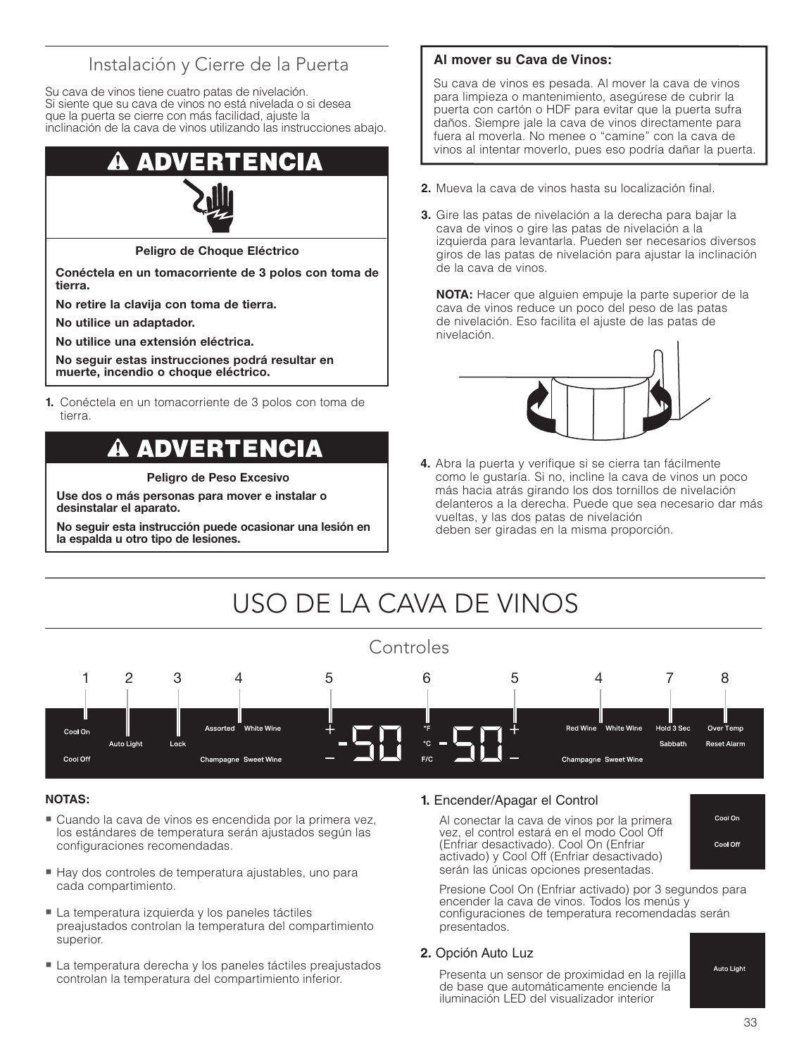### Instalación y Cierre de la Puerta

Su cava de vinos tiene cuatro patas de nivelación. Si siente que su cava de vinos no está nivelada o si desea que la puerta se cierre con más facilidad, ajuste la inclinación de la cava de vinos utilizando las instrucciones abajo.

# Ð

**Peligro de Choque Eléctrico**

**Conéctela en un tomacorriente de 3 polos con toma de tierra.** 

**No retire la clavija con toma de tierra.**

**No utilice un adaptador.**

**No utilice una extensión eléctrica.**

**No seguir estas instrucciones podrá resultar en muerte, incendio o choque eléctrico.**

**1.** Conéctela en un tomacorriente de 3 polos con toma de tierra.

# **ADVERTENCIA**

**Peligro de Peso Excesivo**

**Use dos o más personas para mover e instalar o desinstalar el aparato.**

**No seguir esta instrucción puede ocasionar una lesión en la espalda u otro tipo de lesiones.**

#### **Al mover su Cava de Vinos:**

Su cava de vinos es pesada. Al mover la cava de vinos para limpieza o mantenimiento, asegúrese de cubrir la puerta con cartón o HDF para evitar que la puerta sufra daños. Siempre jale la cava de vinos directamente para fuera al moverla. No menee o "camine" con la cava de vinos al intentar moverlo, pues eso podría dañar la puerta.

- **2.** Mueva la cava de vinos hasta su localización final.
- **3.** Gire las patas de nivelación a la derecha para bajar la cava de vinos o gire las patas de nivelación a la izquierda para levantarla. Pueden ser necesarios diversos giros de las patas de nivelación para ajustar la inclinación de la cava de vinos.

 **NOTA:** Hacer que alguien empuje la parte superior de la cava de vinos reduce un poco del peso de las patas de nivelación. Eso facilita el ajuste de las patas de nivelación.



**4.** Abra la puerta y verifique si se cierra tan fácilmente como le gustaría. Si no, incline la cava de vinos un poco más hacia atrás girando los dos tornillos de nivelación delanteros a la derecha. Puede que sea necesario dar más vueltas, y las dos patas de nivelación deben ser giradas en la misma proporción.

#### USO DE LA CAVA DE VINOS Controles 1 2 3 4 5 6 5 4 7 8 **White Wine Red Wine White Wine** Hold 3 Ser Over Temp Cool On **Auto Light** Lock Sabbath **Reset Alarm** Cool Off Champagne Sweet Wine Champagne Sweet Wine

#### **NOTAS:**

- Cuando la cava de vinos es encendida por la primera vez, los estándares de temperatura serán ajustados según las configuraciones recomendadas.
- Hay dos controles de temperatura ajustables, uno para cada compartimiento.
- La temperatura izquierda y los paneles táctiles preajustados controlan la temperatura del compartimiento superior.
- La temperatura derecha y los paneles táctiles preajustados controlan la temperatura del compartimiento inferior.

#### **1.** Encender/Apagar el Control

 Al conectar la cava de vinos por la primera vez, el control estará en el modo Cool Off (Enfriar desactivado). Cool On (Enfriar activado) y Cool Off (Enfriar desactivado) serán las únicas opciones presentadas.



 Presione Cool On (Enfriar activado) por 3 segundos para encender la cava de vinos. Todos los menús y configuraciones de temperatura recomendadas serán presentados.

#### **2.** Opción Auto Luz

 Presenta un sensor de proximidad en la rejilla de base que automáticamente enciende la iluminación LED del visualizador interior

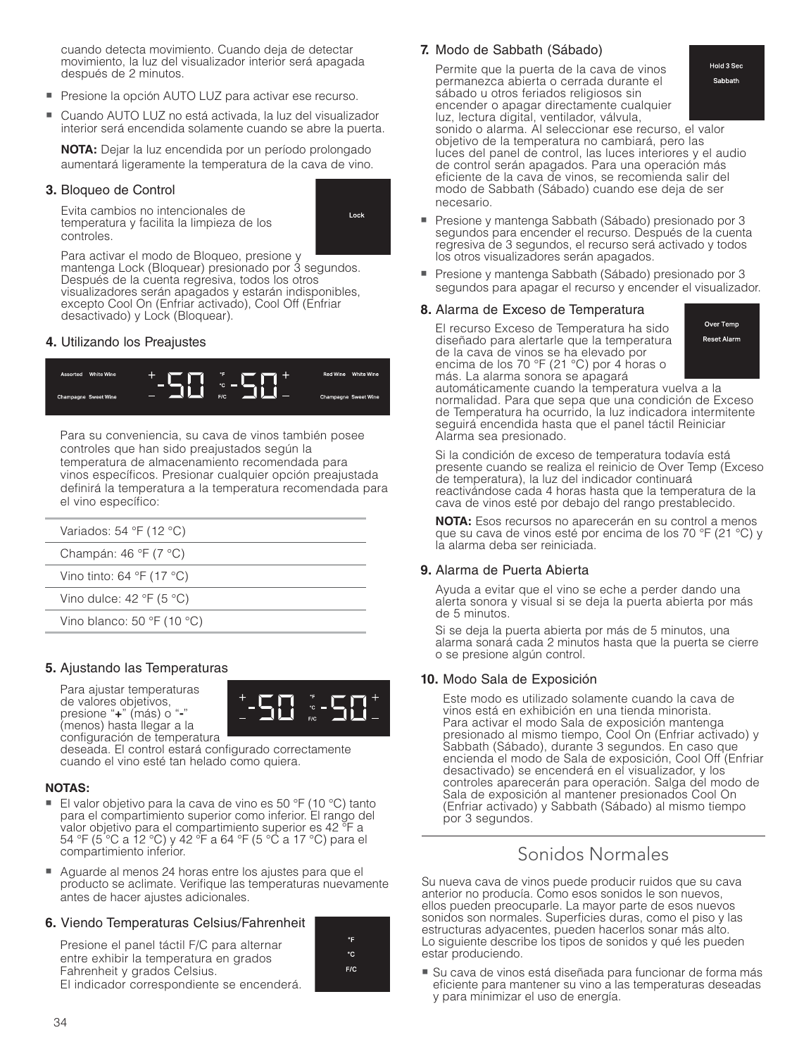cuando detecta movimiento. Cuando deja de detectar movimiento, la luz del visualizador interior será apagada después de 2 minutos.

- Presione la opción AUTO LUZ para activar ese recurso.
- - Cuando AUTO LUZ no está activada, la luz del visualizador interior será encendida solamente cuando se abre la puerta.

**NOTA:** Dejar la luz encendida por un período prolongado aumentará ligeramente la temperatura de la cava de vino.

#### **3.** Bloqueo de Control

 Evita cambios no intencionales de temperatura y facilita la limpieza de los controles.



 Para activar el modo de Bloqueo, presione y mantenga Lock (Bloquear) presionado por 3 segundos. Después de la cuenta regresiva, todos los otros visualizadores serán apagados y estarán indisponibles, excepto Cool On (Enfriar activado), Cool Off (Enfriar desactivado) y Lock (Bloquear).

#### **4.** Utilizando los Preajustes



 Para su conveniencia, su cava de vinos también posee controles que han sido preajustados según la temperatura de almacenamiento recomendada para vinos específicos. Presionar cualquier opción preajustada definirá la temperatura a la temperatura recomendada para el vino específico:

| Variados: 54 °F (12 °C)                      |  |
|----------------------------------------------|--|
| Champán: 46 $\degree$ F (7 $\degree$ C)      |  |
| Vino tinto: 64 $\degree$ F (17 $\degree$ C)  |  |
| Vino dulce: 42 $\degree$ F (5 $\degree$ C)   |  |
| Vino blanco: 50 $\degree$ F (10 $\degree$ C) |  |

#### **5.** Ajustando las Temperaturas

 Para ajustar temperaturas de valores objetivos,<br>presione "+" (más) o "-" presione "**+**" (más) o "**-**" (menos) hasta llegar a la configuración de temperatura



deseada. El control estará configurado correctamente cuando el vino esté tan helado como quiera.

#### **NOTAS:**

- El valor objetivo para la cava de vino es 50 °F (10 °C) tanto para el compartimiento superior como inferior. El rango del valor objetivo para el compartimiento superior es 42 °F a 54 °F (5 °C a 12 °C) y 42 °F a 64 °F (5 °C a 17 °C) para el compartimiento inferior.
- Aguarde al menos 24 horas entre los ajustes para que el producto se aclimate. Verifique las temperaturas nuevamente antes de hacer ajustes adicionales.

#### **6.** Viendo Temperaturas Celsius/Fahrenheit

 Presione el panel táctil F/C para alternar entre exhibir la temperatura en grados Fahrenheit y grados Celsius. El indicador correspondiente se encenderá.

| °F  |  |
|-----|--|
| ۰c  |  |
| F/C |  |
|     |  |

#### **7.** Modo de Sabbath (Sábado)

 Permite que la puerta de la cava de vinos permanezca abierta o cerrada durante el sábado u otros feriados religiosos sin encender o apagar directamente cualquier luz, lectura digital, ventilador, válvula,

Hold 3 Sec Sabbath

 sonido o alarma. Al seleccionar ese recurso, el valor objetivo de la temperatura no cambiará, pero las luces del panel de control, las luces interiores y el audio de control serán apagados. Para una operación más eficiente de la cava de vinos, se recomienda salir del modo de Sabbath (Sábado) cuando ese deja de ser necesario.

- Presione y mantenga Sabbath (Sábado) presionado por 3 segundos para encender el recurso. Después de la cuenta regresiva de 3 segundos, el recurso será activado y todos los otros visualizadores serán apagados.
- Presione y mantenga Sabbath (Sábado) presionado por 3 segundos para apagar el recurso y encender el visualizador.

#### **8.** Alarma de Exceso de Temperatura

 El recurso Exceso de Temperatura ha sido diseñado para alertarle que la temperatura de la cava de vinos se ha elevado por encima de los 70 °F (21 °C) por 4 horas o más. La alarma sonora se apagará

Over Temp Reset Alarm

automáticamente cuando la temperatura vuelva a la normalidad. Para que sepa que una condición de Exceso de Temperatura ha ocurrido, la luz indicadora intermitente seguirá encendida hasta que el panel táctil Reiniciar Alarma sea presionado.

 Si la condición de exceso de temperatura todavía está presente cuando se realiza el reinicio de Over Temp (Exceso de temperatura), la luz del indicador continuará reactivándose cada 4 horas hasta que la temperatura de la cava de vinos esté por debajo del rango prestablecido.

**NOTA:** Esos recursos no aparecerán en su control a menos que su cava de vinos esté por encima de los 70 °F (21 °C) y la alarma deba ser reiniciada.

#### **9.** Alarma de Puerta Abierta

 Ayuda a evitar que el vino se eche a perder dando una alerta sonora y visual si se deja la puerta abierta por más de 5 minutos.

 Si se deja la puerta abierta por más de 5 minutos, una alarma sonará cada 2 minutos hasta que la puerta se cierre o se presione algún control.

#### **10.** Modo Sala de Exposición

 Este modo es utilizado solamente cuando la cava de vinos está en exhibición en una tienda minorista. Para activar el modo Sala de exposición mantenga presionado al mismo tiempo, Cool On (Enfriar activado) y Sabbath (Sábado), durante 3 segundos. En caso que encienda el modo de Sala de exposición, Cool Off (Enfriar desactivado) se encenderá en el visualizador, y los controles aparecerán para operación. Salga del modo de Sala de exposición al mantener presionados Cool On (Enfriar activado) y Sabbath (Sábado) al mismo tiempo por 3 segundos.

### Sonidos Normales

Su nueva cava de vinos puede producir ruidos que su cava anterior no producía. Como esos sonidos le son nuevos, ellos pueden preocuparle. La mayor parte de esos nuevos sonidos son normales. Superficies duras, como el piso y las estructuras adyacentes, pueden hacerlos sonar más alto. Lo siguiente describe los tipos de sonidos y qué les pueden estar produciendo.

■ Su cava de vinos está diseñada para funcionar de forma más eficiente para mantener su vino a las temperaturas deseadas y para minimizar el uso de energía.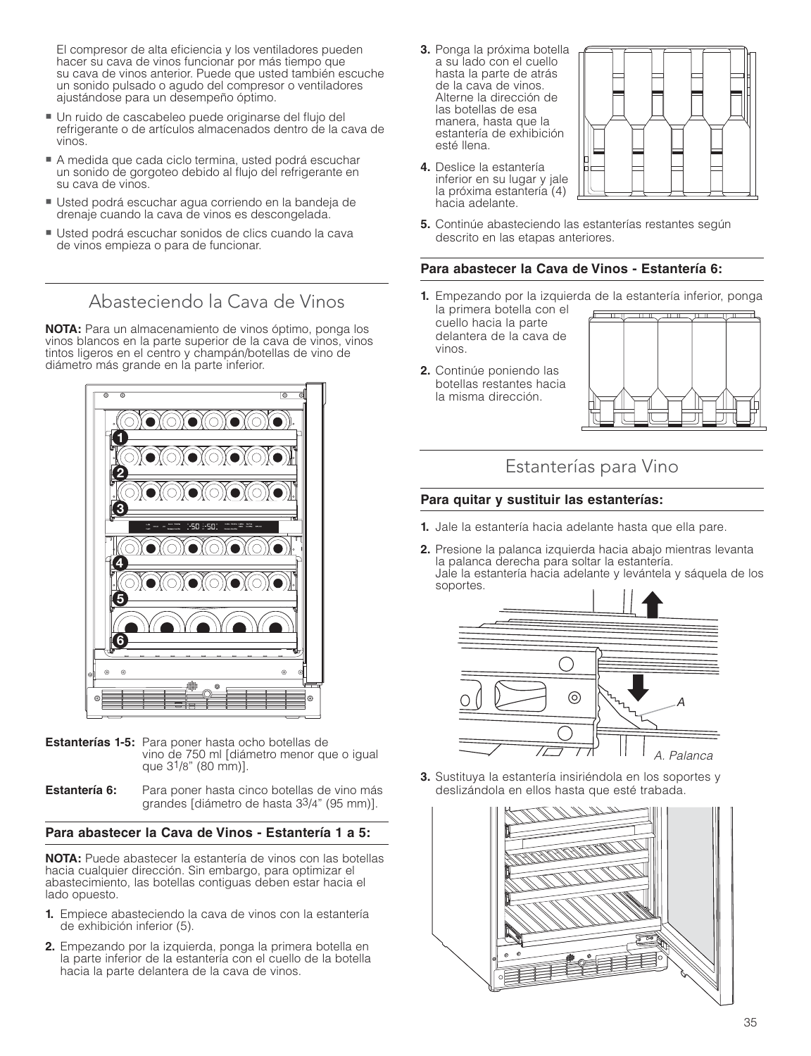El compresor de alta eficiencia y los ventiladores pueden hacer su cava de vinos funcionar por más tiempo que su cava de vinos anterior. Puede que usted también escuche un sonido pulsado o agudo del compresor o ventiladores ajustándose para un desempeño óptimo.

- Un ruido de cascabeleo puede originarse del flujo del refrigerante o de artículos almacenados dentro de la cava de vinos.
- A medida que cada ciclo termina, usted podrá escuchar un sonido de gorgoteo debido al flujo del refrigerante en su cava de vinos.
- Usted podrá escuchar agua corriendo en la bandeja de drenaje cuando la cava de vinos es descongelada.
- Usted podrá escuchar sonidos de clics cuando la cava de vinos empieza o para de funcionar.

Abasteciendo la Cava de Vinos

**NOTA:** Para un almacenamiento de vinos óptimo, ponga los vinos blancos en la parte superior de la cava de vinos, vinos tintos ligeros en el centro y champán/botellas de vino de diámetro más grande en la parte inferior.



- **Estanterías 1-5:** Para poner hasta ocho botellas de vino de 750 ml [diámetro menor que o igual que 31/8" (80 mm)].
- **Estantería 6:** Para poner hasta cinco botellas de vino más grandes [diámetro de hasta 33/4" (95 mm)].

#### **Para abastecer la Cava de Vinos - Estantería 1 a 5:**

**NOTA:** Puede abastecer la estantería de vinos con las botellas hacia cualquier dirección. Sin embargo, para optimizar el abastecimiento, las botellas contiguas deben estar hacia el lado opuesto.

- **1.** Empiece abasteciendo la cava de vinos con la estantería de exhibición inferior (5).
- **2.** Empezando por la izquierda, ponga la primera botella en la parte inferior de la estantería con el cuello de la botella hacia la parte delantera de la cava de vinos.
- **3.** Ponga la próxima botella a su lado con el cuello hasta la parte de atrás de la cava de vinos. Alterne la dirección de las botellas de esa manera, hasta que la estantería de exhibición esté llena.
- **4.** Deslice la estantería inferior en su lugar y jale la próxima estantería (4) hacia adelante.



**5.** Continúe abasteciendo las estanterías restantes según descrito en las etapas anteriores.

#### **Para abastecer la Cava de Vinos - Estantería 6:**

- **1.** Empezando por la izquierda de la estantería inferior, ponga
- la primera botella con el cuello hacia la parte delantera de la cava de vinos.
- **2.** Continúe poniendo las botellas restantes hacia la misma dirección.



### Estanterías para Vino

#### **Para quitar y sustituir las estanterías:**

- **1.** Jale la estantería hacia adelante hasta que ella pare.
- **2.** Presione la palanca izquierda hacia abajo mientras levanta la palanca derecha para soltar la estantería. Jale la estantería hacia adelante y levántela y sáquela de los soportes.



**3.** Sustituya la estantería insiriéndola en los soportes y deslizándola en ellos hasta que esté trabada.

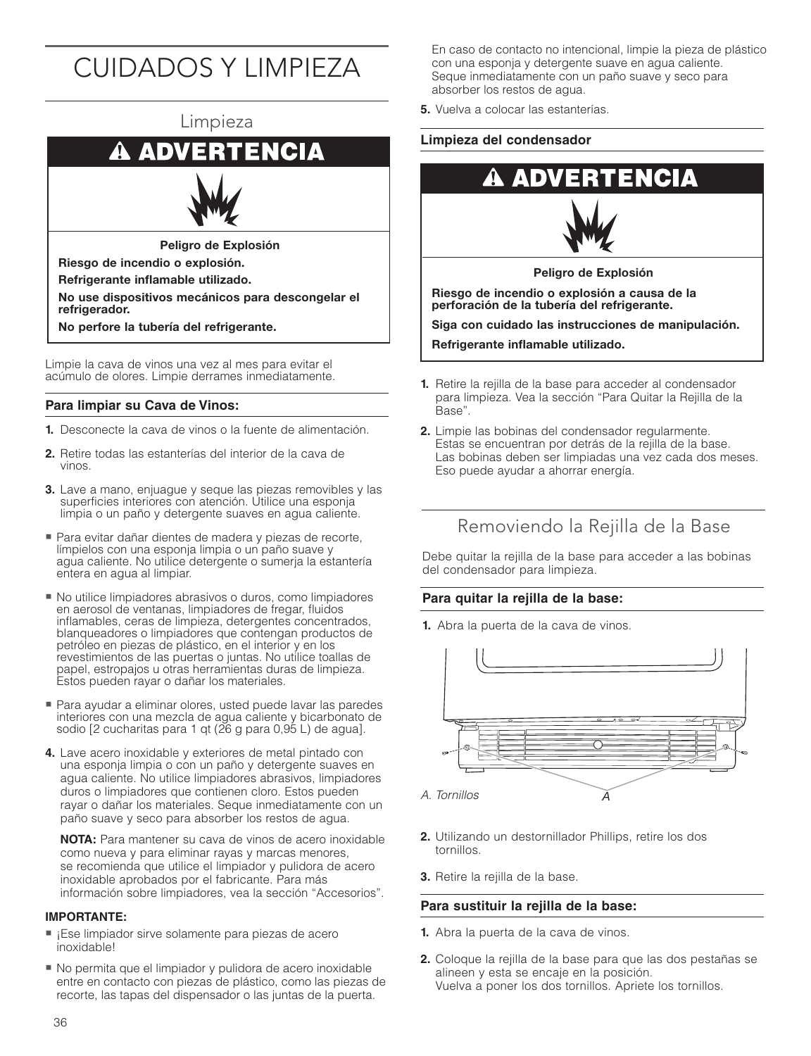# CUIDADOS Y LIMPIEZA



**No perfore la tubería del refrigerante.**

Limpie la cava de vinos una vez al mes para evitar el acúmulo de olores. Limpie derrames inmediatamente.

#### **Para limpiar su Cava de Vinos:**

- **1.** Desconecte la cava de vinos o la fuente de alimentación.
- **2.** Retire todas las estanterías del interior de la cava de vinos.
- **3.** Lave a mano, enjuague y seque las piezas removibles y las superficies interiores con atención. Utilice una esponja limpia o un paño y detergente suaves en agua caliente.
- Para evitar dañar dientes de madera y piezas de recorte, límpielos con una esponja limpia o un paño suave y agua caliente. No utilice detergente o sumerja la estantería entera en agua al limpiar.
- No utilice limpiadores abrasivos o duros, como limpiadores en aerosol de ventanas, limpiadores de fregar, fluidos inflamables, ceras de limpieza, detergentes concentrados, blanqueadores o limpiadores que contengan productos de petróleo en piezas de plástico, en el interior y en los revestimientos de las puertas o juntas. No utilice toallas de papel, estropajos u otras herramientas duras de limpieza. Estos pueden rayar o dañar los materiales.
- Para ayudar a eliminar olores, usted puede lavar las paredes interiores con una mezcla de agua caliente y bicarbonato de sodio [2 cucharitas para 1 qt (26 g para 0,95 L) de agua].
- **4.** Lave acero inoxidable y exteriores de metal pintado con una esponja limpia o con un paño y detergente suaves en agua caliente. No utilice limpiadores abrasivos, limpiadores duros o limpiadores que contienen cloro. Estos pueden rayar o dañar los materiales. Seque inmediatamente con un paño suave y seco para absorber los restos de agua.

**NOTA:** Para mantener su cava de vinos de acero inoxidable como nueva y para eliminar rayas y marcas menores, se recomienda que utilice el limpiador y pulidora de acero inoxidable aprobados por el fabricante. Para más información sobre limpiadores, vea la sección "Accesorios".

#### **IMPORTANTE:**

- ¡Ese limpiador sirve solamente para piezas de acero inoxidable!
- No permita que el limpiador y pulidora de acero inoxidable entre en contacto con piezas de plástico, como las piezas de recorte, las tapas del dispensador o las juntas de la puerta.

En caso de contacto no intencional, limpie la pieza de plástico con una esponja y detergente suave en agua caliente. Seque inmediatamente con un paño suave y seco para absorber los restos de agua.

**5.** Vuelva a colocar las estanterías.

#### **Limpieza del condensador**





**Peligro de Explosión**

**Riesgo de incendio o explosión a causa de la perforación de la tubería del refrigerante.**

**Siga con cuidado las instrucciones de manipulación.**

**Refrigerante inflamable utilizado.**

- **1.** Retire la rejilla de la base para acceder al condensador para limpieza. Vea la sección "Para Quitar la Rejilla de la Base".
- **2.** Limpie las bobinas del condensador regularmente. Estas se encuentran por detrás de la rejilla de la base. Las bobinas deben ser limpiadas una vez cada dos meses. Eso puede ayudar a ahorrar energía.

### Removiendo la Rejilla de la Base

Debe quitar la rejilla de la base para acceder a las bobinas del condensador para limpieza.

#### **Para quitar la rejilla de la base:**

**1.** Abra la puerta de la cava de vinos.



- **2.** Utilizando un destornillador Phillips, retire los dos tornillos.
- **3.** Retire la rejilla de la base.

#### **Para sustituir la rejilla de la base:**

- **1.** Abra la puerta de la cava de vinos.
- **2.** Coloque la rejilla de la base para que las dos pestañas se alineen y esta se encaje en la posición. Vuelva a poner los dos tornillos. Apriete los tornillos.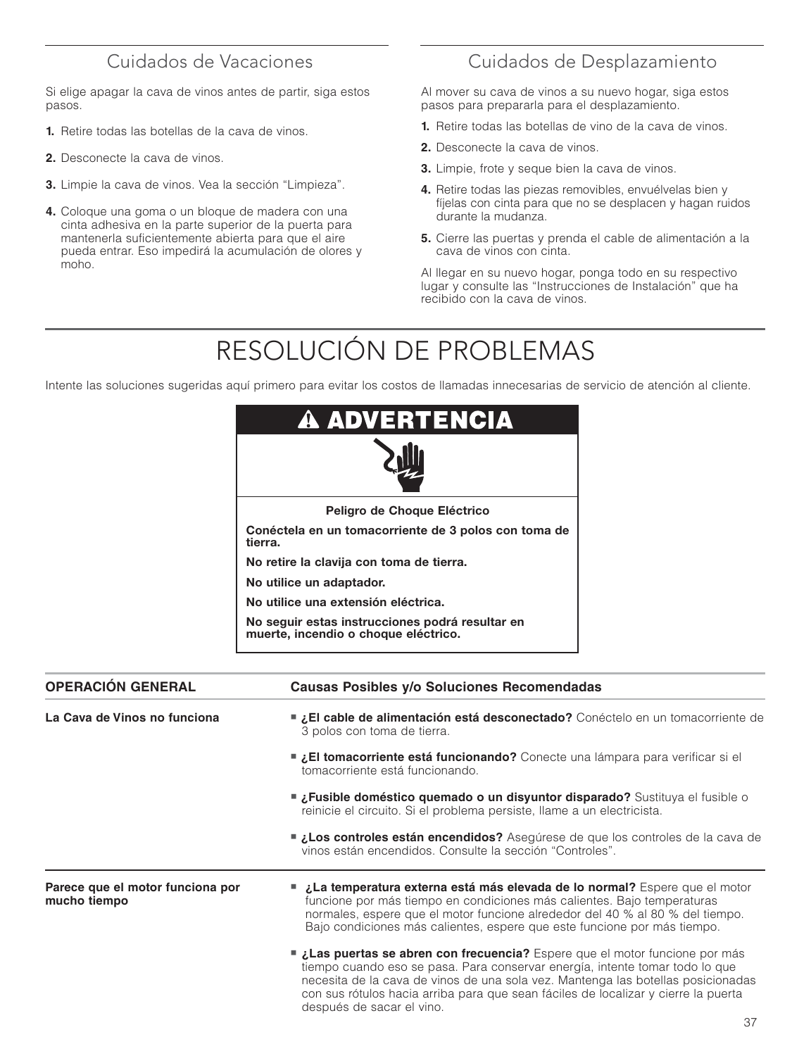### Cuidados de Vacaciones

Si elige apagar la cava de vinos antes de partir, siga estos pasos.

- **1.** Retire todas las botellas de la cava de vinos.
- **2.** Desconecte la cava de vinos.
- **3.** Limpie la cava de vinos. Vea la sección "Limpieza".
- **4.** Coloque una goma o un bloque de madera con una cinta adhesiva en la parte superior de la puerta para mantenerla suficientemente abierta para que el aire pueda entrar. Eso impedirá la acumulación de olores y moho.

### Cuidados de Desplazamiento

Al mover su cava de vinos a su nuevo hogar, siga estos pasos para prepararla para el desplazamiento.

- **1.** Retire todas las botellas de vino de la cava de vinos.
- **2.** Desconecte la cava de vinos.
- **3.** Limpie, frote y seque bien la cava de vinos.
- **4.** Retire todas las piezas removibles, envuélvelas bien y fíjelas con cinta para que no se desplacen y hagan ruidos durante la mudanza.
- **5.** Cierre las puertas y prenda el cable de alimentación a la cava de vinos con cinta.

Al llegar en su nuevo hogar, ponga todo en su respectivo lugar y consulte las "Instrucciones de Instalación" que ha recibido con la cava de vinos.

# RESOLUCIÓN DE PROBLEMAS

Intente las soluciones sugeridas aquí primero para evitar los costos de llamadas innecesarias de servicio de atención al cliente.

| <b>A ADVERTENCIA</b>                                                                    |
|-----------------------------------------------------------------------------------------|
|                                                                                         |
| Peligro de Choque Eléctrico                                                             |
| Conéctela en un tomacorriente de 3 polos con toma de<br>tierra.                         |
| No retire la clavija con toma de tierra.                                                |
| No utilice un adaptador.                                                                |
| No utilice una extensión eléctrica.                                                     |
| No seguir estas instrucciones podrá resultar en<br>muerte, incendio o choque eléctrico. |

| <b>OPERACIÓN GENERAL</b>                         | Causas Posibles y/o Soluciones Recomendadas                                                                                                                                                                                                                                                                                                                                |  |
|--------------------------------------------------|----------------------------------------------------------------------------------------------------------------------------------------------------------------------------------------------------------------------------------------------------------------------------------------------------------------------------------------------------------------------------|--|
| La Cava de Vinos no funciona                     | <b>■ ¿El cable de alimentación está desconectado?</b> Conéctelo en un tomacorriente de<br>3 polos con toma de tierra.                                                                                                                                                                                                                                                      |  |
|                                                  | <b>El tomacorriente está funcionando?</b> Conecte una lámpara para verificar si el<br>tomacorriente está funcionando.                                                                                                                                                                                                                                                      |  |
|                                                  | <b>■ ¿Fusible doméstico quemado o un disyuntor disparado?</b> Sustituya el fusible o<br>reinicie el circuito. Si el problema persiste, llame a un electricista.                                                                                                                                                                                                            |  |
|                                                  | <b>Los controles están encendidos?</b> Asegúrese de que los controles de la cava de<br>vinos están encendidos. Consulte la sección "Controles".                                                                                                                                                                                                                            |  |
| Parece que el motor funciona por<br>mucho tiempo | ■ ¿La temperatura externa está más elevada de lo normal? Espere que el motor<br>funcione por más tiempo en condiciones más calientes. Bajo temperaturas<br>normales, espere que el motor funcione alrededor del 40 % al 80 % del tiempo.<br>Bajo condiciones más calientes, espere que este funcione por más tiempo.                                                       |  |
|                                                  | <b>■ ¿Las puertas se abren con frecuencia?</b> Espere que el motor funcione por más<br>tiempo cuando eso se pasa. Para conservar energía, intente tomar todo lo que<br>necesita de la cava de vinos de una sola vez. Mantenga las botellas posicionadas<br>con sus rótulos hacia arriba para que sean fáciles de localizar y cierre la puerta<br>después de sacar el vino. |  |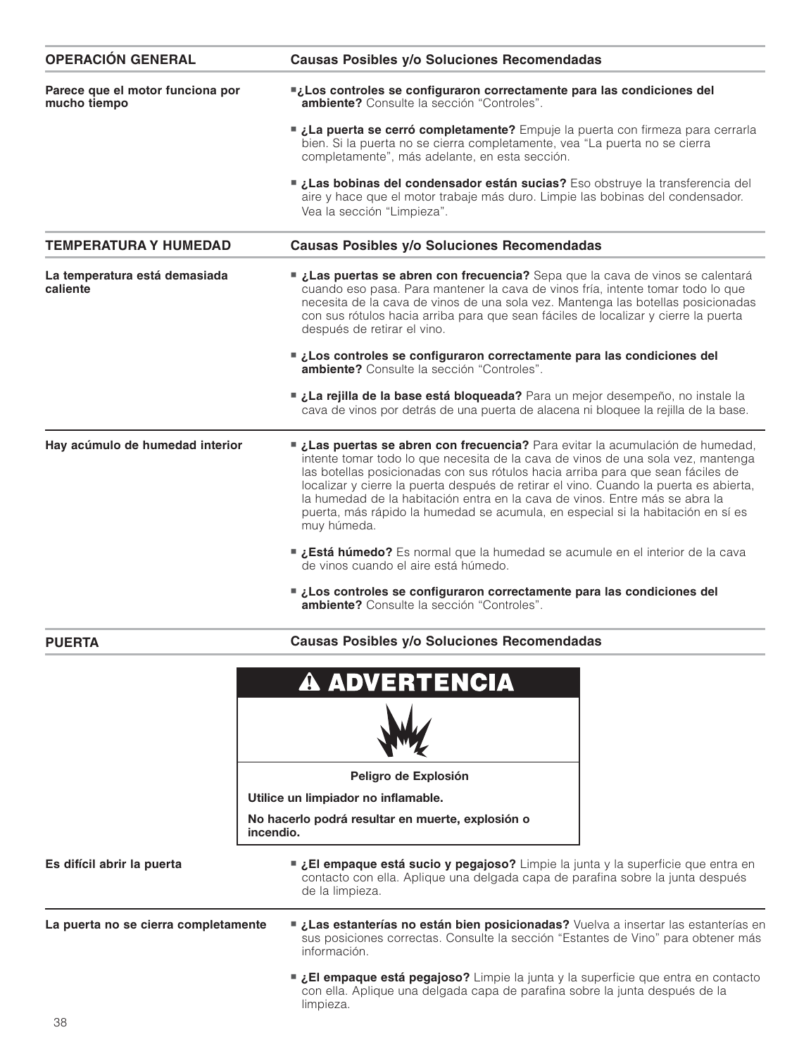| <b>OPERACIÓN GENERAL</b>                         | Causas Posibles y/o Soluciones Recomendadas                                                                                                                                                                                                                                                                                                                                                                                                                                                                                  |  |
|--------------------------------------------------|------------------------------------------------------------------------------------------------------------------------------------------------------------------------------------------------------------------------------------------------------------------------------------------------------------------------------------------------------------------------------------------------------------------------------------------------------------------------------------------------------------------------------|--|
| Parece que el motor funciona por<br>mucho tiempo | Los controles se configuraron correctamente para las condiciones del<br>ambiente? Consulte la sección "Controles".                                                                                                                                                                                                                                                                                                                                                                                                           |  |
|                                                  | La puerta se cerró completamente? Empuje la puerta con firmeza para cerrarla<br>bien. Si la puerta no se cierra completamente, vea "La puerta no se cierra<br>completamente", más adelante, en esta sección.                                                                                                                                                                                                                                                                                                                 |  |
|                                                  | Las bobinas del condensador están sucias? Eso obstruye la transferencia del<br>aire y hace que el motor trabaje más duro. Limpie las bobinas del condensador.<br>Vea la sección "Limpieza".                                                                                                                                                                                                                                                                                                                                  |  |
| <b>TEMPERATURA Y HUMEDAD</b>                     | <b>Causas Posibles y/o Soluciones Recomendadas</b>                                                                                                                                                                                                                                                                                                                                                                                                                                                                           |  |
| La temperatura está demasiada<br>caliente        | Las puertas se abren con frecuencia? Sepa que la cava de vinos se calentará<br>cuando eso pasa. Para mantener la cava de vinos fría, intente tomar todo lo que<br>necesita de la cava de vinos de una sola vez. Mantenga las botellas posicionadas<br>con sus rótulos hacia arriba para que sean fáciles de localizar y cierre la puerta<br>después de retirar el vino.                                                                                                                                                      |  |
|                                                  | ■ ¿Los controles se configuraron correctamente para las condiciones del<br><b>ambiente?</b> Consulte la sección "Controles".                                                                                                                                                                                                                                                                                                                                                                                                 |  |
|                                                  | La rejilla de la base está bloqueada? Para un mejor desempeño, no instale la<br>cava de vinos por detrás de una puerta de alacena ni bloquee la rejilla de la base.                                                                                                                                                                                                                                                                                                                                                          |  |
| Hay acúmulo de humedad interior                  | Las puertas se abren con frecuencia? Para evitar la acumulación de humedad,<br>intente tomar todo lo que necesita de la cava de vinos de una sola vez, mantenga<br>las botellas posicionadas con sus rótulos hacia arriba para que sean fáciles de<br>localizar y cierre la puerta después de retirar el vino. Cuando la puerta es abierta,<br>la humedad de la habitación entra en la cava de vinos. Entre más se abra la<br>puerta, más rápido la humedad se acumula, en especial si la habitación en sí es<br>muy húmeda. |  |
|                                                  | ■ ¿Está húmedo? Es normal que la humedad se acumule en el interior de la cava<br>de vinos cuando el aire está húmedo.                                                                                                                                                                                                                                                                                                                                                                                                        |  |
|                                                  | ■ ¿Los controles se configuraron correctamente para las condiciones del<br><b>ambiente?</b> Consulte la sección "Controles".                                                                                                                                                                                                                                                                                                                                                                                                 |  |
| PUERTA                                           | Causas Posibles y/o Soluciones Recomendadas                                                                                                                                                                                                                                                                                                                                                                                                                                                                                  |  |
|                                                  | <b>A ADVERTENCIA</b>                                                                                                                                                                                                                                                                                                                                                                                                                                                                                                         |  |
|                                                  | Peligro de Explosión                                                                                                                                                                                                                                                                                                                                                                                                                                                                                                         |  |
|                                                  | Utilice un limpiador no inflamable.                                                                                                                                                                                                                                                                                                                                                                                                                                                                                          |  |
|                                                  | No hacerlo podrá resultar en muerte, explosión o<br>incendio.                                                                                                                                                                                                                                                                                                                                                                                                                                                                |  |
| Es difícil abrir la puerta                       | El empaque está sucio y pegajoso? Limpie la junta y la superficie que entra en<br>contacto con ella. Aplique una delgada capa de parafina sobre la junta después<br>de la limpieza.                                                                                                                                                                                                                                                                                                                                          |  |
| La puerta no se cierra completamente             | Las estanterías no están bien posicionadas? Vuelva a insertar las estanterías en<br>sus posiciones correctas. Consulte la sección "Estantes de Vino" para obtener más<br>información.                                                                                                                                                                                                                                                                                                                                        |  |
|                                                  | El empaque está pegajoso? Limpie la junta y la superficie que entra en contacto<br>con ella. Aplique una delgada capa de parafina sobre la junta después de la<br>limpieza.                                                                                                                                                                                                                                                                                                                                                  |  |
| 38                                               |                                                                                                                                                                                                                                                                                                                                                                                                                                                                                                                              |  |